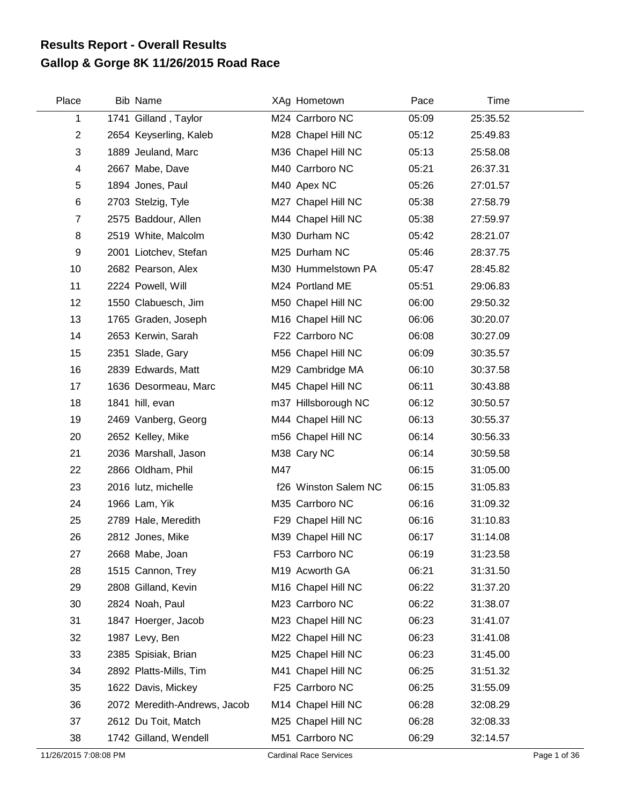## **Gallop & Gorge 8K 11/26/2015 Road Race Results Report - Overall Results**

| Place                   | <b>Bib Name</b>              |     | XAg Hometown         | Pace  | Time     |
|-------------------------|------------------------------|-----|----------------------|-------|----------|
| 1                       | 1741 Gilland, Taylor         |     | M24 Carrboro NC      | 05:09 | 25:35.52 |
| $\overline{2}$          | 2654 Keyserling, Kaleb       |     | M28 Chapel Hill NC   | 05:12 | 25:49.83 |
| 3                       | 1889 Jeuland, Marc           |     | M36 Chapel Hill NC   | 05:13 | 25:58.08 |
| $\overline{\mathbf{4}}$ | 2667 Mabe, Dave              |     | M40 Carrboro NC      | 05:21 | 26:37.31 |
| 5                       | 1894 Jones, Paul             |     | M40 Apex NC          | 05:26 | 27:01.57 |
| 6                       | 2703 Stelzig, Tyle           |     | M27 Chapel Hill NC   | 05:38 | 27:58.79 |
| $\overline{7}$          | 2575 Baddour, Allen          |     | M44 Chapel Hill NC   | 05:38 | 27:59.97 |
| 8                       | 2519 White, Malcolm          |     | M30 Durham NC        | 05:42 | 28:21.07 |
| 9                       | 2001 Liotchev, Stefan        |     | M25 Durham NC        | 05:46 | 28:37.75 |
| 10                      | 2682 Pearson, Alex           |     | M30 Hummelstown PA   | 05:47 | 28:45.82 |
| 11                      | 2224 Powell, Will            |     | M24 Portland ME      | 05:51 | 29:06.83 |
| 12                      | 1550 Clabuesch, Jim          |     | M50 Chapel Hill NC   | 06:00 | 29:50.32 |
| 13                      | 1765 Graden, Joseph          |     | M16 Chapel Hill NC   | 06:06 | 30:20.07 |
| 14                      | 2653 Kerwin, Sarah           |     | F22 Carrboro NC      | 06:08 | 30:27.09 |
| 15                      | 2351 Slade, Gary             |     | M56 Chapel Hill NC   | 06:09 | 30:35.57 |
| 16                      | 2839 Edwards, Matt           |     | M29 Cambridge MA     | 06:10 | 30:37.58 |
| 17                      | 1636 Desormeau, Marc         |     | M45 Chapel Hill NC   | 06:11 | 30:43.88 |
| 18                      | 1841 hill, evan              |     | m37 Hillsborough NC  | 06:12 | 30:50.57 |
| 19                      | 2469 Vanberg, Georg          |     | M44 Chapel Hill NC   | 06:13 | 30:55.37 |
| 20                      | 2652 Kelley, Mike            |     | m56 Chapel Hill NC   | 06:14 | 30:56.33 |
| 21                      | 2036 Marshall, Jason         |     | M38 Cary NC          | 06:14 | 30:59.58 |
| 22                      | 2866 Oldham, Phil            | M47 |                      | 06:15 | 31:05.00 |
| 23                      | 2016 lutz, michelle          |     | f26 Winston Salem NC | 06:15 | 31:05.83 |
| 24                      | 1966 Lam, Yik                |     | M35 Carrboro NC      | 06:16 | 31:09.32 |
| 25                      | 2789 Hale, Meredith          |     | F29 Chapel Hill NC   | 06:16 | 31:10.83 |
| 26                      | 2812 Jones, Mike             |     | M39 Chapel Hill NC   | 06:17 | 31:14.08 |
| 27                      | 2668 Mabe, Joan              |     | F53 Carrboro NC      | 06:19 | 31:23.58 |
| 28                      | 1515 Cannon, Trey            |     | M19 Acworth GA       | 06:21 | 31:31.50 |
| 29                      | 2808 Gilland, Kevin          |     | M16 Chapel Hill NC   | 06:22 | 31:37.20 |
| 30                      | 2824 Noah, Paul              |     | M23 Carrboro NC      | 06:22 | 31:38.07 |
| 31                      | 1847 Hoerger, Jacob          |     | M23 Chapel Hill NC   | 06:23 | 31:41.07 |
| 32                      | 1987 Levy, Ben               |     | M22 Chapel Hill NC   | 06:23 | 31:41.08 |
| 33                      | 2385 Spisiak, Brian          |     | M25 Chapel Hill NC   | 06:23 | 31:45.00 |
| 34                      | 2892 Platts-Mills, Tim       |     | M41 Chapel Hill NC   | 06:25 | 31:51.32 |
| 35                      | 1622 Davis, Mickey           |     | F25 Carrboro NC      | 06:25 | 31:55.09 |
| 36                      | 2072 Meredith-Andrews, Jacob |     | M14 Chapel Hill NC   | 06:28 | 32:08.29 |
| 37                      | 2612 Du Toit, Match          |     | M25 Chapel Hill NC   | 06:28 | 32:08.33 |
| 38                      | 1742 Gilland, Wendell        |     | M51 Carrboro NC      | 06:29 | 32:14.57 |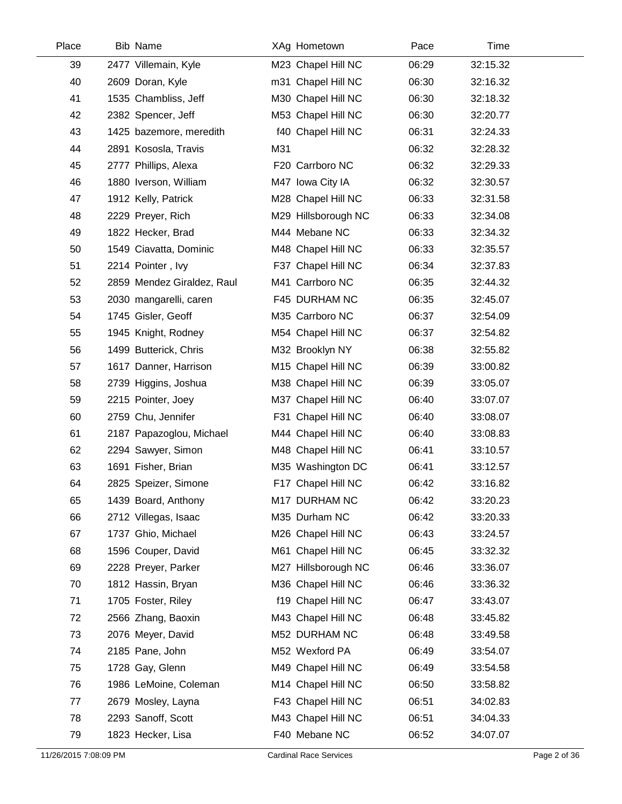| Place | <b>Bib Name</b>            | XAg Hometown        | Pace  | Time     |  |
|-------|----------------------------|---------------------|-------|----------|--|
| 39    | 2477 Villemain, Kyle       | M23 Chapel Hill NC  | 06:29 | 32:15.32 |  |
| 40    | 2609 Doran, Kyle           | m31 Chapel Hill NC  | 06:30 | 32:16.32 |  |
| 41    | 1535 Chambliss, Jeff       | M30 Chapel Hill NC  | 06:30 | 32:18.32 |  |
| 42    | 2382 Spencer, Jeff         | M53 Chapel Hill NC  | 06:30 | 32:20.77 |  |
| 43    | 1425 bazemore, meredith    | f40 Chapel Hill NC  | 06:31 | 32:24.33 |  |
| 44    | 2891 Kososla, Travis       | M31                 | 06:32 | 32:28.32 |  |
| 45    | 2777 Phillips, Alexa       | F20 Carrboro NC     | 06:32 | 32:29.33 |  |
| 46    | 1880 Iverson, William      | M47 Iowa City IA    | 06:32 | 32:30.57 |  |
| 47    | 1912 Kelly, Patrick        | M28 Chapel Hill NC  | 06:33 | 32:31.58 |  |
| 48    | 2229 Preyer, Rich          | M29 Hillsborough NC | 06:33 | 32:34.08 |  |
| 49    | 1822 Hecker, Brad          | M44 Mebane NC       | 06:33 | 32:34.32 |  |
| 50    | 1549 Ciavatta, Dominic     | M48 Chapel Hill NC  | 06:33 | 32:35.57 |  |
| 51    | 2214 Pointer, Ivy          | F37 Chapel Hill NC  | 06:34 | 32:37.83 |  |
| 52    | 2859 Mendez Giraldez, Raul | M41 Carrboro NC     | 06:35 | 32:44.32 |  |
| 53    | 2030 mangarelli, caren     | F45 DURHAM NC       | 06:35 | 32:45.07 |  |
| 54    | 1745 Gisler, Geoff         | M35 Carrboro NC     | 06:37 | 32:54.09 |  |
| 55    | 1945 Knight, Rodney        | M54 Chapel Hill NC  | 06:37 | 32:54.82 |  |
| 56    | 1499 Butterick, Chris      | M32 Brooklyn NY     | 06:38 | 32:55.82 |  |
| 57    | 1617 Danner, Harrison      | M15 Chapel Hill NC  | 06:39 | 33:00.82 |  |
| 58    | 2739 Higgins, Joshua       | M38 Chapel Hill NC  | 06:39 | 33:05.07 |  |
| 59    | 2215 Pointer, Joey         | M37 Chapel Hill NC  | 06:40 | 33:07.07 |  |
| 60    | 2759 Chu, Jennifer         | F31 Chapel Hill NC  | 06:40 | 33:08.07 |  |
| 61    | 2187 Papazoglou, Michael   | M44 Chapel Hill NC  | 06:40 | 33:08.83 |  |
| 62    | 2294 Sawyer, Simon         | M48 Chapel Hill NC  | 06:41 | 33:10.57 |  |
| 63    | 1691 Fisher, Brian         | M35 Washington DC   | 06:41 | 33:12.57 |  |
| 64    | 2825 Speizer, Simone       | F17 Chapel Hill NC  | 06:42 | 33:16.82 |  |
| 65    | 1439 Board, Anthony        | M17 DURHAM NC       | 06:42 | 33:20.23 |  |
| 66    | 2712 Villegas, Isaac       | M35 Durham NC       | 06:42 | 33:20.33 |  |
| 67    | 1737 Ghio, Michael         | M26 Chapel Hill NC  | 06:43 | 33:24.57 |  |
| 68    | 1596 Couper, David         | M61 Chapel Hill NC  | 06:45 | 33:32.32 |  |
| 69    | 2228 Preyer, Parker        | M27 Hillsborough NC | 06:46 | 33:36.07 |  |
| 70    | 1812 Hassin, Bryan         | M36 Chapel Hill NC  | 06:46 | 33:36.32 |  |
| 71    | 1705 Foster, Riley         | f19 Chapel Hill NC  | 06:47 | 33:43.07 |  |
| 72    | 2566 Zhang, Baoxin         | M43 Chapel Hill NC  | 06:48 | 33:45.82 |  |
| 73    | 2076 Meyer, David          | M52 DURHAM NC       | 06:48 | 33:49.58 |  |
| 74    | 2185 Pane, John            | M52 Wexford PA      | 06:49 | 33:54.07 |  |
| 75    | 1728 Gay, Glenn            | M49 Chapel Hill NC  | 06:49 | 33:54.58 |  |
| 76    | 1986 LeMoine, Coleman      | M14 Chapel Hill NC  | 06:50 | 33:58.82 |  |
| 77    | 2679 Mosley, Layna         | F43 Chapel Hill NC  | 06:51 | 34:02.83 |  |
| 78    | 2293 Sanoff, Scott         | M43 Chapel Hill NC  | 06:51 | 34:04.33 |  |
| 79    | 1823 Hecker, Lisa          | F40 Mebane NC       | 06:52 | 34:07.07 |  |
|       |                            |                     |       |          |  |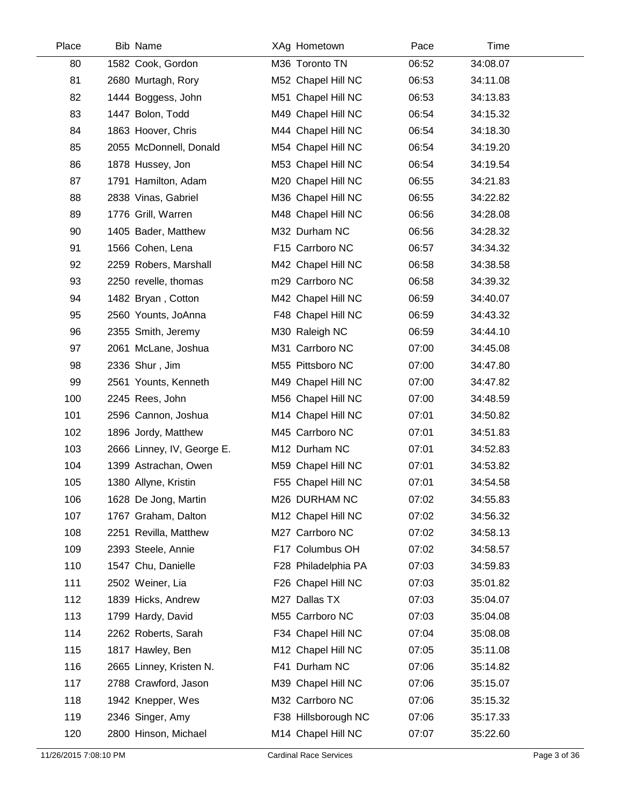| Place | <b>Bib Name</b>            | XAg Hometown        | Pace  | Time     |  |
|-------|----------------------------|---------------------|-------|----------|--|
| 80    | 1582 Cook, Gordon          | M36 Toronto TN      | 06:52 | 34:08.07 |  |
| 81    | 2680 Murtagh, Rory         | M52 Chapel Hill NC  | 06:53 | 34:11.08 |  |
| 82    | 1444 Boggess, John         | M51 Chapel Hill NC  | 06:53 | 34:13.83 |  |
| 83    | 1447 Bolon, Todd           | M49 Chapel Hill NC  | 06:54 | 34:15.32 |  |
| 84    | 1863 Hoover, Chris         | M44 Chapel Hill NC  | 06:54 | 34:18.30 |  |
| 85    | 2055 McDonnell, Donald     | M54 Chapel Hill NC  | 06:54 | 34:19.20 |  |
| 86    | 1878 Hussey, Jon           | M53 Chapel Hill NC  | 06:54 | 34:19.54 |  |
| 87    | 1791 Hamilton, Adam        | M20 Chapel Hill NC  | 06:55 | 34:21.83 |  |
| 88    | 2838 Vinas, Gabriel        | M36 Chapel Hill NC  | 06:55 | 34:22.82 |  |
| 89    | 1776 Grill, Warren         | M48 Chapel Hill NC  | 06:56 | 34:28.08 |  |
| 90    | 1405 Bader, Matthew        | M32 Durham NC       | 06:56 | 34:28.32 |  |
| 91    | 1566 Cohen, Lena           | F15 Carrboro NC     | 06:57 | 34:34.32 |  |
| 92    | 2259 Robers, Marshall      | M42 Chapel Hill NC  | 06:58 | 34:38.58 |  |
| 93    | 2250 revelle, thomas       | m29 Carrboro NC     | 06:58 | 34:39.32 |  |
| 94    | 1482 Bryan, Cotton         | M42 Chapel Hill NC  | 06:59 | 34:40.07 |  |
| 95    | 2560 Younts, JoAnna        | F48 Chapel Hill NC  | 06:59 | 34:43.32 |  |
| 96    | 2355 Smith, Jeremy         | M30 Raleigh NC      | 06:59 | 34:44.10 |  |
| 97    | 2061 McLane, Joshua        | M31 Carrboro NC     | 07:00 | 34:45.08 |  |
| 98    | 2336 Shur, Jim             | M55 Pittsboro NC    | 07:00 | 34:47.80 |  |
| 99    | 2561 Younts, Kenneth       | M49 Chapel Hill NC  | 07:00 | 34:47.82 |  |
| 100   | 2245 Rees, John            | M56 Chapel Hill NC  | 07:00 | 34:48.59 |  |
| 101   | 2596 Cannon, Joshua        | M14 Chapel Hill NC  | 07:01 | 34:50.82 |  |
| 102   | 1896 Jordy, Matthew        | M45 Carrboro NC     | 07:01 | 34:51.83 |  |
| 103   | 2666 Linney, IV, George E. | M12 Durham NC       | 07:01 | 34:52.83 |  |
| 104   | 1399 Astrachan, Owen       | M59 Chapel Hill NC  | 07:01 | 34:53.82 |  |
| 105   | 1380 Allyne, Kristin       | F55 Chapel Hill NC  | 07:01 | 34:54.58 |  |
| 106   | 1628 De Jong, Martin       | M26 DURHAM NC       | 07:02 | 34:55.83 |  |
| 107   | 1767 Graham, Dalton        | M12 Chapel Hill NC  | 07:02 | 34:56.32 |  |
| 108   | 2251 Revilla, Matthew      | M27 Carrboro NC     | 07:02 | 34:58.13 |  |
| 109   | 2393 Steele, Annie         | F17 Columbus OH     | 07:02 | 34:58.57 |  |
| 110   | 1547 Chu, Danielle         | F28 Philadelphia PA | 07:03 | 34:59.83 |  |
| 111   | 2502 Weiner, Lia           | F26 Chapel Hill NC  | 07:03 | 35:01.82 |  |
| 112   | 1839 Hicks, Andrew         | M27 Dallas TX       | 07:03 | 35:04.07 |  |
| 113   | 1799 Hardy, David          | M55 Carrboro NC     | 07:03 | 35:04.08 |  |
| 114   | 2262 Roberts, Sarah        | F34 Chapel Hill NC  | 07:04 | 35:08.08 |  |
| 115   | 1817 Hawley, Ben           | M12 Chapel Hill NC  | 07:05 | 35:11.08 |  |
| 116   | 2665 Linney, Kristen N.    | F41 Durham NC       | 07:06 | 35:14.82 |  |
| 117   | 2788 Crawford, Jason       | M39 Chapel Hill NC  | 07:06 | 35:15.07 |  |
| 118   | 1942 Knepper, Wes          | M32 Carrboro NC     | 07:06 | 35:15.32 |  |
| 119   | 2346 Singer, Amy           | F38 Hillsborough NC | 07:06 | 35:17.33 |  |
| 120   | 2800 Hinson, Michael       | M14 Chapel Hill NC  | 07:07 | 35:22.60 |  |
|       |                            |                     |       |          |  |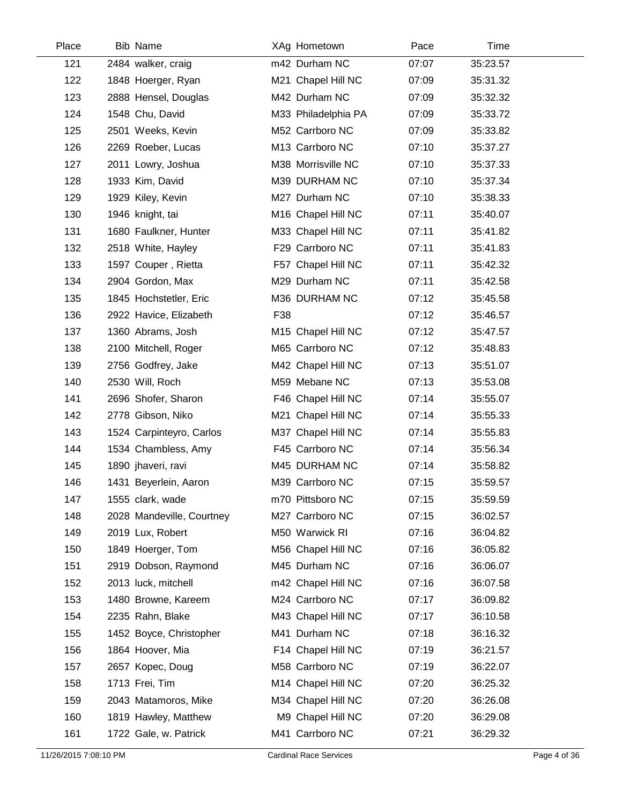| Place | <b>Bib Name</b>           | XAg Hometown        | Pace  | Time     |
|-------|---------------------------|---------------------|-------|----------|
| 121   | 2484 walker, craig        | m42 Durham NC       | 07:07 | 35:23.57 |
| 122   | 1848 Hoerger, Ryan        | M21 Chapel Hill NC  | 07:09 | 35:31.32 |
| 123   | 2888 Hensel, Douglas      | M42 Durham NC       | 07:09 | 35:32.32 |
| 124   | 1548 Chu, David           | M33 Philadelphia PA | 07:09 | 35:33.72 |
| 125   | 2501 Weeks, Kevin         | M52 Carrboro NC     | 07:09 | 35:33.82 |
| 126   | 2269 Roeber, Lucas        | M13 Carrboro NC     | 07:10 | 35:37.27 |
| 127   | 2011 Lowry, Joshua        | M38 Morrisville NC  | 07:10 | 35:37.33 |
| 128   | 1933 Kim, David           | M39 DURHAM NC       | 07:10 | 35:37.34 |
| 129   | 1929 Kiley, Kevin         | M27 Durham NC       | 07:10 | 35:38.33 |
| 130   | 1946 knight, tai          | M16 Chapel Hill NC  | 07:11 | 35:40.07 |
| 131   | 1680 Faulkner, Hunter     | M33 Chapel Hill NC  | 07:11 | 35:41.82 |
| 132   | 2518 White, Hayley        | F29 Carrboro NC     | 07:11 | 35:41.83 |
| 133   | 1597 Couper, Rietta       | F57 Chapel Hill NC  | 07:11 | 35:42.32 |
| 134   | 2904 Gordon, Max          | M29 Durham NC       | 07:11 | 35:42.58 |
| 135   | 1845 Hochstetler, Eric    | M36 DURHAM NC       | 07:12 | 35:45.58 |
| 136   | 2922 Havice, Elizabeth    | F38                 | 07:12 | 35:46.57 |
| 137   | 1360 Abrams, Josh         | M15 Chapel Hill NC  | 07:12 | 35:47.57 |
| 138   | 2100 Mitchell, Roger      | M65 Carrboro NC     | 07:12 | 35:48.83 |
| 139   | 2756 Godfrey, Jake        | M42 Chapel Hill NC  | 07:13 | 35:51.07 |
| 140   | 2530 Will, Roch           | M59 Mebane NC       | 07:13 | 35:53.08 |
| 141   | 2696 Shofer, Sharon       | F46 Chapel Hill NC  | 07:14 | 35:55.07 |
| 142   | 2778 Gibson, Niko         | M21 Chapel Hill NC  | 07:14 | 35:55.33 |
| 143   | 1524 Carpinteyro, Carlos  | M37 Chapel Hill NC  | 07:14 | 35:55.83 |
| 144   | 1534 Chambless, Amy       | F45 Carrboro NC     | 07:14 | 35:56.34 |
| 145   | 1890 jhaveri, ravi        | M45 DURHAM NC       | 07:14 | 35:58.82 |
| 146   | 1431 Beyerlein, Aaron     | M39 Carrboro NC     | 07:15 | 35:59.57 |
| 147   | 1555 clark, wade          | m70 Pittsboro NC    | 07:15 | 35:59.59 |
| 148   | 2028 Mandeville, Courtney | M27 Carrboro NC     | 07:15 | 36:02.57 |
| 149   | 2019 Lux, Robert          | M50 Warwick RI      | 07:16 | 36:04.82 |
| 150   | 1849 Hoerger, Tom         | M56 Chapel Hill NC  | 07:16 | 36:05.82 |
| 151   | 2919 Dobson, Raymond      | M45 Durham NC       | 07:16 | 36:06.07 |
| 152   | 2013 luck, mitchell       | m42 Chapel Hill NC  | 07:16 | 36:07.58 |
| 153   | 1480 Browne, Kareem       | M24 Carrboro NC     | 07:17 | 36:09.82 |
| 154   | 2235 Rahn, Blake          | M43 Chapel Hill NC  | 07:17 | 36:10.58 |
| 155   | 1452 Boyce, Christopher   | M41 Durham NC       | 07:18 | 36:16.32 |
| 156   | 1864 Hoover, Mia          | F14 Chapel Hill NC  | 07:19 | 36:21.57 |
| 157   | 2657 Kopec, Doug          | M58 Carrboro NC     | 07:19 | 36:22.07 |
| 158   | 1713 Frei, Tim            | M14 Chapel Hill NC  | 07:20 | 36:25.32 |
| 159   | 2043 Matamoros, Mike      | M34 Chapel Hill NC  | 07:20 | 36:26.08 |
| 160   | 1819 Hawley, Matthew      | M9 Chapel Hill NC   | 07:20 | 36:29.08 |
| 161   | 1722 Gale, w. Patrick     | M41 Carrboro NC     | 07:21 | 36:29.32 |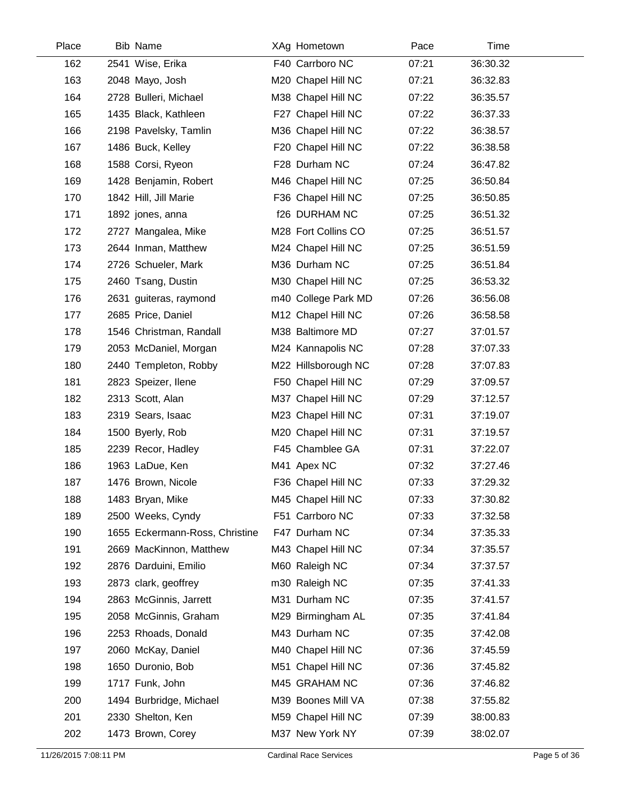| Place | <b>Bib Name</b>                | XAg Hometown        | Pace  | Time     |  |
|-------|--------------------------------|---------------------|-------|----------|--|
| 162   | 2541 Wise, Erika               | F40 Carrboro NC     | 07:21 | 36:30.32 |  |
| 163   | 2048 Mayo, Josh                | M20 Chapel Hill NC  | 07:21 | 36:32.83 |  |
| 164   | 2728 Bulleri, Michael          | M38 Chapel Hill NC  | 07:22 | 36:35.57 |  |
| 165   | 1435 Black, Kathleen           | F27 Chapel Hill NC  | 07:22 | 36:37.33 |  |
| 166   | 2198 Pavelsky, Tamlin          | M36 Chapel Hill NC  | 07:22 | 36:38.57 |  |
| 167   | 1486 Buck, Kelley              | F20 Chapel Hill NC  | 07:22 | 36:38.58 |  |
| 168   | 1588 Corsi, Ryeon              | F28 Durham NC       | 07:24 | 36:47.82 |  |
| 169   | 1428 Benjamin, Robert          | M46 Chapel Hill NC  | 07:25 | 36:50.84 |  |
| 170   | 1842 Hill, Jill Marie          | F36 Chapel Hill NC  | 07:25 | 36:50.85 |  |
| 171   | 1892 jones, anna               | f26 DURHAM NC       | 07:25 | 36:51.32 |  |
| 172   | 2727 Mangalea, Mike            | M28 Fort Collins CO | 07:25 | 36:51.57 |  |
| 173   | 2644 Inman, Matthew            | M24 Chapel Hill NC  | 07:25 | 36:51.59 |  |
| 174   | 2726 Schueler, Mark            | M36 Durham NC       | 07:25 | 36:51.84 |  |
| 175   | 2460 Tsang, Dustin             | M30 Chapel Hill NC  | 07:25 | 36:53.32 |  |
| 176   | 2631 guiteras, raymond         | m40 College Park MD | 07:26 | 36:56.08 |  |
| 177   | 2685 Price, Daniel             | M12 Chapel Hill NC  | 07:26 | 36:58.58 |  |
| 178   | 1546 Christman, Randall        | M38 Baltimore MD    | 07:27 | 37:01.57 |  |
| 179   | 2053 McDaniel, Morgan          | M24 Kannapolis NC   | 07:28 | 37:07.33 |  |
| 180   | 2440 Templeton, Robby          | M22 Hillsborough NC | 07:28 | 37:07.83 |  |
| 181   | 2823 Speizer, Ilene            | F50 Chapel Hill NC  | 07:29 | 37:09.57 |  |
| 182   | 2313 Scott, Alan               | M37 Chapel Hill NC  | 07:29 | 37:12.57 |  |
| 183   | 2319 Sears, Isaac              | M23 Chapel Hill NC  | 07:31 | 37:19.07 |  |
| 184   | 1500 Byerly, Rob               | M20 Chapel Hill NC  | 07:31 | 37:19.57 |  |
| 185   | 2239 Recor, Hadley             | F45 Chamblee GA     | 07:31 | 37:22.07 |  |
| 186   | 1963 LaDue, Ken                | M41 Apex NC         | 07:32 | 37:27.46 |  |
| 187   | 1476 Brown, Nicole             | F36 Chapel Hill NC  | 07:33 | 37:29.32 |  |
| 188   | 1483 Bryan, Mike               | M45 Chapel Hill NC  | 07:33 | 37:30.82 |  |
| 189   | 2500 Weeks, Cyndy              | F51 Carrboro NC     | 07:33 | 37:32.58 |  |
| 190   | 1655 Eckermann-Ross, Christine | F47 Durham NC       | 07:34 | 37:35.33 |  |
| 191   | 2669 MacKinnon, Matthew        | M43 Chapel Hill NC  | 07:34 | 37:35.57 |  |
| 192   | 2876 Darduini, Emilio          | M60 Raleigh NC      | 07:34 | 37:37.57 |  |
| 193   | 2873 clark, geoffrey           | m30 Raleigh NC      | 07:35 | 37:41.33 |  |
| 194   | 2863 McGinnis, Jarrett         | M31 Durham NC       | 07:35 | 37:41.57 |  |
| 195   | 2058 McGinnis, Graham          | M29 Birmingham AL   | 07:35 | 37:41.84 |  |
| 196   | 2253 Rhoads, Donald            | M43 Durham NC       | 07:35 | 37:42.08 |  |
| 197   | 2060 McKay, Daniel             | M40 Chapel Hill NC  | 07:36 | 37:45.59 |  |
| 198   | 1650 Duronio, Bob              | M51 Chapel Hill NC  | 07:36 | 37:45.82 |  |
| 199   | 1717 Funk, John                | M45 GRAHAM NC       | 07:36 | 37:46.82 |  |
| 200   | 1494 Burbridge, Michael        | M39 Boones Mill VA  | 07:38 | 37:55.82 |  |
| 201   | 2330 Shelton, Ken              | M59 Chapel Hill NC  | 07:39 | 38:00.83 |  |
| 202   | 1473 Brown, Corey              | M37 New York NY     | 07:39 | 38:02.07 |  |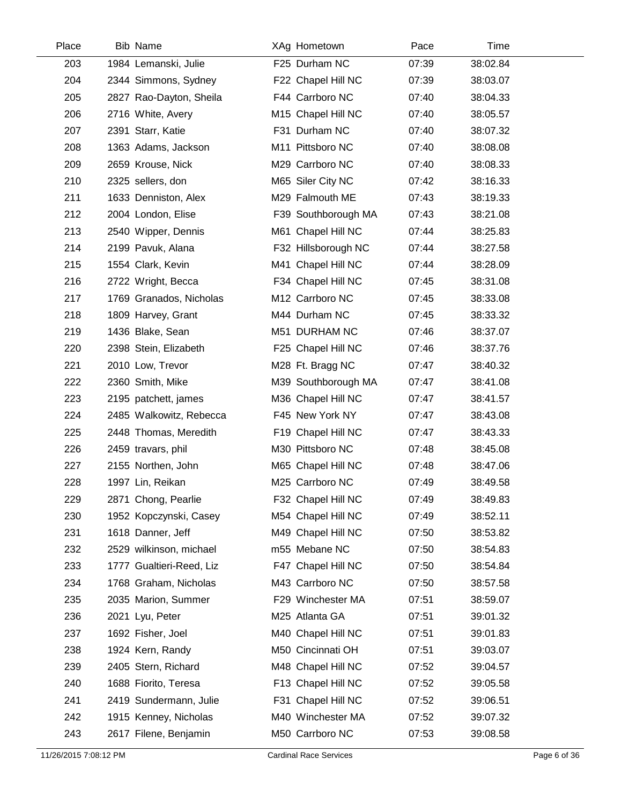| Place | <b>Bib Name</b>          | XAg Hometown        | Pace  | Time     |
|-------|--------------------------|---------------------|-------|----------|
| 203   | 1984 Lemanski, Julie     | F25 Durham NC       | 07:39 | 38:02.84 |
| 204   | 2344 Simmons, Sydney     | F22 Chapel Hill NC  | 07:39 | 38:03.07 |
| 205   | 2827 Rao-Dayton, Sheila  | F44 Carrboro NC     | 07:40 | 38:04.33 |
| 206   | 2716 White, Avery        | M15 Chapel Hill NC  | 07:40 | 38:05.57 |
| 207   | 2391 Starr, Katie        | F31 Durham NC       | 07:40 | 38:07.32 |
| 208   | 1363 Adams, Jackson      | M11 Pittsboro NC    | 07:40 | 38:08.08 |
| 209   | 2659 Krouse, Nick        | M29 Carrboro NC     | 07:40 | 38:08.33 |
| 210   | 2325 sellers, don        | M65 Siler City NC   | 07:42 | 38:16.33 |
| 211   | 1633 Denniston, Alex     | M29 Falmouth ME     | 07:43 | 38:19.33 |
| 212   | 2004 London, Elise       | F39 Southborough MA | 07:43 | 38:21.08 |
| 213   | 2540 Wipper, Dennis      | M61 Chapel Hill NC  | 07:44 | 38:25.83 |
| 214   | 2199 Pavuk, Alana        | F32 Hillsborough NC | 07:44 | 38:27.58 |
| 215   | 1554 Clark, Kevin        | M41 Chapel Hill NC  | 07:44 | 38:28.09 |
| 216   | 2722 Wright, Becca       | F34 Chapel Hill NC  | 07:45 | 38:31.08 |
| 217   | 1769 Granados, Nicholas  | M12 Carrboro NC     | 07:45 | 38:33.08 |
| 218   | 1809 Harvey, Grant       | M44 Durham NC       | 07:45 | 38:33.32 |
| 219   | 1436 Blake, Sean         | M51 DURHAM NC       | 07:46 | 38:37.07 |
| 220   | 2398 Stein, Elizabeth    | F25 Chapel Hill NC  | 07:46 | 38:37.76 |
| 221   | 2010 Low, Trevor         | M28 Ft. Bragg NC    | 07:47 | 38:40.32 |
| 222   | 2360 Smith, Mike         | M39 Southborough MA | 07:47 | 38:41.08 |
| 223   | 2195 patchett, james     | M36 Chapel Hill NC  | 07:47 | 38:41.57 |
| 224   | 2485 Walkowitz, Rebecca  | F45 New York NY     | 07:47 | 38:43.08 |
| 225   | 2448 Thomas, Meredith    | F19 Chapel Hill NC  | 07:47 | 38:43.33 |
| 226   | 2459 travars, phil       | M30 Pittsboro NC    | 07:48 | 38:45.08 |
| 227   | 2155 Northen, John       | M65 Chapel Hill NC  | 07:48 | 38:47.06 |
| 228   | 1997 Lin, Reikan         | M25 Carrboro NC     | 07:49 | 38:49.58 |
| 229   | 2871 Chong, Pearlie      | F32 Chapel Hill NC  | 07:49 | 38:49.83 |
| 230   | 1952 Kopczynski, Casey   | M54 Chapel Hill NC  | 07:49 | 38:52.11 |
| 231   | 1618 Danner, Jeff        | M49 Chapel Hill NC  | 07:50 | 38:53.82 |
| 232   | 2529 wilkinson, michael  | m55 Mebane NC       | 07:50 | 38:54.83 |
| 233   | 1777 Gualtieri-Reed, Liz | F47 Chapel Hill NC  | 07:50 | 38:54.84 |
| 234   | 1768 Graham, Nicholas    | M43 Carrboro NC     | 07:50 | 38:57.58 |
| 235   | 2035 Marion, Summer      | F29 Winchester MA   | 07:51 | 38:59.07 |
| 236   | 2021 Lyu, Peter          | M25 Atlanta GA      | 07:51 | 39:01.32 |
| 237   | 1692 Fisher, Joel        | M40 Chapel Hill NC  | 07:51 | 39:01.83 |
| 238   | 1924 Kern, Randy         | M50 Cincinnati OH   | 07:51 | 39:03.07 |
| 239   | 2405 Stern, Richard      | M48 Chapel Hill NC  | 07:52 | 39:04.57 |
| 240   | 1688 Fiorito, Teresa     | F13 Chapel Hill NC  | 07:52 | 39:05.58 |
| 241   | 2419 Sundermann, Julie   | F31 Chapel Hill NC  | 07:52 | 39:06.51 |
| 242   | 1915 Kenney, Nicholas    | M40 Winchester MA   | 07:52 | 39:07.32 |
| 243   | 2617 Filene, Benjamin    | M50 Carrboro NC     | 07:53 | 39:08.58 |
|       |                          |                     |       |          |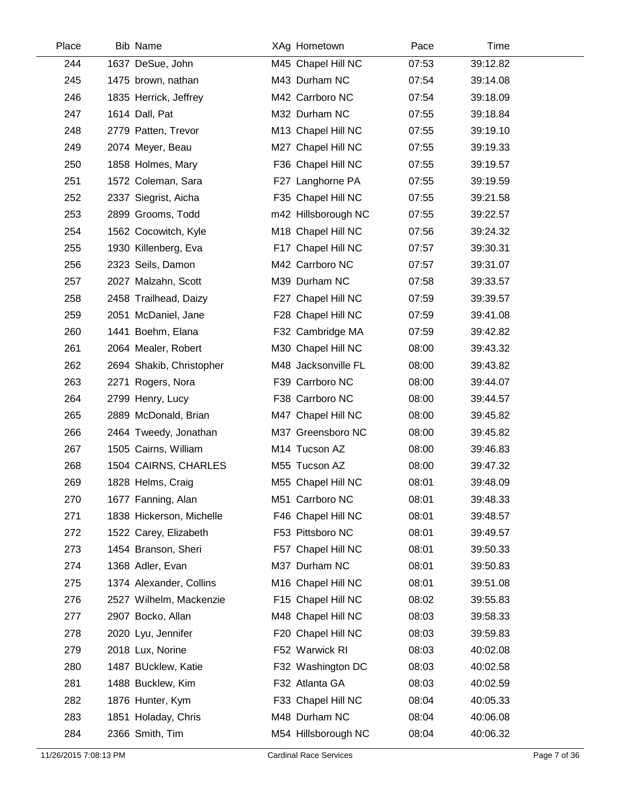| Place | <b>Bib Name</b>          | XAg Hometown        | Pace  | Time     |
|-------|--------------------------|---------------------|-------|----------|
| 244   | 1637 DeSue, John         | M45 Chapel Hill NC  | 07:53 | 39:12.82 |
| 245   | 1475 brown, nathan       | M43 Durham NC       | 07:54 | 39:14.08 |
| 246   | 1835 Herrick, Jeffrey    | M42 Carrboro NC     | 07:54 | 39:18.09 |
| 247   | 1614 Dall, Pat           | M32 Durham NC       | 07:55 | 39:18.84 |
| 248   | 2779 Patten, Trevor      | M13 Chapel Hill NC  | 07:55 | 39:19.10 |
| 249   | 2074 Meyer, Beau         | M27 Chapel Hill NC  | 07:55 | 39:19.33 |
| 250   | 1858 Holmes, Mary        | F36 Chapel Hill NC  | 07:55 | 39:19.57 |
| 251   | 1572 Coleman, Sara       | F27 Langhorne PA    | 07:55 | 39:19.59 |
| 252   | 2337 Siegrist, Aicha     | F35 Chapel Hill NC  | 07:55 | 39:21.58 |
| 253   | 2899 Grooms, Todd        | m42 Hillsborough NC | 07:55 | 39:22.57 |
| 254   | 1562 Cocowitch, Kyle     | M18 Chapel Hill NC  | 07:56 | 39:24.32 |
| 255   | 1930 Killenberg, Eva     | F17 Chapel Hill NC  | 07:57 | 39:30.31 |
| 256   | 2323 Seils, Damon        | M42 Carrboro NC     | 07:57 | 39:31.07 |
| 257   | 2027 Malzahn, Scott      | M39 Durham NC       | 07:58 | 39:33.57 |
| 258   | 2458 Trailhead, Daizy    | F27 Chapel Hill NC  | 07:59 | 39:39.57 |
| 259   | 2051 McDaniel, Jane      | F28 Chapel Hill NC  | 07:59 | 39:41.08 |
| 260   | 1441 Boehm, Elana        | F32 Cambridge MA    | 07:59 | 39:42.82 |
| 261   | 2064 Mealer, Robert      | M30 Chapel Hill NC  | 08:00 | 39:43.32 |
| 262   | 2694 Shakib, Christopher | M48 Jacksonville FL | 08:00 | 39:43.82 |
| 263   | 2271 Rogers, Nora        | F39 Carrboro NC     | 08:00 | 39:44.07 |
| 264   | 2799 Henry, Lucy         | F38 Carrboro NC     | 08:00 | 39:44.57 |
| 265   | 2889 McDonald, Brian     | M47 Chapel Hill NC  | 08:00 | 39:45.82 |
| 266   | 2464 Tweedy, Jonathan    | M37 Greensboro NC   | 08:00 | 39:45.82 |
| 267   | 1505 Cairns, William     | M14 Tucson AZ       | 08:00 | 39:46.83 |
| 268   | 1504 CAIRNS, CHARLES     | M55 Tucson AZ       | 08:00 | 39:47.32 |
| 269   | 1828 Helms, Craig        | M55 Chapel Hill NC  | 08:01 | 39:48.09 |
| 270   | 1677 Fanning, Alan       | M51 Carrboro NC     | 08:01 | 39:48.33 |
| 271   | 1838 Hickerson, Michelle | F46 Chapel Hill NC  | 08:01 | 39:48.57 |
| 272   | 1522 Carey, Elizabeth    | F53 Pittsboro NC    | 08:01 | 39:49.57 |
| 273   | 1454 Branson, Sheri      | F57 Chapel Hill NC  | 08:01 | 39:50.33 |
| 274   | 1368 Adler, Evan         | M37 Durham NC       | 08:01 | 39:50.83 |
| 275   | 1374 Alexander, Collins  | M16 Chapel Hill NC  | 08:01 | 39:51.08 |
| 276   | 2527 Wilhelm, Mackenzie  | F15 Chapel Hill NC  | 08:02 | 39:55.83 |
| 277   | 2907 Bocko, Allan        | M48 Chapel Hill NC  | 08:03 | 39:58.33 |
| 278   | 2020 Lyu, Jennifer       | F20 Chapel Hill NC  | 08:03 | 39:59.83 |
| 279   | 2018 Lux, Norine         | F52 Warwick RI      | 08:03 | 40:02.08 |
| 280   | 1487 BUcklew, Katie      | F32 Washington DC   | 08:03 | 40:02.58 |
| 281   | 1488 Bucklew, Kim        | F32 Atlanta GA      | 08:03 | 40:02.59 |
| 282   | 1876 Hunter, Kym         | F33 Chapel Hill NC  | 08:04 | 40:05.33 |
| 283   | 1851 Holaday, Chris      | M48 Durham NC       | 08:04 | 40:06.08 |
| 284   | 2366 Smith, Tim          | M54 Hillsborough NC | 08:04 | 40:06.32 |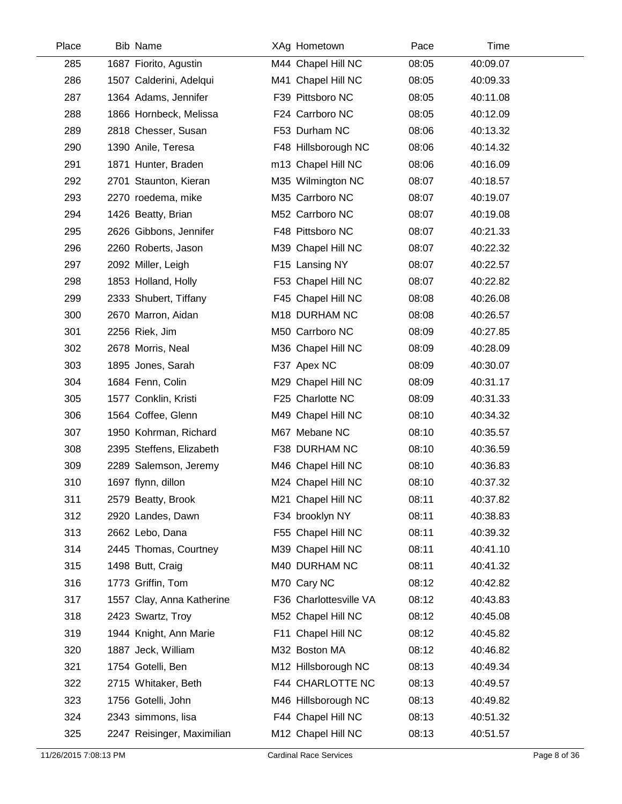| Place | <b>Bib Name</b>            | XAg Hometown           | Pace  | Time     |
|-------|----------------------------|------------------------|-------|----------|
| 285   | 1687 Fiorito, Agustin      | M44 Chapel Hill NC     | 08:05 | 40:09.07 |
| 286   | 1507 Calderini, Adelqui    | M41 Chapel Hill NC     | 08:05 | 40:09.33 |
| 287   | 1364 Adams, Jennifer       | F39 Pittsboro NC       | 08:05 | 40:11.08 |
| 288   | 1866 Hornbeck, Melissa     | F24 Carrboro NC        | 08:05 | 40:12.09 |
| 289   | 2818 Chesser, Susan        | F53 Durham NC          | 08:06 | 40:13.32 |
| 290   | 1390 Anile, Teresa         | F48 Hillsborough NC    | 08:06 | 40:14.32 |
| 291   | 1871 Hunter, Braden        | m13 Chapel Hill NC     | 08:06 | 40:16.09 |
| 292   | 2701 Staunton, Kieran      | M35 Wilmington NC      | 08:07 | 40:18.57 |
| 293   | 2270 roedema, mike         | M35 Carrboro NC        | 08:07 | 40:19.07 |
| 294   | 1426 Beatty, Brian         | M52 Carrboro NC        | 08:07 | 40:19.08 |
| 295   | 2626 Gibbons, Jennifer     | F48 Pittsboro NC       | 08:07 | 40:21.33 |
| 296   | 2260 Roberts, Jason        | M39 Chapel Hill NC     | 08:07 | 40:22.32 |
| 297   | 2092 Miller, Leigh         | F15 Lansing NY         | 08:07 | 40:22.57 |
| 298   | 1853 Holland, Holly        | F53 Chapel Hill NC     | 08:07 | 40:22.82 |
| 299   | 2333 Shubert, Tiffany      | F45 Chapel Hill NC     | 08:08 | 40:26.08 |
| 300   | 2670 Marron, Aidan         | M18 DURHAM NC          | 08:08 | 40:26.57 |
| 301   | 2256 Riek, Jim             | M50 Carrboro NC        | 08:09 | 40:27.85 |
| 302   | 2678 Morris, Neal          | M36 Chapel Hill NC     | 08:09 | 40:28.09 |
| 303   | 1895 Jones, Sarah          | F37 Apex NC            | 08:09 | 40:30.07 |
| 304   | 1684 Fenn, Colin           | M29 Chapel Hill NC     | 08:09 | 40:31.17 |
| 305   | 1577 Conklin, Kristi       | F25 Charlotte NC       | 08:09 | 40:31.33 |
| 306   | 1564 Coffee, Glenn         | M49 Chapel Hill NC     | 08:10 | 40:34.32 |
| 307   | 1950 Kohrman, Richard      | M67 Mebane NC          | 08:10 | 40:35.57 |
| 308   | 2395 Steffens, Elizabeth   | F38 DURHAM NC          | 08:10 | 40:36.59 |
| 309   | 2289 Salemson, Jeremy      | M46 Chapel Hill NC     | 08:10 | 40:36.83 |
| 310   | 1697 flynn, dillon         | M24 Chapel Hill NC     | 08:10 | 40:37.32 |
| 311   | 2579 Beatty, Brook         | M21 Chapel Hill NC     | 08:11 | 40:37.82 |
| 312   | 2920 Landes, Dawn          | F34 brooklyn NY        | 08:11 | 40:38.83 |
| 313   | 2662 Lebo, Dana            | F55 Chapel Hill NC     | 08:11 | 40:39.32 |
| 314   | 2445 Thomas, Courtney      | M39 Chapel Hill NC     | 08:11 | 40:41.10 |
| 315   | 1498 Butt, Craig           | M40 DURHAM NC          | 08:11 | 40:41.32 |
| 316   | 1773 Griffin, Tom          | M70 Cary NC            | 08:12 | 40:42.82 |
| 317   | 1557 Clay, Anna Katherine  | F36 Charlottesville VA | 08:12 | 40:43.83 |
| 318   | 2423 Swartz, Troy          | M52 Chapel Hill NC     | 08:12 | 40:45.08 |
| 319   | 1944 Knight, Ann Marie     | F11 Chapel Hill NC     | 08:12 | 40:45.82 |
| 320   | 1887 Jeck, William         | M32 Boston MA          | 08:12 | 40:46.82 |
| 321   | 1754 Gotelli, Ben          | M12 Hillsborough NC    | 08:13 | 40:49.34 |
| 322   | 2715 Whitaker, Beth        | F44 CHARLOTTE NC       | 08:13 | 40:49.57 |
| 323   | 1756 Gotelli, John         | M46 Hillsborough NC    | 08:13 | 40:49.82 |
| 324   | 2343 simmons, lisa         | F44 Chapel Hill NC     | 08:13 | 40:51.32 |
| 325   | 2247 Reisinger, Maximilian | M12 Chapel Hill NC     | 08:13 | 40:51.57 |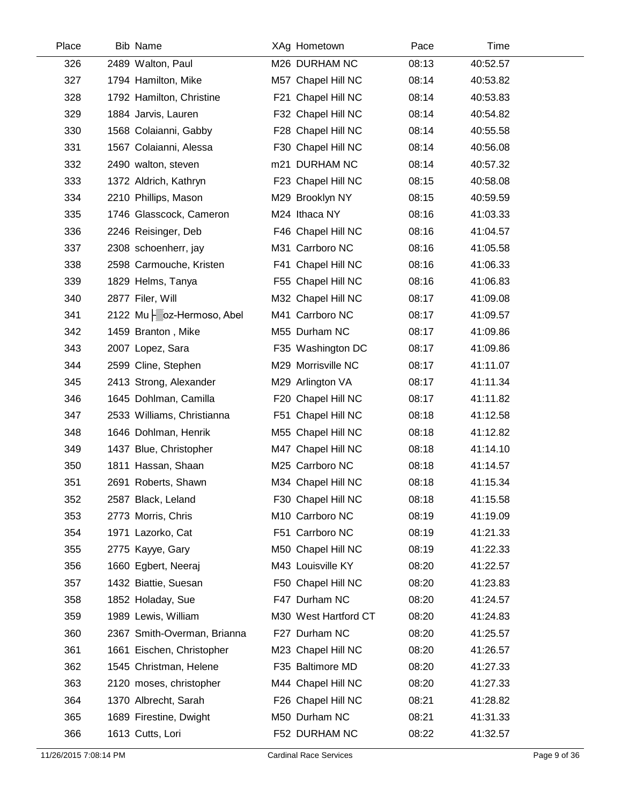| Place | <b>Bib Name</b>             | XAg Hometown         | Pace  | Time     |
|-------|-----------------------------|----------------------|-------|----------|
| 326   | 2489 Walton, Paul           | M26 DURHAM NC        | 08:13 | 40:52.57 |
| 327   | 1794 Hamilton, Mike         | M57 Chapel Hill NC   | 08:14 | 40:53.82 |
| 328   | 1792 Hamilton, Christine    | F21 Chapel Hill NC   | 08:14 | 40:53.83 |
| 329   | 1884 Jarvis, Lauren         | F32 Chapel Hill NC   | 08:14 | 40:54.82 |
| 330   | 1568 Colaianni, Gabby       | F28 Chapel Hill NC   | 08:14 | 40:55.58 |
| 331   | 1567 Colaianni, Alessa      | F30 Chapel Hill NC   | 08:14 | 40:56.08 |
| 332   | 2490 walton, steven         | m21 DURHAM NC        | 08:14 | 40:57.32 |
| 333   | 1372 Aldrich, Kathryn       | F23 Chapel Hill NC   | 08:15 | 40:58.08 |
| 334   | 2210 Phillips, Mason        | M29 Brooklyn NY      | 08:15 | 40:59.59 |
| 335   | 1746 Glasscock, Cameron     | M24 Ithaca NY        | 08:16 | 41:03.33 |
| 336   | 2246 Reisinger, Deb         | F46 Chapel Hill NC   | 08:16 | 41:04.57 |
| 337   | 2308 schoenherr, jay        | M31 Carrboro NC      | 08:16 | 41:05.58 |
| 338   | 2598 Carmouche, Kristen     | F41 Chapel Hill NC   | 08:16 | 41:06.33 |
| 339   | 1829 Helms, Tanya           | F55 Chapel Hill NC   | 08:16 | 41:06.83 |
| 340   | 2877 Filer, Will            | M32 Chapel Hill NC   | 08:17 | 41:09.08 |
| 341   | 2122 Mu   oz-Hermoso, Abel  | M41 Carrboro NC      | 08:17 | 41:09.57 |
| 342   | 1459 Branton, Mike          | M55 Durham NC        | 08:17 | 41:09.86 |
| 343   | 2007 Lopez, Sara            | F35 Washington DC    | 08:17 | 41:09.86 |
| 344   | 2599 Cline, Stephen         | M29 Morrisville NC   | 08:17 | 41:11.07 |
| 345   | 2413 Strong, Alexander      | M29 Arlington VA     | 08:17 | 41:11.34 |
| 346   | 1645 Dohlman, Camilla       | F20 Chapel Hill NC   | 08:17 | 41:11.82 |
| 347   | 2533 Williams, Christianna  | F51 Chapel Hill NC   | 08:18 | 41:12.58 |
| 348   | 1646 Dohlman, Henrik        | M55 Chapel Hill NC   | 08:18 | 41:12.82 |
| 349   | 1437 Blue, Christopher      | M47 Chapel Hill NC   | 08:18 | 41:14.10 |
| 350   | 1811 Hassan, Shaan          | M25 Carrboro NC      | 08:18 | 41:14.57 |
| 351   | 2691 Roberts, Shawn         | M34 Chapel Hill NC   | 08:18 | 41:15.34 |
| 352   | 2587 Black, Leland          | F30 Chapel Hill NC   | 08:18 | 41:15.58 |
| 353   | 2773 Morris, Chris          | M10 Carrboro NC      | 08:19 | 41:19.09 |
| 354   | 1971 Lazorko, Cat           | F51 Carrboro NC      | 08:19 | 41:21.33 |
| 355   | 2775 Kayye, Gary            | M50 Chapel Hill NC   | 08:19 | 41:22.33 |
| 356   | 1660 Egbert, Neeraj         | M43 Louisville KY    | 08:20 | 41:22.57 |
| 357   | 1432 Biattie, Suesan        | F50 Chapel Hill NC   | 08:20 | 41:23.83 |
| 358   | 1852 Holaday, Sue           | F47 Durham NC        | 08:20 | 41:24.57 |
| 359   | 1989 Lewis, William         | M30 West Hartford CT | 08:20 | 41:24.83 |
| 360   | 2367 Smith-Overman, Brianna | F27 Durham NC        | 08:20 | 41:25.57 |
| 361   | 1661 Eischen, Christopher   | M23 Chapel Hill NC   | 08:20 | 41:26.57 |
| 362   | 1545 Christman, Helene      | F35 Baltimore MD     | 08:20 | 41:27.33 |
| 363   | 2120 moses, christopher     | M44 Chapel Hill NC   | 08:20 | 41:27.33 |
| 364   | 1370 Albrecht, Sarah        | F26 Chapel Hill NC   | 08:21 | 41:28.82 |
| 365   | 1689 Firestine, Dwight      | M50 Durham NC        | 08:21 | 41:31.33 |
| 366   | 1613 Cutts, Lori            | F52 DURHAM NC        | 08:22 | 41:32.57 |
|       |                             |                      |       |          |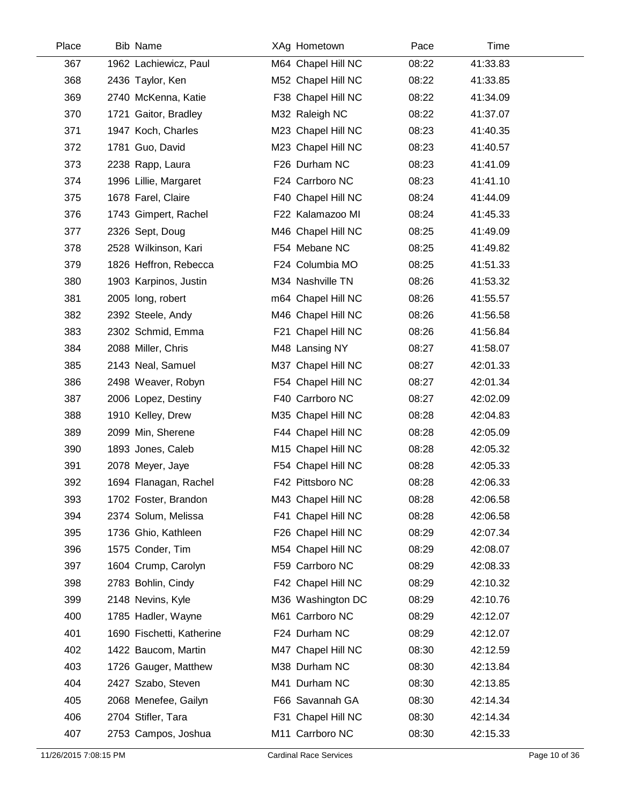| Place | <b>Bib Name</b>           | XAg Hometown       | Pace  | Time     |
|-------|---------------------------|--------------------|-------|----------|
| 367   | 1962 Lachiewicz, Paul     | M64 Chapel Hill NC | 08:22 | 41:33.83 |
| 368   | 2436 Taylor, Ken          | M52 Chapel Hill NC | 08:22 | 41:33.85 |
| 369   | 2740 McKenna, Katie       | F38 Chapel Hill NC | 08:22 | 41:34.09 |
| 370   | 1721 Gaitor, Bradley      | M32 Raleigh NC     | 08:22 | 41:37.07 |
| 371   | 1947 Koch, Charles        | M23 Chapel Hill NC | 08:23 | 41:40.35 |
| 372   | 1781 Guo, David           | M23 Chapel Hill NC | 08:23 | 41:40.57 |
| 373   | 2238 Rapp, Laura          | F26 Durham NC      | 08:23 | 41:41.09 |
| 374   | 1996 Lillie, Margaret     | F24 Carrboro NC    | 08:23 | 41:41.10 |
| 375   | 1678 Farel, Claire        | F40 Chapel Hill NC | 08:24 | 41:44.09 |
| 376   | 1743 Gimpert, Rachel      | F22 Kalamazoo MI   | 08:24 | 41:45.33 |
| 377   | 2326 Sept, Doug           | M46 Chapel Hill NC | 08:25 | 41:49.09 |
| 378   | 2528 Wilkinson, Kari      | F54 Mebane NC      | 08:25 | 41:49.82 |
| 379   | 1826 Heffron, Rebecca     | F24 Columbia MO    | 08:25 | 41:51.33 |
| 380   | 1903 Karpinos, Justin     | M34 Nashville TN   | 08:26 | 41:53.32 |
| 381   | 2005 long, robert         | m64 Chapel Hill NC | 08:26 | 41:55.57 |
| 382   | 2392 Steele, Andy         | M46 Chapel Hill NC | 08:26 | 41:56.58 |
| 383   | 2302 Schmid, Emma         | F21 Chapel Hill NC | 08:26 | 41:56.84 |
| 384   | 2088 Miller, Chris        | M48 Lansing NY     | 08:27 | 41:58.07 |
| 385   | 2143 Neal, Samuel         | M37 Chapel Hill NC | 08:27 | 42:01.33 |
| 386   | 2498 Weaver, Robyn        | F54 Chapel Hill NC | 08:27 | 42:01.34 |
| 387   | 2006 Lopez, Destiny       | F40 Carrboro NC    | 08:27 | 42:02.09 |
| 388   | 1910 Kelley, Drew         | M35 Chapel Hill NC | 08:28 | 42:04.83 |
| 389   | 2099 Min, Sherene         | F44 Chapel Hill NC | 08:28 | 42:05.09 |
| 390   | 1893 Jones, Caleb         | M15 Chapel Hill NC | 08:28 | 42:05.32 |
| 391   | 2078 Meyer, Jaye          | F54 Chapel Hill NC | 08:28 | 42:05.33 |
| 392   | 1694 Flanagan, Rachel     | F42 Pittsboro NC   | 08:28 | 42:06.33 |
| 393   | 1702 Foster, Brandon      | M43 Chapel Hill NC | 08:28 | 42:06.58 |
| 394   | 2374 Solum, Melissa       | F41 Chapel Hill NC | 08:28 | 42:06.58 |
| 395   | 1736 Ghio, Kathleen       | F26 Chapel Hill NC | 08:29 | 42:07.34 |
| 396   | 1575 Conder, Tim          | M54 Chapel Hill NC | 08:29 | 42:08.07 |
| 397   | 1604 Crump, Carolyn       | F59 Carrboro NC    | 08:29 | 42:08.33 |
| 398   | 2783 Bohlin, Cindy        | F42 Chapel Hill NC | 08:29 | 42:10.32 |
| 399   | 2148 Nevins, Kyle         | M36 Washington DC  | 08:29 | 42:10.76 |
| 400   | 1785 Hadler, Wayne        | M61 Carrboro NC    | 08:29 | 42:12.07 |
| 401   | 1690 Fischetti, Katherine | F24 Durham NC      | 08:29 | 42:12.07 |
| 402   | 1422 Baucom, Martin       | M47 Chapel Hill NC | 08:30 | 42:12.59 |
| 403   | 1726 Gauger, Matthew      | M38 Durham NC      | 08:30 | 42:13.84 |
| 404   | 2427 Szabo, Steven        | M41 Durham NC      | 08:30 | 42:13.85 |
| 405   | 2068 Menefee, Gailyn      | F66 Savannah GA    | 08:30 | 42:14.34 |
| 406   | 2704 Stifler, Tara        | F31 Chapel Hill NC | 08:30 | 42:14.34 |
| 407   | 2753 Campos, Joshua       | M11 Carrboro NC    | 08:30 | 42:15.33 |
|       |                           |                    |       |          |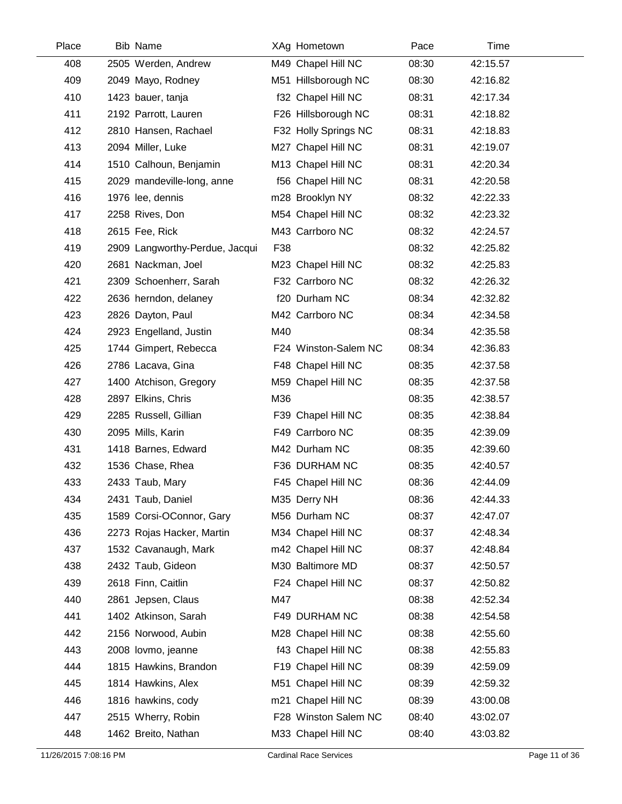| Place | <b>Bib Name</b>                | XAg Hometown         | Pace  | Time     |  |
|-------|--------------------------------|----------------------|-------|----------|--|
| 408   | 2505 Werden, Andrew            | M49 Chapel Hill NC   | 08:30 | 42:15.57 |  |
| 409   | 2049 Mayo, Rodney              | M51 Hillsborough NC  | 08:30 | 42:16.82 |  |
| 410   | 1423 bauer, tanja              | f32 Chapel Hill NC   | 08:31 | 42:17.34 |  |
| 411   | 2192 Parrott, Lauren           | F26 Hillsborough NC  | 08:31 | 42:18.82 |  |
| 412   | 2810 Hansen, Rachael           | F32 Holly Springs NC | 08:31 | 42:18.83 |  |
| 413   | 2094 Miller, Luke              | M27 Chapel Hill NC   | 08:31 | 42:19.07 |  |
| 414   | 1510 Calhoun, Benjamin         | M13 Chapel Hill NC   | 08:31 | 42:20.34 |  |
| 415   | 2029 mandeville-long, anne     | f56 Chapel Hill NC   | 08:31 | 42:20.58 |  |
| 416   | 1976 lee, dennis               | m28 Brooklyn NY      | 08:32 | 42:22.33 |  |
| 417   | 2258 Rives, Don                | M54 Chapel Hill NC   | 08:32 | 42:23.32 |  |
| 418   | 2615 Fee, Rick                 | M43 Carrboro NC      | 08:32 | 42:24.57 |  |
| 419   | 2909 Langworthy-Perdue, Jacqui | F38                  | 08:32 | 42:25.82 |  |
| 420   | 2681 Nackman, Joel             | M23 Chapel Hill NC   | 08:32 | 42:25.83 |  |
| 421   | 2309 Schoenherr, Sarah         | F32 Carrboro NC      | 08:32 | 42:26.32 |  |
| 422   | 2636 herndon, delaney          | f20 Durham NC        | 08:34 | 42:32.82 |  |
| 423   | 2826 Dayton, Paul              | M42 Carrboro NC      | 08:34 | 42:34.58 |  |
| 424   | 2923 Engelland, Justin         | M40                  | 08:34 | 42:35.58 |  |
| 425   | 1744 Gimpert, Rebecca          | F24 Winston-Salem NC | 08:34 | 42:36.83 |  |
| 426   | 2786 Lacava, Gina              | F48 Chapel Hill NC   | 08:35 | 42:37.58 |  |
| 427   | 1400 Atchison, Gregory         | M59 Chapel Hill NC   | 08:35 | 42:37.58 |  |
| 428   | 2897 Elkins, Chris             | M36                  | 08:35 | 42:38.57 |  |
| 429   | 2285 Russell, Gillian          | F39 Chapel Hill NC   | 08:35 | 42:38.84 |  |
| 430   | 2095 Mills, Karin              | F49 Carrboro NC      | 08:35 | 42:39.09 |  |
| 431   | 1418 Barnes, Edward            | M42 Durham NC        | 08:35 | 42:39.60 |  |
| 432   | 1536 Chase, Rhea               | F36 DURHAM NC        | 08:35 | 42:40.57 |  |
| 433   | 2433 Taub, Mary                | F45 Chapel Hill NC   | 08:36 | 42:44.09 |  |
| 434   | 2431 Taub, Daniel              | M35 Derry NH         | 08:36 | 42:44.33 |  |
| 435   | 1589 Corsi-OConnor, Gary       | M56 Durham NC        | 08:37 | 42:47.07 |  |
| 436   | 2273 Rojas Hacker, Martin      | M34 Chapel Hill NC   | 08:37 | 42:48.34 |  |
| 437   | 1532 Cavanaugh, Mark           | m42 Chapel Hill NC   | 08:37 | 42:48.84 |  |
| 438   | 2432 Taub, Gideon              | M30 Baltimore MD     | 08:37 | 42:50.57 |  |
| 439   | 2618 Finn, Caitlin             | F24 Chapel Hill NC   | 08:37 | 42:50.82 |  |
| 440   | 2861 Jepsen, Claus             | M47                  | 08:38 | 42:52.34 |  |
| 441   | 1402 Atkinson, Sarah           | F49 DURHAM NC        | 08:38 | 42:54.58 |  |
| 442   | 2156 Norwood, Aubin            | M28 Chapel Hill NC   | 08:38 | 42:55.60 |  |
| 443   | 2008 lovmo, jeanne             | f43 Chapel Hill NC   | 08:38 | 42:55.83 |  |
| 444   | 1815 Hawkins, Brandon          | F19 Chapel Hill NC   | 08:39 | 42:59.09 |  |
| 445   | 1814 Hawkins, Alex             | M51 Chapel Hill NC   | 08:39 | 42:59.32 |  |
| 446   | 1816 hawkins, cody             | m21 Chapel Hill NC   | 08:39 | 43:00.08 |  |
| 447   | 2515 Wherry, Robin             | F28 Winston Salem NC | 08:40 | 43:02.07 |  |
| 448   | 1462 Breito, Nathan            | M33 Chapel Hill NC   | 08:40 | 43:03.82 |  |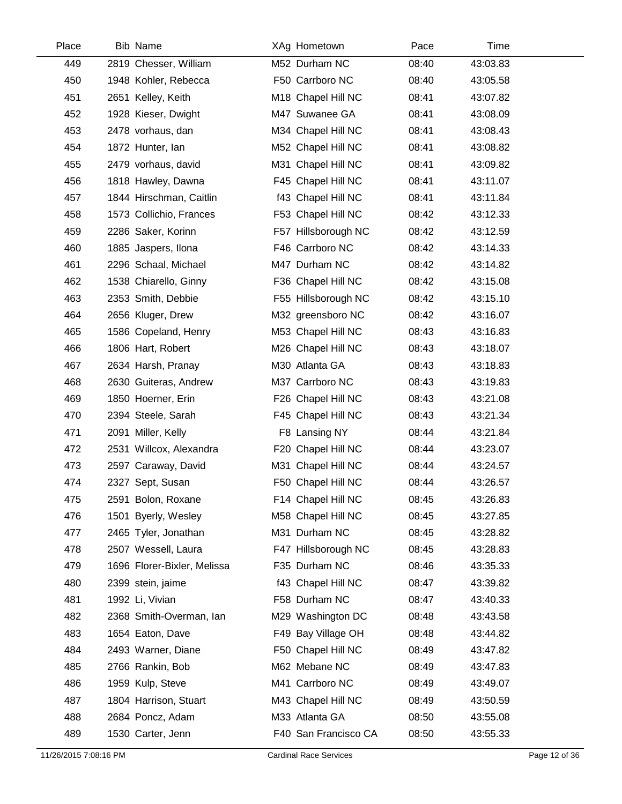| Place | <b>Bib Name</b>             | XAg Hometown         | Pace  | Time     |
|-------|-----------------------------|----------------------|-------|----------|
| 449   | 2819 Chesser, William       | M52 Durham NC        | 08:40 | 43:03.83 |
| 450   | 1948 Kohler, Rebecca        | F50 Carrboro NC      | 08:40 | 43:05.58 |
| 451   | 2651 Kelley, Keith          | M18 Chapel Hill NC   | 08:41 | 43:07.82 |
| 452   | 1928 Kieser, Dwight         | M47 Suwanee GA       | 08:41 | 43:08.09 |
| 453   | 2478 vorhaus, dan           | M34 Chapel Hill NC   | 08:41 | 43:08.43 |
| 454   | 1872 Hunter, lan            | M52 Chapel Hill NC   | 08:41 | 43:08.82 |
| 455   | 2479 vorhaus, david         | M31 Chapel Hill NC   | 08:41 | 43:09.82 |
| 456   | 1818 Hawley, Dawna          | F45 Chapel Hill NC   | 08:41 | 43:11.07 |
| 457   | 1844 Hirschman, Caitlin     | f43 Chapel Hill NC   | 08:41 | 43:11.84 |
| 458   | 1573 Collichio, Frances     | F53 Chapel Hill NC   | 08:42 | 43:12.33 |
| 459   | 2286 Saker, Korinn          | F57 Hillsborough NC  | 08:42 | 43:12.59 |
| 460   | 1885 Jaspers, Ilona         | F46 Carrboro NC      | 08:42 | 43:14.33 |
| 461   | 2296 Schaal, Michael        | M47 Durham NC        | 08:42 | 43:14.82 |
| 462   | 1538 Chiarello, Ginny       | F36 Chapel Hill NC   | 08:42 | 43:15.08 |
| 463   | 2353 Smith, Debbie          | F55 Hillsborough NC  | 08:42 | 43:15.10 |
| 464   | 2656 Kluger, Drew           | M32 greensboro NC    | 08:42 | 43:16.07 |
| 465   | 1586 Copeland, Henry        | M53 Chapel Hill NC   | 08:43 | 43:16.83 |
| 466   | 1806 Hart, Robert           | M26 Chapel Hill NC   | 08:43 | 43:18.07 |
| 467   | 2634 Harsh, Pranay          | M30 Atlanta GA       | 08:43 | 43:18.83 |
| 468   | 2630 Guiteras, Andrew       | M37 Carrboro NC      | 08:43 | 43:19.83 |
| 469   | 1850 Hoerner, Erin          | F26 Chapel Hill NC   | 08:43 | 43:21.08 |
| 470   | 2394 Steele, Sarah          | F45 Chapel Hill NC   | 08:43 | 43:21.34 |
| 471   | 2091 Miller, Kelly          | F8 Lansing NY        | 08:44 | 43:21.84 |
| 472   | 2531 Willcox, Alexandra     | F20 Chapel Hill NC   | 08:44 | 43:23.07 |
| 473   | 2597 Caraway, David         | M31 Chapel Hill NC   | 08:44 | 43:24.57 |
| 474   | 2327 Sept, Susan            | F50 Chapel Hill NC   | 08:44 | 43:26.57 |
| 475   | 2591 Bolon, Roxane          | F14 Chapel Hill NC   | 08:45 | 43:26.83 |
| 476   | 1501 Byerly, Wesley         | M58 Chapel Hill NC   | 08:45 | 43:27.85 |
| 477   | 2465 Tyler, Jonathan        | M31 Durham NC        | 08:45 | 43:28.82 |
| 478   | 2507 Wessell, Laura         | F47 Hillsborough NC  | 08:45 | 43:28.83 |
| 479   | 1696 Florer-Bixler, Melissa | F35 Durham NC        | 08:46 | 43:35.33 |
| 480   | 2399 stein, jaime           | f43 Chapel Hill NC   | 08:47 | 43:39.82 |
| 481   | 1992 Li, Vivian             | F58 Durham NC        | 08:47 | 43:40.33 |
| 482   | 2368 Smith-Overman, Ian     | M29 Washington DC    | 08:48 | 43:43.58 |
| 483   | 1654 Eaton, Dave            | F49 Bay Village OH   | 08:48 | 43:44.82 |
| 484   | 2493 Warner, Diane          | F50 Chapel Hill NC   | 08:49 | 43:47.82 |
| 485   | 2766 Rankin, Bob            | M62 Mebane NC        | 08:49 | 43:47.83 |
| 486   | 1959 Kulp, Steve            | M41 Carrboro NC      | 08:49 | 43:49.07 |
| 487   | 1804 Harrison, Stuart       | M43 Chapel Hill NC   | 08:49 | 43:50.59 |
| 488   | 2684 Poncz, Adam            | M33 Atlanta GA       | 08:50 | 43:55.08 |
| 489   | 1530 Carter, Jenn           | F40 San Francisco CA | 08:50 | 43:55.33 |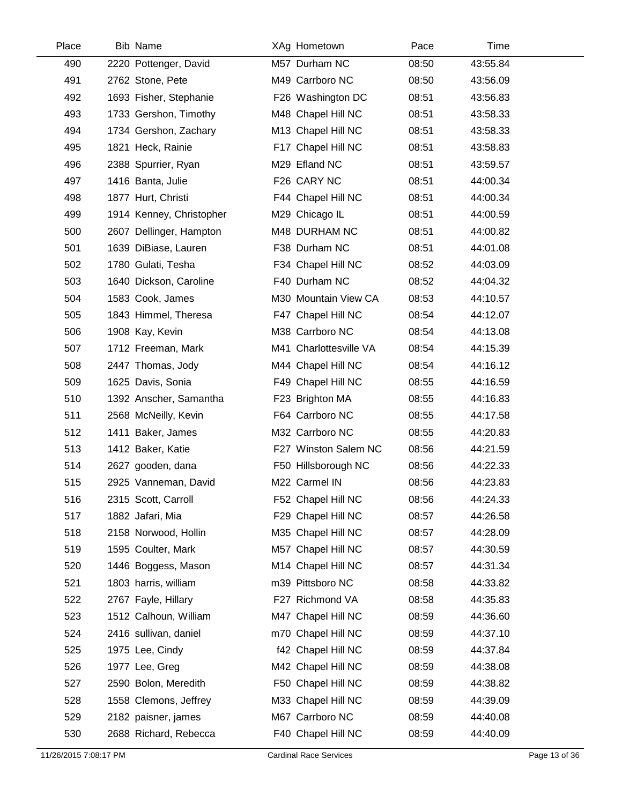| Place | <b>Bib Name</b>          | XAg Hometown           | Pace  | Time     |
|-------|--------------------------|------------------------|-------|----------|
| 490   | 2220 Pottenger, David    | M57 Durham NC          | 08:50 | 43:55.84 |
| 491   | 2762 Stone, Pete         | M49 Carrboro NC        | 08:50 | 43:56.09 |
| 492   | 1693 Fisher, Stephanie   | F26 Washington DC      | 08:51 | 43:56.83 |
| 493   | 1733 Gershon, Timothy    | M48 Chapel Hill NC     | 08:51 | 43:58.33 |
| 494   | 1734 Gershon, Zachary    | M13 Chapel Hill NC     | 08:51 | 43:58.33 |
| 495   | 1821 Heck, Rainie        | F17 Chapel Hill NC     | 08:51 | 43:58.83 |
| 496   | 2388 Spurrier, Ryan      | M29 Efland NC          | 08:51 | 43:59.57 |
| 497   | 1416 Banta, Julie        | F26 CARY NC            | 08:51 | 44:00.34 |
| 498   | 1877 Hurt, Christi       | F44 Chapel Hill NC     | 08:51 | 44:00.34 |
| 499   | 1914 Kenney, Christopher | M29 Chicago IL         | 08:51 | 44:00.59 |
| 500   | 2607 Dellinger, Hampton  | M48 DURHAM NC          | 08:51 | 44:00.82 |
| 501   | 1639 DiBiase, Lauren     | F38 Durham NC          | 08:51 | 44:01.08 |
| 502   | 1780 Gulati, Tesha       | F34 Chapel Hill NC     | 08:52 | 44:03.09 |
| 503   | 1640 Dickson, Caroline   | F40 Durham NC          | 08:52 | 44:04.32 |
| 504   | 1583 Cook, James         | M30 Mountain View CA   | 08:53 | 44:10.57 |
| 505   | 1843 Himmel, Theresa     | F47 Chapel Hill NC     | 08:54 | 44:12.07 |
| 506   | 1908 Kay, Kevin          | M38 Carrboro NC        | 08:54 | 44:13.08 |
| 507   | 1712 Freeman, Mark       | M41 Charlottesville VA | 08:54 | 44:15.39 |
| 508   | 2447 Thomas, Jody        | M44 Chapel Hill NC     | 08:54 | 44:16.12 |
| 509   | 1625 Davis, Sonia        | F49 Chapel Hill NC     | 08:55 | 44:16.59 |
| 510   | 1392 Anscher, Samantha   | F23 Brighton MA        | 08:55 | 44:16.83 |
| 511   | 2568 McNeilly, Kevin     | F64 Carrboro NC        | 08:55 | 44:17.58 |
| 512   | 1411 Baker, James        | M32 Carrboro NC        | 08:55 | 44:20.83 |
| 513   | 1412 Baker, Katie        | F27 Winston Salem NC   | 08:56 | 44:21.59 |
| 514   | 2627 gooden, dana        | F50 Hillsborough NC    | 08:56 | 44:22.33 |
| 515   | 2925 Vanneman, David     | M22 Carmel IN          | 08:56 | 44:23.83 |
| 516   | 2315 Scott, Carroll      | F52 Chapel Hill NC     | 08:56 | 44:24.33 |
| 517   | 1882 Jafari, Mia         | F29 Chapel Hill NC     | 08:57 | 44:26.58 |
| 518   | 2158 Norwood, Hollin     | M35 Chapel Hill NC     | 08:57 | 44:28.09 |
| 519   | 1595 Coulter, Mark       | M57 Chapel Hill NC     | 08:57 | 44:30.59 |
| 520   | 1446 Boggess, Mason      | M14 Chapel Hill NC     | 08:57 | 44:31.34 |
| 521   | 1803 harris, william     | m39 Pittsboro NC       | 08:58 | 44:33.82 |
| 522   | 2767 Fayle, Hillary      | F27 Richmond VA        | 08:58 | 44:35.83 |
| 523   | 1512 Calhoun, William    | M47 Chapel Hill NC     | 08:59 | 44:36.60 |
| 524   | 2416 sullivan, daniel    | m70 Chapel Hill NC     | 08:59 | 44:37.10 |
| 525   | 1975 Lee, Cindy          | f42 Chapel Hill NC     | 08:59 | 44:37.84 |
| 526   | 1977 Lee, Greg           | M42 Chapel Hill NC     | 08:59 | 44:38.08 |
| 527   | 2590 Bolon, Meredith     | F50 Chapel Hill NC     | 08:59 | 44:38.82 |
| 528   | 1558 Clemons, Jeffrey    | M33 Chapel Hill NC     | 08:59 | 44:39.09 |
| 529   | 2182 paisner, james      | M67 Carrboro NC        | 08:59 | 44:40.08 |
| 530   | 2688 Richard, Rebecca    | F40 Chapel Hill NC     | 08:59 | 44:40.09 |
|       |                          |                        |       |          |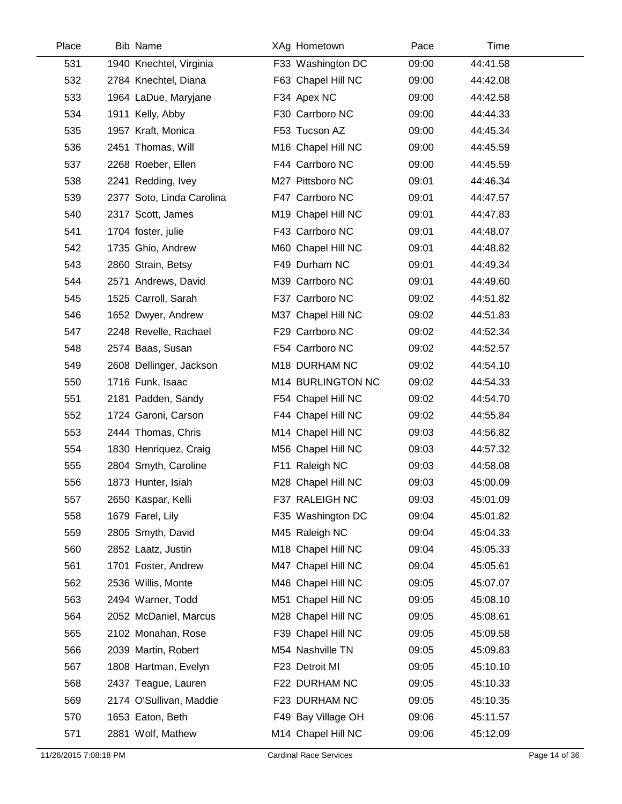| Place | <b>Bib Name</b>           | XAg Hometown       | Pace  | Time     |
|-------|---------------------------|--------------------|-------|----------|
| 531   | 1940 Knechtel, Virginia   | F33 Washington DC  | 09:00 | 44:41.58 |
| 532   | 2784 Knechtel, Diana      | F63 Chapel Hill NC | 09:00 | 44:42.08 |
| 533   | 1964 LaDue, Maryjane      | F34 Apex NC        | 09:00 | 44:42.58 |
| 534   | 1911 Kelly, Abby          | F30 Carrboro NC    | 09:00 | 44:44.33 |
| 535   | 1957 Kraft, Monica        | F53 Tucson AZ      | 09:00 | 44:45.34 |
| 536   | 2451 Thomas, Will         | M16 Chapel Hill NC | 09:00 | 44:45.59 |
| 537   | 2268 Roeber, Ellen        | F44 Carrboro NC    | 09:00 | 44:45.59 |
| 538   | 2241 Redding, Ivey        | M27 Pittsboro NC   | 09:01 | 44:46.34 |
| 539   | 2377 Soto, Linda Carolina | F47 Carrboro NC    | 09:01 | 44:47.57 |
| 540   | 2317 Scott, James         | M19 Chapel Hill NC | 09:01 | 44:47.83 |
| 541   | 1704 foster, julie        | F43 Carrboro NC    | 09:01 | 44:48.07 |
| 542   | 1735 Ghio, Andrew         | M60 Chapel Hill NC | 09:01 | 44:48.82 |
| 543   | 2860 Strain, Betsy        | F49 Durham NC      | 09:01 | 44:49.34 |
| 544   | 2571 Andrews, David       | M39 Carrboro NC    | 09:01 | 44:49.60 |
| 545   | 1525 Carroll, Sarah       | F37 Carrboro NC    | 09:02 | 44:51.82 |
| 546   | 1652 Dwyer, Andrew        | M37 Chapel Hill NC | 09:02 | 44:51.83 |
| 547   | 2248 Revelle, Rachael     | F29 Carrboro NC    | 09:02 | 44:52.34 |
| 548   | 2574 Baas, Susan          | F54 Carrboro NC    | 09:02 | 44:52.57 |
| 549   | 2608 Dellinger, Jackson   | M18 DURHAM NC      | 09:02 | 44:54.10 |
| 550   | 1716 Funk, Isaac          | M14 BURLINGTON NC  | 09:02 | 44:54.33 |
| 551   | 2181 Padden, Sandy        | F54 Chapel Hill NC | 09:02 | 44:54.70 |
| 552   | 1724 Garoni, Carson       | F44 Chapel Hill NC | 09:02 | 44:55.84 |
| 553   | 2444 Thomas, Chris        | M14 Chapel Hill NC | 09:03 | 44:56.82 |
| 554   | 1830 Henriquez, Craig     | M56 Chapel Hill NC | 09:03 | 44:57.32 |
| 555   | 2804 Smyth, Caroline      | F11 Raleigh NC     | 09:03 | 44:58.08 |
| 556   | 1873 Hunter, Isiah        | M28 Chapel Hill NC | 09:03 | 45:00.09 |
| 557   | 2650 Kaspar, Kelli        | F37 RALEIGH NC     | 09:03 | 45:01.09 |
| 558   | 1679 Farel, Lily          | F35 Washington DC  | 09:04 | 45:01.82 |
| 559   | 2805 Smyth, David         | M45 Raleigh NC     | 09:04 | 45:04.33 |
| 560   | 2852 Laatz, Justin        | M18 Chapel Hill NC | 09:04 | 45:05.33 |
| 561   | 1701 Foster, Andrew       | M47 Chapel Hill NC | 09:04 | 45:05.61 |
| 562   | 2536 Willis, Monte        | M46 Chapel Hill NC | 09:05 | 45:07.07 |
| 563   | 2494 Warner, Todd         | M51 Chapel Hill NC | 09:05 | 45:08.10 |
| 564   | 2052 McDaniel, Marcus     | M28 Chapel Hill NC | 09:05 | 45:08.61 |
| 565   | 2102 Monahan, Rose        | F39 Chapel Hill NC | 09:05 | 45:09.58 |
| 566   | 2039 Martin, Robert       | M54 Nashville TN   | 09:05 | 45:09.83 |
| 567   | 1808 Hartman, Evelyn      | F23 Detroit MI     | 09:05 | 45:10.10 |
| 568   | 2437 Teague, Lauren       | F22 DURHAM NC      | 09:05 | 45:10.33 |
| 569   | 2174 O'Sullivan, Maddie   | F23 DURHAM NC      | 09:05 | 45:10.35 |
| 570   | 1653 Eaton, Beth          | F49 Bay Village OH | 09:06 | 45:11.57 |
| 571   | 2881 Wolf, Mathew         | M14 Chapel Hill NC | 09:06 | 45:12.09 |
|       |                           |                    |       |          |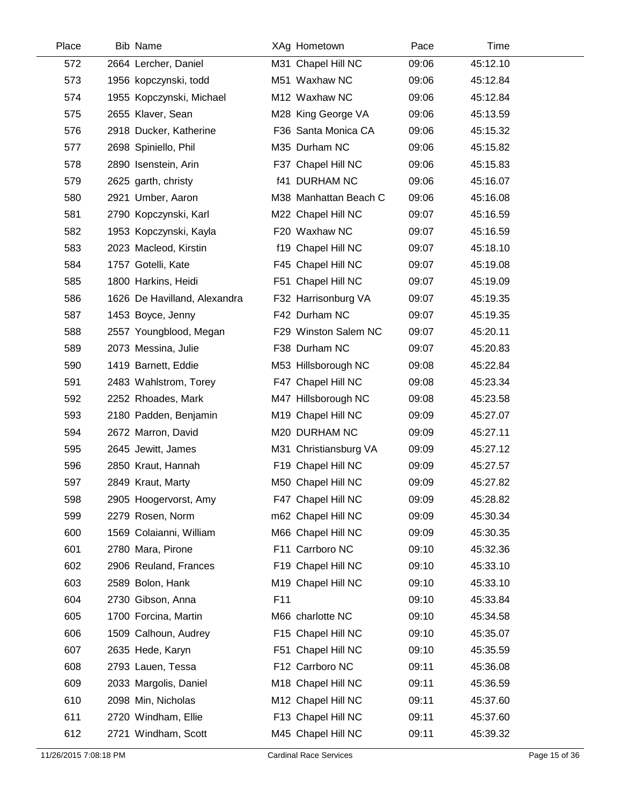| Place | <b>Bib Name</b>       |                              |                 | XAg Hometown          | Pace  | Time     |
|-------|-----------------------|------------------------------|-----------------|-----------------------|-------|----------|
| 572   | 2664 Lercher, Daniel  |                              |                 | M31 Chapel Hill NC    | 09:06 | 45:12.10 |
| 573   |                       | 1956 kopczynski, todd        |                 | M51 Waxhaw NC         | 09:06 | 45:12.84 |
| 574   |                       | 1955 Kopczynski, Michael     |                 | M12 Waxhaw NC         | 09:06 | 45:12.84 |
| 575   | 2655 Klaver, Sean     |                              |                 | M28 King George VA    | 09:06 | 45:13.59 |
| 576   |                       | 2918 Ducker, Katherine       |                 | F36 Santa Monica CA   | 09:06 | 45:15.32 |
| 577   | 2698 Spiniello, Phil  |                              |                 | M35 Durham NC         | 09:06 | 45:15.82 |
| 578   | 2890 Isenstein, Arin  |                              |                 | F37 Chapel Hill NC    | 09:06 | 45:15.83 |
| 579   | 2625 garth, christy   |                              |                 | <b>f41 DURHAM NC</b>  | 09:06 | 45:16.07 |
| 580   | 2921 Umber, Aaron     |                              |                 | M38 Manhattan Beach C | 09:06 | 45:16.08 |
| 581   |                       | 2790 Kopczynski, Karl        |                 | M22 Chapel Hill NC    | 09:07 | 45:16.59 |
| 582   |                       | 1953 Kopczynski, Kayla       |                 | F20 Waxhaw NC         | 09:07 | 45:16.59 |
| 583   | 2023 Macleod, Kirstin |                              |                 | f19 Chapel Hill NC    | 09:07 | 45:18.10 |
| 584   | 1757 Gotelli, Kate    |                              |                 | F45 Chapel Hill NC    | 09:07 | 45:19.08 |
| 585   | 1800 Harkins, Heidi   |                              |                 | F51 Chapel Hill NC    | 09:07 | 45:19.09 |
| 586   |                       | 1626 De Havilland, Alexandra |                 | F32 Harrisonburg VA   | 09:07 | 45:19.35 |
| 587   | 1453 Boyce, Jenny     |                              |                 | F42 Durham NC         | 09:07 | 45:19.35 |
| 588   |                       | 2557 Youngblood, Megan       |                 | F29 Winston Salem NC  | 09:07 | 45:20.11 |
| 589   | 2073 Messina, Julie   |                              |                 | F38 Durham NC         | 09:07 | 45:20.83 |
| 590   | 1419 Barnett, Eddie   |                              |                 | M53 Hillsborough NC   | 09:08 | 45:22.84 |
| 591   |                       | 2483 Wahlstrom, Torey        |                 | F47 Chapel Hill NC    | 09:08 | 45:23.34 |
| 592   | 2252 Rhoades, Mark    |                              |                 | M47 Hillsborough NC   | 09:08 | 45:23.58 |
| 593   |                       | 2180 Padden, Benjamin        |                 | M19 Chapel Hill NC    | 09:09 | 45:27.07 |
| 594   | 2672 Marron, David    |                              |                 | M20 DURHAM NC         | 09:09 | 45:27.11 |
| 595   | 2645 Jewitt, James    |                              |                 | M31 Christiansburg VA | 09:09 | 45:27.12 |
| 596   | 2850 Kraut, Hannah    |                              |                 | F19 Chapel Hill NC    | 09:09 | 45:27.57 |
| 597   | 2849 Kraut, Marty     |                              |                 | M50 Chapel Hill NC    | 09:09 | 45:27.82 |
| 598   |                       | 2905 Hoogervorst, Amy        |                 | F47 Chapel Hill NC    | 09:09 | 45:28.82 |
| 599   | 2279 Rosen, Norm      |                              |                 | m62 Chapel Hill NC    | 09:09 | 45:30.34 |
| 600   |                       | 1569 Colaianni, William      |                 | M66 Chapel Hill NC    | 09:09 | 45:30.35 |
| 601   | 2780 Mara, Pirone     |                              |                 | F11 Carrboro NC       | 09:10 | 45:32.36 |
| 602   |                       | 2906 Reuland, Frances        |                 | F19 Chapel Hill NC    | 09:10 | 45:33.10 |
| 603   | 2589 Bolon, Hank      |                              |                 | M19 Chapel Hill NC    | 09:10 | 45:33.10 |
| 604   | 2730 Gibson, Anna     |                              | F <sub>11</sub> |                       | 09:10 | 45:33.84 |
| 605   | 1700 Forcina, Martin  |                              |                 | M66 charlotte NC      | 09:10 | 45:34.58 |
| 606   |                       | 1509 Calhoun, Audrey         |                 | F15 Chapel Hill NC    | 09:10 | 45:35.07 |
| 607   | 2635 Hede, Karyn      |                              |                 | F51 Chapel Hill NC    | 09:10 | 45:35.59 |
| 608   | 2793 Lauen, Tessa     |                              |                 | F12 Carrboro NC       | 09:11 | 45:36.08 |
| 609   | 2033 Margolis, Daniel |                              |                 | M18 Chapel Hill NC    | 09:11 | 45:36.59 |
| 610   | 2098 Min, Nicholas    |                              |                 | M12 Chapel Hill NC    | 09:11 | 45:37.60 |
| 611   | 2720 Windham, Ellie   |                              |                 | F13 Chapel Hill NC    | 09:11 | 45:37.60 |
| 612   | 2721 Windham, Scott   |                              |                 | M45 Chapel Hill NC    | 09:11 | 45:39.32 |
|       |                       |                              |                 |                       |       |          |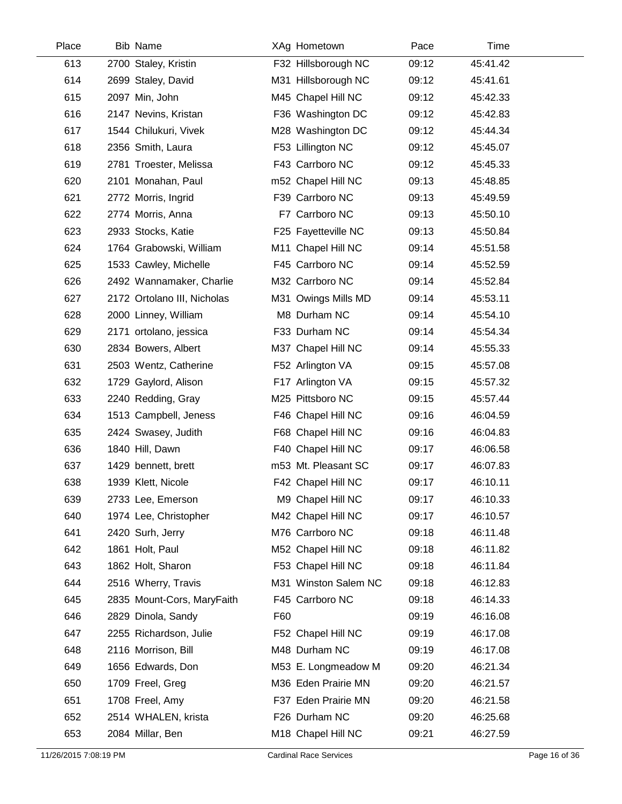| Place | <b>Bib Name</b>             |     | XAg Hometown         | Pace  | Time     |
|-------|-----------------------------|-----|----------------------|-------|----------|
| 613   | 2700 Staley, Kristin        |     | F32 Hillsborough NC  | 09:12 | 45:41.42 |
| 614   | 2699 Staley, David          |     | M31 Hillsborough NC  | 09:12 | 45:41.61 |
| 615   | 2097 Min, John              |     | M45 Chapel Hill NC   | 09:12 | 45:42.33 |
| 616   | 2147 Nevins, Kristan        |     | F36 Washington DC    | 09:12 | 45:42.83 |
| 617   | 1544 Chilukuri, Vivek       |     | M28 Washington DC    | 09:12 | 45:44.34 |
| 618   | 2356 Smith, Laura           |     | F53 Lillington NC    | 09:12 | 45:45.07 |
| 619   | 2781 Troester, Melissa      |     | F43 Carrboro NC      | 09:12 | 45:45.33 |
| 620   | 2101 Monahan, Paul          |     | m52 Chapel Hill NC   | 09:13 | 45:48.85 |
| 621   | 2772 Morris, Ingrid         |     | F39 Carrboro NC      | 09:13 | 45:49.59 |
| 622   | 2774 Morris, Anna           |     | F7 Carrboro NC       | 09:13 | 45:50.10 |
| 623   | 2933 Stocks, Katie          |     | F25 Fayetteville NC  | 09:13 | 45:50.84 |
| 624   | 1764 Grabowski, William     |     | M11 Chapel Hill NC   | 09:14 | 45:51.58 |
| 625   | 1533 Cawley, Michelle       |     | F45 Carrboro NC      | 09:14 | 45:52.59 |
| 626   | 2492 Wannamaker, Charlie    |     | M32 Carrboro NC      | 09:14 | 45:52.84 |
| 627   | 2172 Ortolano III, Nicholas |     | M31 Owings Mills MD  | 09:14 | 45:53.11 |
| 628   | 2000 Linney, William        |     | M8 Durham NC         | 09:14 | 45:54.10 |
| 629   | 2171 ortolano, jessica      |     | F33 Durham NC        | 09:14 | 45:54.34 |
| 630   | 2834 Bowers, Albert         |     | M37 Chapel Hill NC   | 09:14 | 45:55.33 |
| 631   | 2503 Wentz, Catherine       |     | F52 Arlington VA     | 09:15 | 45:57.08 |
| 632   | 1729 Gaylord, Alison        |     | F17 Arlington VA     | 09:15 | 45:57.32 |
| 633   | 2240 Redding, Gray          |     | M25 Pittsboro NC     | 09:15 | 45:57.44 |
| 634   | 1513 Campbell, Jeness       |     | F46 Chapel Hill NC   | 09:16 | 46:04.59 |
| 635   | 2424 Swasey, Judith         |     | F68 Chapel Hill NC   | 09:16 | 46:04.83 |
| 636   | 1840 Hill, Dawn             |     | F40 Chapel Hill NC   | 09:17 | 46:06.58 |
| 637   | 1429 bennett, brett         |     | m53 Mt. Pleasant SC  | 09:17 | 46:07.83 |
| 638   | 1939 Klett, Nicole          |     | F42 Chapel Hill NC   | 09:17 | 46:10.11 |
| 639   | 2733 Lee, Emerson           |     | M9 Chapel Hill NC    | 09:17 | 46:10.33 |
| 640   | 1974 Lee, Christopher       |     | M42 Chapel Hill NC   | 09:17 | 46:10.57 |
| 641   | 2420 Surh, Jerry            |     | M76 Carrboro NC      | 09:18 | 46:11.48 |
| 642   | 1861 Holt, Paul             |     | M52 Chapel Hill NC   | 09:18 | 46:11.82 |
| 643   | 1862 Holt, Sharon           |     | F53 Chapel Hill NC   | 09:18 | 46:11.84 |
| 644   | 2516 Wherry, Travis         |     | M31 Winston Salem NC | 09:18 | 46:12.83 |
| 645   | 2835 Mount-Cors, MaryFaith  |     | F45 Carrboro NC      | 09:18 | 46:14.33 |
| 646   | 2829 Dinola, Sandy          | F60 |                      | 09:19 | 46:16.08 |
| 647   | 2255 Richardson, Julie      |     | F52 Chapel Hill NC   | 09:19 | 46:17.08 |
| 648   | 2116 Morrison, Bill         |     | M48 Durham NC        | 09:19 | 46:17.08 |
| 649   | 1656 Edwards, Don           |     | M53 E. Longmeadow M  | 09:20 | 46:21.34 |
| 650   | 1709 Freel, Greg            |     | M36 Eden Prairie MN  | 09:20 | 46:21.57 |
| 651   | 1708 Freel, Amy             |     | F37 Eden Prairie MN  | 09:20 | 46:21.58 |
| 652   | 2514 WHALEN, krista         |     | F26 Durham NC        | 09:20 | 46:25.68 |
| 653   | 2084 Millar, Ben            |     | M18 Chapel Hill NC   | 09:21 | 46:27.59 |
|       |                             |     |                      |       |          |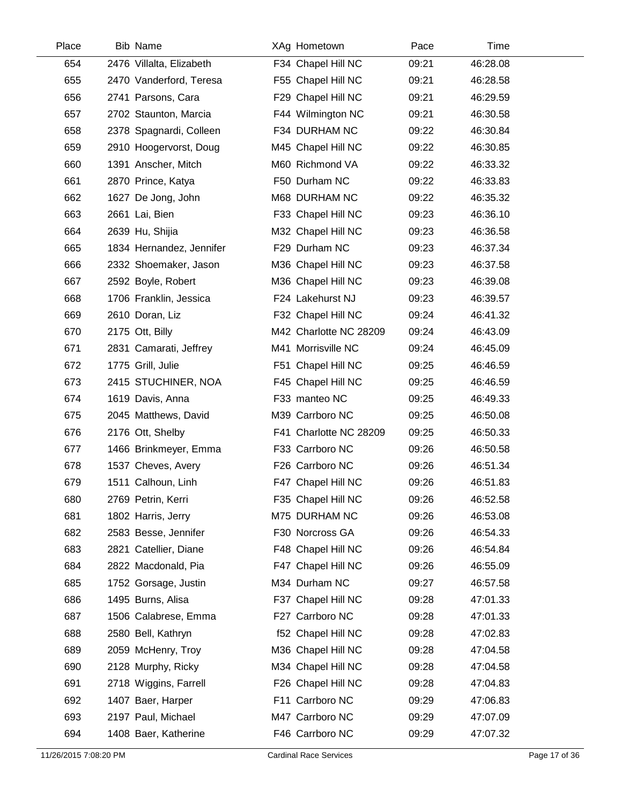| Place | <b>Bib Name</b>          | XAg Hometown           | Pace  | Time     |  |
|-------|--------------------------|------------------------|-------|----------|--|
| 654   | 2476 Villalta, Elizabeth | F34 Chapel Hill NC     | 09:21 | 46:28.08 |  |
| 655   | 2470 Vanderford, Teresa  | F55 Chapel Hill NC     | 09:21 | 46:28.58 |  |
| 656   | 2741 Parsons, Cara       | F29 Chapel Hill NC     | 09:21 | 46:29.59 |  |
| 657   | 2702 Staunton, Marcia    | F44 Wilmington NC      | 09:21 | 46:30.58 |  |
| 658   | 2378 Spagnardi, Colleen  | F34 DURHAM NC          | 09:22 | 46:30.84 |  |
| 659   | 2910 Hoogervorst, Doug   | M45 Chapel Hill NC     | 09:22 | 46:30.85 |  |
| 660   | 1391 Anscher, Mitch      | M60 Richmond VA        | 09:22 | 46:33.32 |  |
| 661   | 2870 Prince, Katya       | F50 Durham NC          | 09:22 | 46:33.83 |  |
| 662   | 1627 De Jong, John       | M68 DURHAM NC          | 09:22 | 46:35.32 |  |
| 663   | 2661 Lai, Bien           | F33 Chapel Hill NC     | 09:23 | 46:36.10 |  |
| 664   | 2639 Hu, Shijia          | M32 Chapel Hill NC     | 09:23 | 46:36.58 |  |
| 665   | 1834 Hernandez, Jennifer | F29 Durham NC          | 09:23 | 46:37.34 |  |
| 666   | 2332 Shoemaker, Jason    | M36 Chapel Hill NC     | 09:23 | 46:37.58 |  |
| 667   | 2592 Boyle, Robert       | M36 Chapel Hill NC     | 09:23 | 46:39.08 |  |
| 668   | 1706 Franklin, Jessica   | F24 Lakehurst NJ       | 09:23 | 46:39.57 |  |
| 669   | 2610 Doran, Liz          | F32 Chapel Hill NC     | 09:24 | 46:41.32 |  |
| 670   | 2175 Ott, Billy          | M42 Charlotte NC 28209 | 09:24 | 46:43.09 |  |
| 671   | 2831 Camarati, Jeffrey   | M41 Morrisville NC     | 09:24 | 46:45.09 |  |
| 672   | 1775 Grill, Julie        | F51 Chapel Hill NC     | 09:25 | 46:46.59 |  |
| 673   | 2415 STUCHINER, NOA      | F45 Chapel Hill NC     | 09:25 | 46:46.59 |  |
| 674   | 1619 Davis, Anna         | F33 manteo NC          | 09:25 | 46:49.33 |  |
| 675   | 2045 Matthews, David     | M39 Carrboro NC        | 09:25 | 46:50.08 |  |
| 676   | 2176 Ott, Shelby         | F41 Charlotte NC 28209 | 09:25 | 46:50.33 |  |
| 677   | 1466 Brinkmeyer, Emma    | F33 Carrboro NC        | 09:26 | 46:50.58 |  |
| 678   | 1537 Cheves, Avery       | F26 Carrboro NC        | 09:26 | 46:51.34 |  |
| 679   | 1511 Calhoun, Linh       | F47 Chapel Hill NC     | 09:26 | 46:51.83 |  |
| 680   | 2769 Petrin, Kerri       | F35 Chapel Hill NC     | 09:26 | 46:52.58 |  |
| 681   | 1802 Harris, Jerry       | M75 DURHAM NC          | 09:26 | 46:53.08 |  |
| 682   | 2583 Besse, Jennifer     | F30 Norcross GA        | 09:26 | 46:54.33 |  |
| 683   | 2821 Catellier, Diane    | F48 Chapel Hill NC     | 09:26 | 46:54.84 |  |
| 684   | 2822 Macdonald, Pia      | F47 Chapel Hill NC     | 09:26 | 46:55.09 |  |
| 685   | 1752 Gorsage, Justin     | M34 Durham NC          | 09:27 | 46:57.58 |  |
| 686   | 1495 Burns, Alisa        | F37 Chapel Hill NC     | 09:28 | 47:01.33 |  |
| 687   | 1506 Calabrese, Emma     | F27 Carrboro NC        | 09:28 | 47:01.33 |  |
| 688   | 2580 Bell, Kathryn       | f52 Chapel Hill NC     | 09:28 | 47:02.83 |  |
| 689   | 2059 McHenry, Troy       | M36 Chapel Hill NC     | 09:28 | 47:04.58 |  |
| 690   | 2128 Murphy, Ricky       | M34 Chapel Hill NC     | 09:28 | 47:04.58 |  |
| 691   | 2718 Wiggins, Farrell    | F26 Chapel Hill NC     | 09:28 | 47:04.83 |  |
| 692   | 1407 Baer, Harper        | F11 Carrboro NC        | 09:29 | 47:06.83 |  |
| 693   | 2197 Paul, Michael       | M47 Carrboro NC        | 09:29 | 47:07.09 |  |
| 694   | 1408 Baer, Katherine     | F46 Carrboro NC        | 09:29 | 47:07.32 |  |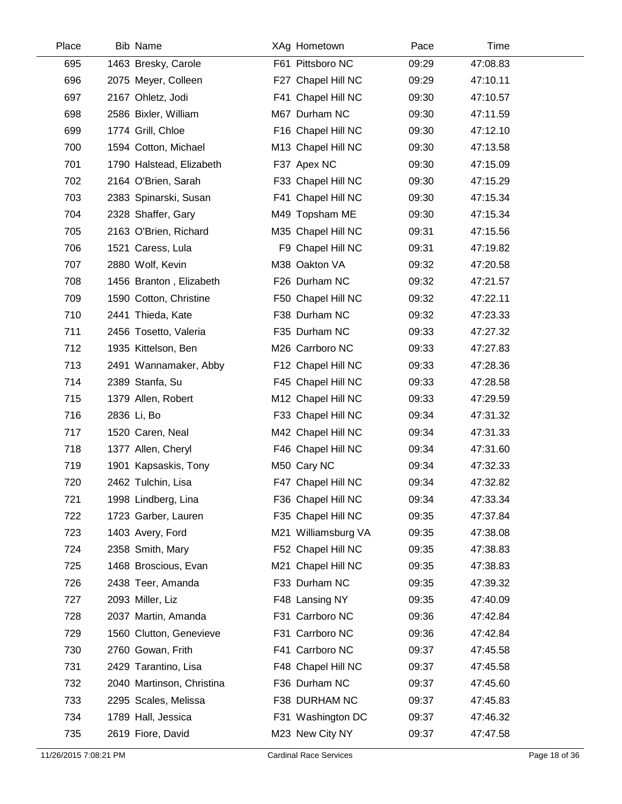| Place | <b>Bib Name</b>           | XAg Hometown        | Pace  | Time     |
|-------|---------------------------|---------------------|-------|----------|
| 695   | 1463 Bresky, Carole       | F61 Pittsboro NC    | 09:29 | 47:08.83 |
| 696   | 2075 Meyer, Colleen       | F27 Chapel Hill NC  | 09:29 | 47:10.11 |
| 697   | 2167 Ohletz, Jodi         | F41 Chapel Hill NC  | 09:30 | 47:10.57 |
| 698   | 2586 Bixler, William      | M67 Durham NC       | 09:30 | 47:11.59 |
| 699   | 1774 Grill, Chloe         | F16 Chapel Hill NC  | 09:30 | 47:12.10 |
| 700   | 1594 Cotton, Michael      | M13 Chapel Hill NC  | 09:30 | 47:13.58 |
| 701   | 1790 Halstead, Elizabeth  | F37 Apex NC         | 09:30 | 47:15.09 |
| 702   | 2164 O'Brien, Sarah       | F33 Chapel Hill NC  | 09:30 | 47:15.29 |
| 703   | 2383 Spinarski, Susan     | F41 Chapel Hill NC  | 09:30 | 47:15.34 |
| 704   | 2328 Shaffer, Gary        | M49 Topsham ME      | 09:30 | 47:15.34 |
| 705   | 2163 O'Brien, Richard     | M35 Chapel Hill NC  | 09:31 | 47:15.56 |
| 706   | 1521 Caress, Lula         | F9 Chapel Hill NC   | 09:31 | 47:19.82 |
| 707   | 2880 Wolf, Kevin          | M38 Oakton VA       | 09:32 | 47:20.58 |
| 708   | 1456 Branton, Elizabeth   | F26 Durham NC       | 09:32 | 47:21.57 |
| 709   | 1590 Cotton, Christine    | F50 Chapel Hill NC  | 09:32 | 47:22.11 |
| 710   | 2441 Thieda, Kate         | F38 Durham NC       | 09:32 | 47:23.33 |
| 711   | 2456 Tosetto, Valeria     | F35 Durham NC       | 09:33 | 47:27.32 |
| 712   | 1935 Kittelson, Ben       | M26 Carrboro NC     | 09:33 | 47:27.83 |
| 713   | 2491 Wannamaker, Abby     | F12 Chapel Hill NC  | 09:33 | 47:28.36 |
| 714   | 2389 Stanfa, Su           | F45 Chapel Hill NC  | 09:33 | 47:28.58 |
| 715   | 1379 Allen, Robert        | M12 Chapel Hill NC  | 09:33 | 47:29.59 |
| 716   | 2836 Li, Bo               | F33 Chapel Hill NC  | 09:34 | 47:31.32 |
| 717   | 1520 Caren, Neal          | M42 Chapel Hill NC  | 09:34 | 47:31.33 |
| 718   | 1377 Allen, Cheryl        | F46 Chapel Hill NC  | 09:34 | 47:31.60 |
| 719   | 1901 Kapsaskis, Tony      | M50 Cary NC         | 09:34 | 47:32.33 |
| 720   | 2462 Tulchin, Lisa        | F47 Chapel Hill NC  | 09:34 | 47:32.82 |
| 721   | 1998 Lindberg, Lina       | F36 Chapel Hill NC  | 09:34 | 47:33.34 |
| 722   | 1723 Garber, Lauren       | F35 Chapel Hill NC  | 09:35 | 47:37.84 |
| 723   | 1403 Avery, Ford          | M21 Williamsburg VA | 09:35 | 47:38.08 |
| 724   | 2358 Smith, Mary          | F52 Chapel Hill NC  | 09:35 | 47:38.83 |
| 725   | 1468 Broscious, Evan      | M21 Chapel Hill NC  | 09:35 | 47:38.83 |
| 726   | 2438 Teer, Amanda         | F33 Durham NC       | 09:35 | 47:39.32 |
| 727   | 2093 Miller, Liz          | F48 Lansing NY      | 09:35 | 47:40.09 |
| 728   | 2037 Martin, Amanda       | F31 Carrboro NC     | 09:36 | 47:42.84 |
| 729   | 1560 Clutton, Genevieve   | F31 Carrboro NC     | 09:36 | 47:42.84 |
| 730   | 2760 Gowan, Frith         | F41 Carrboro NC     | 09:37 | 47:45.58 |
| 731   | 2429 Tarantino, Lisa      | F48 Chapel Hill NC  | 09:37 | 47:45.58 |
| 732   | 2040 Martinson, Christina | F36 Durham NC       | 09:37 | 47:45.60 |
| 733   | 2295 Scales, Melissa      | F38 DURHAM NC       | 09:37 | 47:45.83 |
| 734   | 1789 Hall, Jessica        | F31 Washington DC   | 09:37 | 47:46.32 |
| 735   | 2619 Fiore, David         | M23 New City NY     | 09:37 | 47:47.58 |
|       |                           |                     |       |          |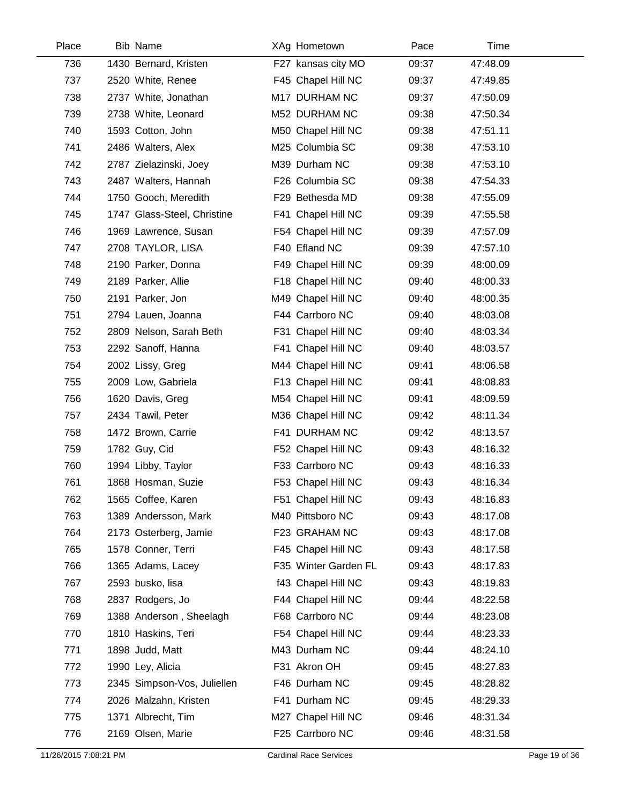| Place | <b>Bib Name</b>             | XAg Hometown         | Pace  | Time     |
|-------|-----------------------------|----------------------|-------|----------|
| 736   | 1430 Bernard, Kristen       | F27 kansas city MO   | 09:37 | 47:48.09 |
| 737   | 2520 White, Renee           | F45 Chapel Hill NC   | 09:37 | 47:49.85 |
| 738   | 2737 White, Jonathan        | M17 DURHAM NC        | 09:37 | 47:50.09 |
| 739   | 2738 White, Leonard         | M52 DURHAM NC        | 09:38 | 47:50.34 |
| 740   | 1593 Cotton, John           | M50 Chapel Hill NC   | 09:38 | 47:51.11 |
| 741   | 2486 Walters, Alex          | M25 Columbia SC      | 09:38 | 47:53.10 |
| 742   | 2787 Zielazinski, Joey      | M39 Durham NC        | 09:38 | 47:53.10 |
| 743   | 2487 Walters, Hannah        | F26 Columbia SC      | 09:38 | 47:54.33 |
| 744   | 1750 Gooch, Meredith        | F29 Bethesda MD      | 09:38 | 47:55.09 |
| 745   | 1747 Glass-Steel, Christine | F41 Chapel Hill NC   | 09:39 | 47:55.58 |
| 746   | 1969 Lawrence, Susan        | F54 Chapel Hill NC   | 09:39 | 47:57.09 |
| 747   | 2708 TAYLOR, LISA           | F40 Efland NC        | 09:39 | 47:57.10 |
| 748   | 2190 Parker, Donna          | F49 Chapel Hill NC   | 09:39 | 48:00.09 |
| 749   | 2189 Parker, Allie          | F18 Chapel Hill NC   | 09:40 | 48:00.33 |
| 750   | 2191 Parker, Jon            | M49 Chapel Hill NC   | 09:40 | 48:00.35 |
| 751   | 2794 Lauen, Joanna          | F44 Carrboro NC      | 09:40 | 48:03.08 |
| 752   | 2809 Nelson, Sarah Beth     | F31 Chapel Hill NC   | 09:40 | 48:03.34 |
| 753   | 2292 Sanoff, Hanna          | F41 Chapel Hill NC   | 09:40 | 48:03.57 |
| 754   | 2002 Lissy, Greg            | M44 Chapel Hill NC   | 09:41 | 48:06.58 |
| 755   | 2009 Low, Gabriela          | F13 Chapel Hill NC   | 09:41 | 48:08.83 |
| 756   | 1620 Davis, Greg            | M54 Chapel Hill NC   | 09:41 | 48:09.59 |
| 757   | 2434 Tawil, Peter           | M36 Chapel Hill NC   | 09:42 | 48:11.34 |
| 758   | 1472 Brown, Carrie          | F41 DURHAM NC        | 09:42 | 48:13.57 |
| 759   | 1782 Guy, Cid               | F52 Chapel Hill NC   | 09:43 | 48:16.32 |
| 760   | 1994 Libby, Taylor          | F33 Carrboro NC      | 09:43 | 48:16.33 |
| 761   | 1868 Hosman, Suzie          | F53 Chapel Hill NC   | 09:43 | 48:16.34 |
| 762   | 1565 Coffee, Karen          | F51 Chapel Hill NC   | 09:43 | 48:16.83 |
| 763   | 1389 Andersson, Mark        | M40 Pittsboro NC     | 09:43 | 48:17.08 |
| 764   | 2173 Osterberg, Jamie       | F23 GRAHAM NC        | 09:43 | 48:17.08 |
| 765   | 1578 Conner, Terri          | F45 Chapel Hill NC   | 09:43 | 48:17.58 |
| 766   | 1365 Adams, Lacey           | F35 Winter Garden FL | 09:43 | 48:17.83 |
| 767   | 2593 busko, lisa            | f43 Chapel Hill NC   | 09:43 | 48:19.83 |
| 768   | 2837 Rodgers, Jo            | F44 Chapel Hill NC   | 09:44 | 48:22.58 |
| 769   | 1388 Anderson, Sheelagh     | F68 Carrboro NC      | 09:44 | 48:23.08 |
| 770   | 1810 Haskins, Teri          | F54 Chapel Hill NC   | 09:44 | 48:23.33 |
| 771   | 1898 Judd, Matt             | M43 Durham NC        | 09:44 | 48:24.10 |
| 772   | 1990 Ley, Alicia            | F31 Akron OH         | 09:45 | 48:27.83 |
| 773   | 2345 Simpson-Vos, Juliellen | F46 Durham NC        | 09:45 | 48:28.82 |
| 774   | 2026 Malzahn, Kristen       | F41 Durham NC        | 09:45 | 48:29.33 |
| 775   | 1371 Albrecht, Tim          | M27 Chapel Hill NC   | 09:46 | 48:31.34 |
| 776   | 2169 Olsen, Marie           | F25 Carrboro NC      | 09:46 | 48:31.58 |
|       |                             |                      |       |          |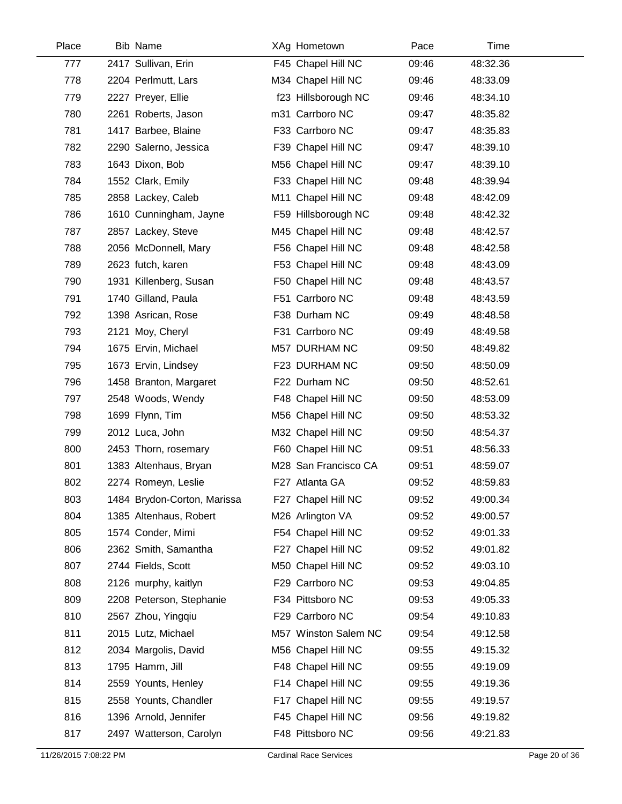| Place | <b>Bib Name</b>             | XAg Hometown         | Pace  | Time     |
|-------|-----------------------------|----------------------|-------|----------|
| 777   | 2417 Sullivan, Erin         | F45 Chapel Hill NC   | 09:46 | 48:32.36 |
| 778   | 2204 Perlmutt, Lars         | M34 Chapel Hill NC   | 09:46 | 48:33.09 |
| 779   | 2227 Preyer, Ellie          | f23 Hillsborough NC  | 09:46 | 48:34.10 |
| 780   | 2261 Roberts, Jason         | m31 Carrboro NC      | 09:47 | 48:35.82 |
| 781   | 1417 Barbee, Blaine         | F33 Carrboro NC      | 09:47 | 48:35.83 |
| 782   | 2290 Salerno, Jessica       | F39 Chapel Hill NC   | 09:47 | 48:39.10 |
| 783   | 1643 Dixon, Bob             | M56 Chapel Hill NC   | 09:47 | 48:39.10 |
| 784   | 1552 Clark, Emily           | F33 Chapel Hill NC   | 09:48 | 48:39.94 |
| 785   | 2858 Lackey, Caleb          | M11 Chapel Hill NC   | 09:48 | 48:42.09 |
| 786   | 1610 Cunningham, Jayne      | F59 Hillsborough NC  | 09:48 | 48:42.32 |
| 787   | 2857 Lackey, Steve          | M45 Chapel Hill NC   | 09:48 | 48:42.57 |
| 788   | 2056 McDonnell, Mary        | F56 Chapel Hill NC   | 09:48 | 48:42.58 |
| 789   | 2623 futch, karen           | F53 Chapel Hill NC   | 09:48 | 48:43.09 |
| 790   | 1931 Killenberg, Susan      | F50 Chapel Hill NC   | 09:48 | 48:43.57 |
| 791   | 1740 Gilland, Paula         | F51 Carrboro NC      | 09:48 | 48:43.59 |
| 792   | 1398 Asrican, Rose          | F38 Durham NC        | 09:49 | 48:48.58 |
| 793   | 2121 Moy, Cheryl            | F31 Carrboro NC      | 09:49 | 48:49.58 |
| 794   | 1675 Ervin, Michael         | M57 DURHAM NC        | 09:50 | 48:49.82 |
| 795   | 1673 Ervin, Lindsey         | F23 DURHAM NC        | 09:50 | 48:50.09 |
| 796   | 1458 Branton, Margaret      | F22 Durham NC        | 09:50 | 48:52.61 |
| 797   | 2548 Woods, Wendy           | F48 Chapel Hill NC   | 09:50 | 48:53.09 |
| 798   | 1699 Flynn, Tim             | M56 Chapel Hill NC   | 09:50 | 48:53.32 |
| 799   | 2012 Luca, John             | M32 Chapel Hill NC   | 09:50 | 48:54.37 |
| 800   | 2453 Thorn, rosemary        | F60 Chapel Hill NC   | 09:51 | 48:56.33 |
| 801   | 1383 Altenhaus, Bryan       | M28 San Francisco CA | 09:51 | 48:59.07 |
| 802   | 2274 Romeyn, Leslie         | F27 Atlanta GA       | 09:52 | 48:59.83 |
| 803   | 1484 Brydon-Corton, Marissa | F27 Chapel Hill NC   | 09:52 | 49:00.34 |
| 804   | 1385 Altenhaus, Robert      | M26 Arlington VA     | 09:52 | 49:00.57 |
| 805   | 1574 Conder, Mimi           | F54 Chapel Hill NC   | 09:52 | 49:01.33 |
| 806   | 2362 Smith, Samantha        | F27 Chapel Hill NC   | 09:52 | 49:01.82 |
| 807   | 2744 Fields, Scott          | M50 Chapel Hill NC   | 09:52 | 49:03.10 |
| 808   | 2126 murphy, kaitlyn        | F29 Carrboro NC      | 09:53 | 49:04.85 |
| 809   | 2208 Peterson, Stephanie    | F34 Pittsboro NC     | 09:53 | 49:05.33 |
| 810   | 2567 Zhou, Yingqiu          | F29 Carrboro NC      | 09:54 | 49:10.83 |
| 811   | 2015 Lutz, Michael          | M57 Winston Salem NC | 09:54 | 49:12.58 |
| 812   | 2034 Margolis, David        | M56 Chapel Hill NC   | 09:55 | 49:15.32 |
| 813   | 1795 Hamm, Jill             | F48 Chapel Hill NC   | 09:55 | 49:19.09 |
| 814   | 2559 Younts, Henley         | F14 Chapel Hill NC   | 09:55 | 49:19.36 |
| 815   | 2558 Younts, Chandler       | F17 Chapel Hill NC   | 09:55 | 49:19.57 |
| 816   | 1396 Arnold, Jennifer       | F45 Chapel Hill NC   | 09:56 | 49:19.82 |
| 817   | 2497 Watterson, Carolyn     | F48 Pittsboro NC     | 09:56 | 49:21.83 |
|       |                             |                      |       |          |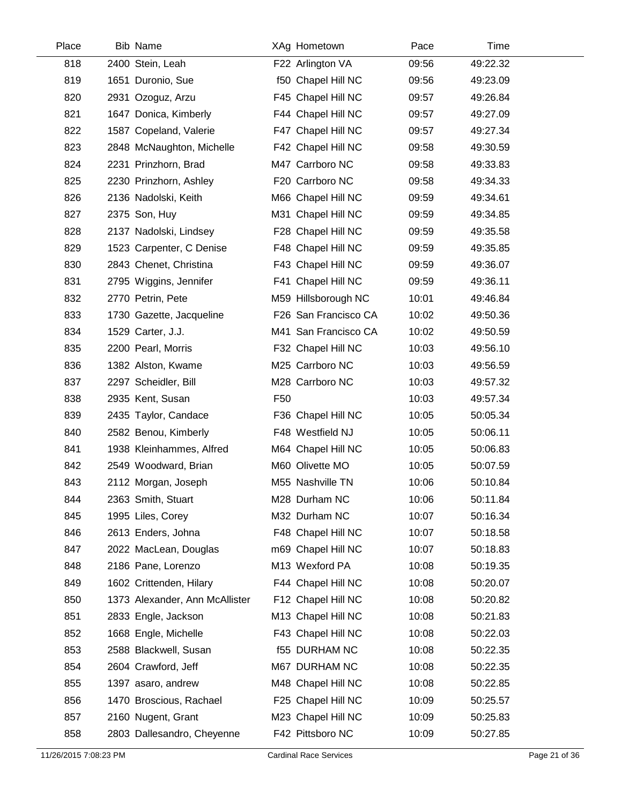| Place | <b>Bib Name</b>                | XAg Hometown         | Pace  | Time     |  |
|-------|--------------------------------|----------------------|-------|----------|--|
| 818   | 2400 Stein, Leah               | F22 Arlington VA     | 09:56 | 49:22.32 |  |
| 819   | 1651 Duronio, Sue              | f50 Chapel Hill NC   | 09:56 | 49:23.09 |  |
| 820   | 2931 Ozoguz, Arzu              | F45 Chapel Hill NC   | 09:57 | 49:26.84 |  |
| 821   | 1647 Donica, Kimberly          | F44 Chapel Hill NC   | 09:57 | 49:27.09 |  |
| 822   | 1587 Copeland, Valerie         | F47 Chapel Hill NC   | 09:57 | 49:27.34 |  |
| 823   | 2848 McNaughton, Michelle      | F42 Chapel Hill NC   | 09:58 | 49:30.59 |  |
| 824   | 2231 Prinzhorn, Brad           | M47 Carrboro NC      | 09:58 | 49:33.83 |  |
| 825   | 2230 Prinzhorn, Ashley         | F20 Carrboro NC      | 09:58 | 49:34.33 |  |
| 826   | 2136 Nadolski, Keith           | M66 Chapel Hill NC   | 09:59 | 49:34.61 |  |
| 827   | 2375 Son, Huy                  | M31 Chapel Hill NC   | 09:59 | 49:34.85 |  |
| 828   | 2137 Nadolski, Lindsey         | F28 Chapel Hill NC   | 09:59 | 49:35.58 |  |
| 829   | 1523 Carpenter, C Denise       | F48 Chapel Hill NC   | 09:59 | 49:35.85 |  |
| 830   | 2843 Chenet, Christina         | F43 Chapel Hill NC   | 09:59 | 49:36.07 |  |
| 831   | 2795 Wiggins, Jennifer         | F41 Chapel Hill NC   | 09:59 | 49:36.11 |  |
| 832   | 2770 Petrin, Pete              | M59 Hillsborough NC  | 10:01 | 49:46.84 |  |
| 833   | 1730 Gazette, Jacqueline       | F26 San Francisco CA | 10:02 | 49:50.36 |  |
| 834   | 1529 Carter, J.J.              | M41 San Francisco CA | 10:02 | 49:50.59 |  |
| 835   | 2200 Pearl, Morris             | F32 Chapel Hill NC   | 10:03 | 49:56.10 |  |
| 836   | 1382 Alston, Kwame             | M25 Carrboro NC      | 10:03 | 49:56.59 |  |
| 837   | 2297 Scheidler, Bill           | M28 Carrboro NC      | 10:03 | 49:57.32 |  |
| 838   | 2935 Kent, Susan               | F <sub>50</sub>      | 10:03 | 49:57.34 |  |
| 839   | 2435 Taylor, Candace           | F36 Chapel Hill NC   | 10:05 | 50:05.34 |  |
| 840   | 2582 Benou, Kimberly           | F48 Westfield NJ     | 10:05 | 50:06.11 |  |
| 841   | 1938 Kleinhammes, Alfred       | M64 Chapel Hill NC   | 10:05 | 50:06.83 |  |
| 842   | 2549 Woodward, Brian           | M60 Olivette MO      | 10:05 | 50:07.59 |  |
| 843   | 2112 Morgan, Joseph            | M55 Nashville TN     | 10:06 | 50:10.84 |  |
| 844   | 2363 Smith, Stuart             | M28 Durham NC        | 10:06 | 50:11.84 |  |
| 845   | 1995 Liles, Corey              | M32 Durham NC        | 10:07 | 50:16.34 |  |
| 846   | 2613 Enders, Johna             | F48 Chapel Hill NC   | 10:07 | 50:18.58 |  |
| 847   | 2022 MacLean, Douglas          | m69 Chapel Hill NC   | 10:07 | 50:18.83 |  |
| 848   | 2186 Pane, Lorenzo             | M13 Wexford PA       | 10:08 | 50:19.35 |  |
| 849   | 1602 Crittenden, Hilary        | F44 Chapel Hill NC   | 10:08 | 50:20.07 |  |
| 850   | 1373 Alexander, Ann McAllister | F12 Chapel Hill NC   | 10:08 | 50:20.82 |  |
| 851   | 2833 Engle, Jackson            | M13 Chapel Hill NC   | 10:08 | 50:21.83 |  |
| 852   | 1668 Engle, Michelle           | F43 Chapel Hill NC   | 10:08 | 50:22.03 |  |
| 853   | 2588 Blackwell, Susan          | <b>f55 DURHAM NC</b> | 10:08 | 50:22.35 |  |
| 854   | 2604 Crawford, Jeff            | M67 DURHAM NC        | 10:08 | 50:22.35 |  |
| 855   | 1397 asaro, andrew             | M48 Chapel Hill NC   | 10:08 | 50:22.85 |  |
| 856   | 1470 Broscious, Rachael        | F25 Chapel Hill NC   | 10:09 | 50:25.57 |  |
| 857   | 2160 Nugent, Grant             | M23 Chapel Hill NC   | 10:09 | 50:25.83 |  |
| 858   | 2803 Dallesandro, Cheyenne     | F42 Pittsboro NC     | 10:09 | 50:27.85 |  |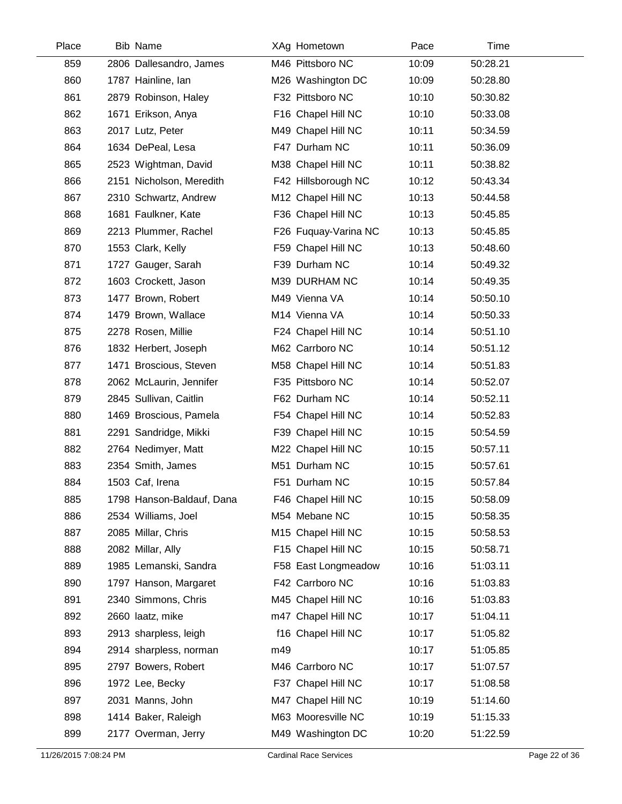| Place | <b>Bib Name</b>           |     | XAg Hometown         | Pace  | Time     |
|-------|---------------------------|-----|----------------------|-------|----------|
| 859   | 2806 Dallesandro, James   |     | M46 Pittsboro NC     | 10:09 | 50:28.21 |
| 860   | 1787 Hainline, Ian        |     | M26 Washington DC    | 10:09 | 50:28.80 |
| 861   | 2879 Robinson, Haley      |     | F32 Pittsboro NC     | 10:10 | 50:30.82 |
| 862   | 1671 Erikson, Anya        |     | F16 Chapel Hill NC   | 10:10 | 50:33.08 |
| 863   | 2017 Lutz, Peter          |     | M49 Chapel Hill NC   | 10:11 | 50:34.59 |
| 864   | 1634 DePeal, Lesa         |     | F47 Durham NC        | 10:11 | 50:36.09 |
| 865   | 2523 Wightman, David      |     | M38 Chapel Hill NC   | 10:11 | 50:38.82 |
| 866   | 2151 Nicholson, Meredith  |     | F42 Hillsborough NC  | 10:12 | 50:43.34 |
| 867   | 2310 Schwartz, Andrew     |     | M12 Chapel Hill NC   | 10:13 | 50:44.58 |
| 868   | 1681 Faulkner, Kate       |     | F36 Chapel Hill NC   | 10:13 | 50:45.85 |
| 869   | 2213 Plummer, Rachel      |     | F26 Fuquay-Varina NC | 10:13 | 50:45.85 |
| 870   | 1553 Clark, Kelly         |     | F59 Chapel Hill NC   | 10:13 | 50:48.60 |
| 871   | 1727 Gauger, Sarah        |     | F39 Durham NC        | 10:14 | 50:49.32 |
| 872   | 1603 Crockett, Jason      |     | M39 DURHAM NC        | 10:14 | 50:49.35 |
| 873   | 1477 Brown, Robert        |     | M49 Vienna VA        | 10:14 | 50:50.10 |
| 874   | 1479 Brown, Wallace       |     | M14 Vienna VA        | 10:14 | 50:50.33 |
| 875   | 2278 Rosen, Millie        |     | F24 Chapel Hill NC   | 10:14 | 50:51.10 |
| 876   | 1832 Herbert, Joseph      |     | M62 Carrboro NC      | 10:14 | 50:51.12 |
| 877   | 1471 Broscious, Steven    |     | M58 Chapel Hill NC   | 10:14 | 50:51.83 |
| 878   | 2062 McLaurin, Jennifer   |     | F35 Pittsboro NC     | 10:14 | 50:52.07 |
| 879   | 2845 Sullivan, Caitlin    |     | F62 Durham NC        | 10:14 | 50:52.11 |
| 880   | 1469 Broscious, Pamela    |     | F54 Chapel Hill NC   | 10:14 | 50:52.83 |
| 881   | 2291 Sandridge, Mikki     |     | F39 Chapel Hill NC   | 10:15 | 50:54.59 |
| 882   | 2764 Nedimyer, Matt       |     | M22 Chapel Hill NC   | 10:15 | 50:57.11 |
| 883   | 2354 Smith, James         |     | M51 Durham NC        | 10:15 | 50:57.61 |
| 884   | 1503 Caf, Irena           |     | F51 Durham NC        | 10:15 | 50:57.84 |
| 885   | 1798 Hanson-Baldauf, Dana |     | F46 Chapel Hill NC   | 10:15 | 50:58.09 |
| 886   | 2534 Williams, Joel       |     | M54 Mebane NC        | 10:15 | 50:58.35 |
| 887   | 2085 Millar, Chris        |     | M15 Chapel Hill NC   | 10:15 | 50:58.53 |
| 888   | 2082 Millar, Ally         |     | F15 Chapel Hill NC   | 10:15 | 50:58.71 |
| 889   | 1985 Lemanski, Sandra     |     | F58 East Longmeadow  | 10:16 | 51:03.11 |
| 890   | 1797 Hanson, Margaret     |     | F42 Carrboro NC      | 10:16 | 51:03.83 |
| 891   | 2340 Simmons, Chris       |     | M45 Chapel Hill NC   | 10:16 | 51:03.83 |
| 892   | 2660 laatz, mike          |     | m47 Chapel Hill NC   | 10:17 | 51:04.11 |
| 893   | 2913 sharpless, leigh     |     | f16 Chapel Hill NC   | 10:17 | 51:05.82 |
| 894   | 2914 sharpless, norman    | m49 |                      | 10:17 | 51:05.85 |
| 895   | 2797 Bowers, Robert       |     | M46 Carrboro NC      | 10:17 | 51:07.57 |
| 896   | 1972 Lee, Becky           |     | F37 Chapel Hill NC   | 10:17 | 51:08.58 |
| 897   | 2031 Manns, John          |     | M47 Chapel Hill NC   | 10:19 | 51:14.60 |
| 898   | 1414 Baker, Raleigh       |     | M63 Mooresville NC   | 10:19 | 51:15.33 |
| 899   | 2177 Overman, Jerry       |     | M49 Washington DC    | 10:20 | 51:22.59 |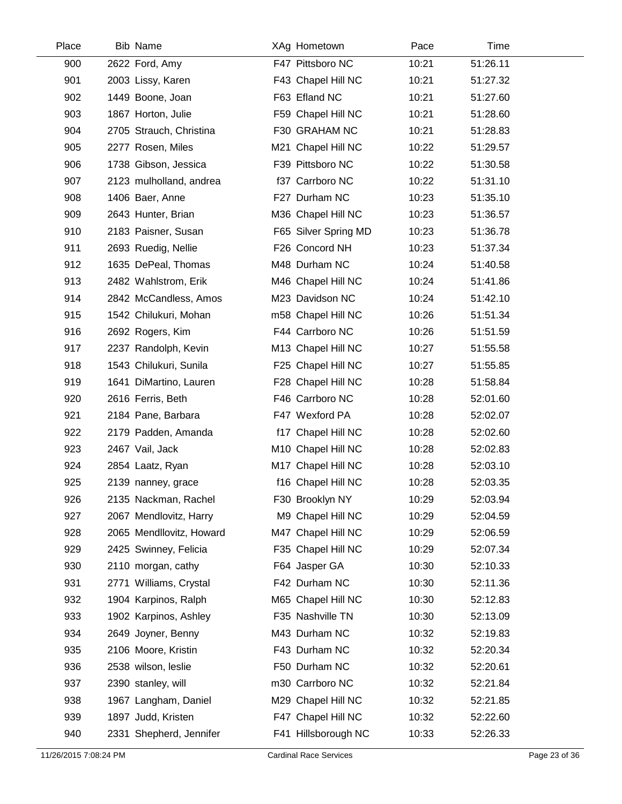| Place | <b>Bib Name</b>          | XAg Hometown         | Pace  | Time     |
|-------|--------------------------|----------------------|-------|----------|
| 900   | 2622 Ford, Amy           | F47 Pittsboro NC     | 10:21 | 51:26.11 |
| 901   | 2003 Lissy, Karen        | F43 Chapel Hill NC   | 10:21 | 51:27.32 |
| 902   | 1449 Boone, Joan         | F63 Efland NC        | 10:21 | 51:27.60 |
| 903   | 1867 Horton, Julie       | F59 Chapel Hill NC   | 10:21 | 51:28.60 |
| 904   | 2705 Strauch, Christina  | F30 GRAHAM NC        | 10:21 | 51:28.83 |
| 905   | 2277 Rosen, Miles        | M21 Chapel Hill NC   | 10:22 | 51:29.57 |
| 906   | 1738 Gibson, Jessica     | F39 Pittsboro NC     | 10:22 | 51:30.58 |
| 907   | 2123 mulholland, andrea  | f37 Carrboro NC      | 10:22 | 51:31.10 |
| 908   | 1406 Baer, Anne          | F27 Durham NC        | 10:23 | 51:35.10 |
| 909   | 2643 Hunter, Brian       | M36 Chapel Hill NC   | 10:23 | 51:36.57 |
| 910   | 2183 Paisner, Susan      | F65 Silver Spring MD | 10:23 | 51:36.78 |
| 911   | 2693 Ruedig, Nellie      | F26 Concord NH       | 10:23 | 51:37.34 |
| 912   | 1635 DePeal, Thomas      | M48 Durham NC        | 10:24 | 51:40.58 |
| 913   | 2482 Wahlstrom, Erik     | M46 Chapel Hill NC   | 10:24 | 51:41.86 |
| 914   | 2842 McCandless, Amos    | M23 Davidson NC      | 10:24 | 51:42.10 |
| 915   | 1542 Chilukuri, Mohan    | m58 Chapel Hill NC   | 10:26 | 51:51.34 |
| 916   | 2692 Rogers, Kim         | F44 Carrboro NC      | 10:26 | 51:51.59 |
| 917   | 2237 Randolph, Kevin     | M13 Chapel Hill NC   | 10:27 | 51:55.58 |
| 918   | 1543 Chilukuri, Sunila   | F25 Chapel Hill NC   | 10:27 | 51:55.85 |
| 919   | 1641 DiMartino, Lauren   | F28 Chapel Hill NC   | 10:28 | 51:58.84 |
| 920   | 2616 Ferris, Beth        | F46 Carrboro NC      | 10:28 | 52:01.60 |
| 921   | 2184 Pane, Barbara       | F47 Wexford PA       | 10:28 | 52:02.07 |
| 922   | 2179 Padden, Amanda      | f17 Chapel Hill NC   | 10:28 | 52:02.60 |
| 923   | 2467 Vail, Jack          | M10 Chapel Hill NC   | 10:28 | 52:02.83 |
| 924   | 2854 Laatz, Ryan         | M17 Chapel Hill NC   | 10:28 | 52:03.10 |
| 925   | 2139 nanney, grace       | f16 Chapel Hill NC   | 10:28 | 52:03.35 |
| 926   | 2135 Nackman, Rachel     | F30 Brooklyn NY      | 10:29 | 52:03.94 |
| 927   | 2067 Mendlovitz, Harry   | M9 Chapel Hill NC    | 10:29 | 52:04.59 |
| 928   | 2065 Mendllovitz, Howard | M47 Chapel Hill NC   | 10:29 | 52:06.59 |
| 929   | 2425 Swinney, Felicia    | F35 Chapel Hill NC   | 10:29 | 52:07.34 |
| 930   | 2110 morgan, cathy       | F64 Jasper GA        | 10:30 | 52:10.33 |
| 931   | 2771 Williams, Crystal   | F42 Durham NC        | 10:30 | 52:11.36 |
| 932   | 1904 Karpinos, Ralph     | M65 Chapel Hill NC   | 10:30 | 52:12.83 |
| 933   | 1902 Karpinos, Ashley    | F35 Nashville TN     | 10:30 | 52:13.09 |
| 934   | 2649 Joyner, Benny       | M43 Durham NC        | 10:32 | 52:19.83 |
| 935   | 2106 Moore, Kristin      | F43 Durham NC        | 10:32 | 52:20.34 |
| 936   | 2538 wilson, leslie      | F50 Durham NC        | 10:32 | 52:20.61 |
| 937   | 2390 stanley, will       | m30 Carrboro NC      | 10:32 | 52:21.84 |
| 938   | 1967 Langham, Daniel     | M29 Chapel Hill NC   | 10:32 | 52:21.85 |
| 939   | 1897 Judd, Kristen       | F47 Chapel Hill NC   | 10:32 | 52:22.60 |
| 940   | 2331 Shepherd, Jennifer  | F41 Hillsborough NC  | 10:33 | 52:26.33 |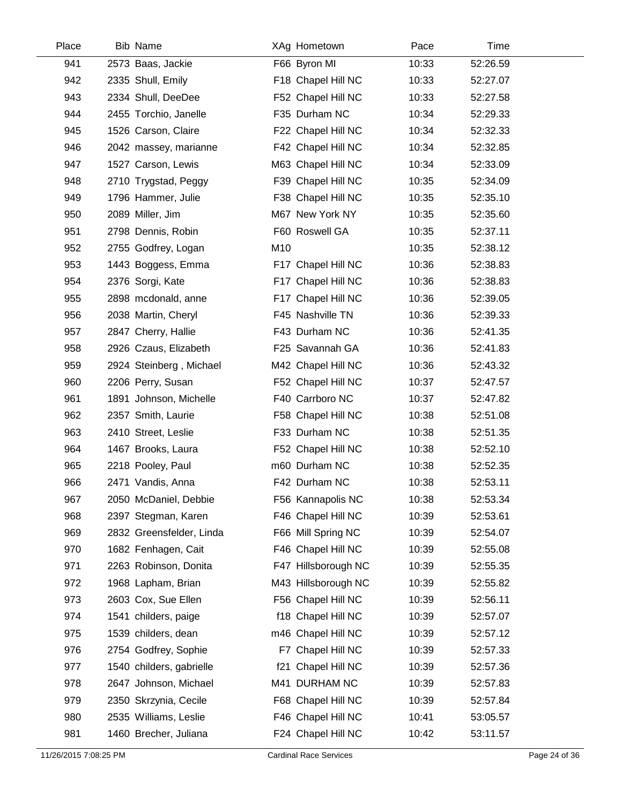| Place | <b>Bib Name</b>          |     | XAg Hometown        | Pace  | Time     |
|-------|--------------------------|-----|---------------------|-------|----------|
| 941   | 2573 Baas, Jackie        |     | F66 Byron MI        | 10:33 | 52:26.59 |
| 942   | 2335 Shull, Emily        |     | F18 Chapel Hill NC  | 10:33 | 52:27.07 |
| 943   | 2334 Shull, DeeDee       |     | F52 Chapel Hill NC  | 10:33 | 52:27.58 |
| 944   | 2455 Torchio, Janelle    |     | F35 Durham NC       | 10:34 | 52:29.33 |
| 945   | 1526 Carson, Claire      |     | F22 Chapel Hill NC  | 10:34 | 52:32.33 |
| 946   | 2042 massey, marianne    |     | F42 Chapel Hill NC  | 10:34 | 52:32.85 |
| 947   | 1527 Carson, Lewis       |     | M63 Chapel Hill NC  | 10:34 | 52:33.09 |
| 948   | 2710 Trygstad, Peggy     |     | F39 Chapel Hill NC  | 10:35 | 52:34.09 |
| 949   | 1796 Hammer, Julie       |     | F38 Chapel Hill NC  | 10:35 | 52:35.10 |
| 950   | 2089 Miller, Jim         |     | M67 New York NY     | 10:35 | 52:35.60 |
| 951   | 2798 Dennis, Robin       |     | F60 Roswell GA      | 10:35 | 52:37.11 |
| 952   | 2755 Godfrey, Logan      | M10 |                     | 10:35 | 52:38.12 |
| 953   | 1443 Boggess, Emma       |     | F17 Chapel Hill NC  | 10:36 | 52:38.83 |
| 954   | 2376 Sorgi, Kate         |     | F17 Chapel Hill NC  | 10:36 | 52:38.83 |
| 955   | 2898 mcdonald, anne      |     | F17 Chapel Hill NC  | 10:36 | 52:39.05 |
| 956   | 2038 Martin, Cheryl      |     | F45 Nashville TN    | 10:36 | 52:39.33 |
| 957   | 2847 Cherry, Hallie      |     | F43 Durham NC       | 10:36 | 52:41.35 |
| 958   | 2926 Czaus, Elizabeth    |     | F25 Savannah GA     | 10:36 | 52:41.83 |
| 959   | 2924 Steinberg, Michael  |     | M42 Chapel Hill NC  | 10:36 | 52:43.32 |
| 960   | 2206 Perry, Susan        |     | F52 Chapel Hill NC  | 10:37 | 52:47.57 |
| 961   | 1891 Johnson, Michelle   |     | F40 Carrboro NC     | 10:37 | 52:47.82 |
| 962   | 2357 Smith, Laurie       |     | F58 Chapel Hill NC  | 10:38 | 52:51.08 |
| 963   | 2410 Street, Leslie      |     | F33 Durham NC       | 10:38 | 52:51.35 |
| 964   | 1467 Brooks, Laura       |     | F52 Chapel Hill NC  | 10:38 | 52:52.10 |
| 965   | 2218 Pooley, Paul        |     | m60 Durham NC       | 10:38 | 52:52.35 |
| 966   | 2471 Vandis, Anna        |     | F42 Durham NC       | 10:38 | 52:53.11 |
| 967   | 2050 McDaniel, Debbie    |     | F56 Kannapolis NC   | 10:38 | 52:53.34 |
| 968   | 2397 Stegman, Karen      |     | F46 Chapel Hill NC  | 10:39 | 52:53.61 |
| 969   | 2832 Greensfelder, Linda |     | F66 Mill Spring NC  | 10:39 | 52:54.07 |
| 970   | 1682 Fenhagen, Cait      |     | F46 Chapel Hill NC  | 10:39 | 52:55.08 |
| 971   | 2263 Robinson, Donita    |     | F47 Hillsborough NC | 10:39 | 52:55.35 |
| 972   | 1968 Lapham, Brian       |     | M43 Hillsborough NC | 10:39 | 52:55.82 |
| 973   | 2603 Cox, Sue Ellen      |     | F56 Chapel Hill NC  | 10:39 | 52:56.11 |
| 974   | 1541 childers, paige     |     | f18 Chapel Hill NC  | 10:39 | 52:57.07 |
| 975   | 1539 childers, dean      |     | m46 Chapel Hill NC  | 10:39 | 52:57.12 |
| 976   | 2754 Godfrey, Sophie     |     | F7 Chapel Hill NC   | 10:39 | 52:57.33 |
| 977   | 1540 childers, gabrielle |     | f21 Chapel Hill NC  | 10:39 | 52:57.36 |
| 978   | 2647 Johnson, Michael    |     | M41 DURHAM NC       | 10:39 | 52:57.83 |
| 979   | 2350 Skrzynia, Cecile    |     | F68 Chapel Hill NC  | 10:39 | 52:57.84 |
| 980   | 2535 Williams, Leslie    |     | F46 Chapel Hill NC  | 10:41 | 53:05.57 |
| 981   | 1460 Brecher, Juliana    |     | F24 Chapel Hill NC  | 10:42 | 53:11.57 |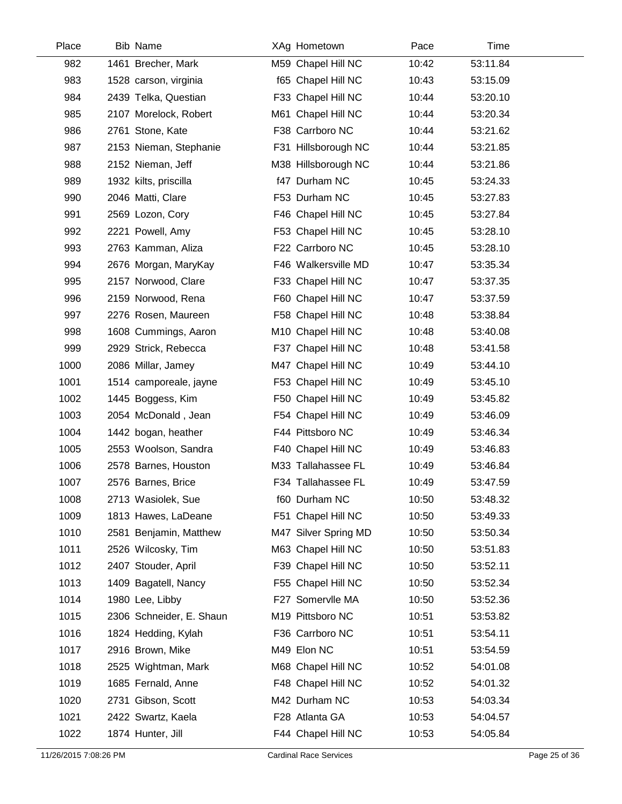| Place | <b>Bib Name</b>          | XAg Hometown         | Pace  | Time     |  |
|-------|--------------------------|----------------------|-------|----------|--|
| 982   | 1461 Brecher, Mark       | M59 Chapel Hill NC   | 10:42 | 53:11.84 |  |
| 983   | 1528 carson, virginia    | f65 Chapel Hill NC   | 10:43 | 53:15.09 |  |
| 984   | 2439 Telka, Questian     | F33 Chapel Hill NC   | 10:44 | 53:20.10 |  |
| 985   | 2107 Morelock, Robert    | M61 Chapel Hill NC   | 10:44 | 53:20.34 |  |
| 986   | 2761 Stone, Kate         | F38 Carrboro NC      | 10:44 | 53:21.62 |  |
| 987   | 2153 Nieman, Stephanie   | F31 Hillsborough NC  | 10:44 | 53:21.85 |  |
| 988   | 2152 Nieman, Jeff        | M38 Hillsborough NC  | 10:44 | 53:21.86 |  |
| 989   | 1932 kilts, priscilla    | f47 Durham NC        | 10:45 | 53:24.33 |  |
| 990   | 2046 Matti, Clare        | F53 Durham NC        | 10:45 | 53:27.83 |  |
| 991   | 2569 Lozon, Cory         | F46 Chapel Hill NC   | 10:45 | 53:27.84 |  |
| 992   | 2221 Powell, Amy         | F53 Chapel Hill NC   | 10:45 | 53:28.10 |  |
| 993   | 2763 Kamman, Aliza       | F22 Carrboro NC      | 10:45 | 53:28.10 |  |
| 994   | 2676 Morgan, MaryKay     | F46 Walkersville MD  | 10:47 | 53:35.34 |  |
| 995   | 2157 Norwood, Clare      | F33 Chapel Hill NC   | 10:47 | 53:37.35 |  |
| 996   | 2159 Norwood, Rena       | F60 Chapel Hill NC   | 10:47 | 53:37.59 |  |
| 997   | 2276 Rosen, Maureen      | F58 Chapel Hill NC   | 10:48 | 53:38.84 |  |
| 998   | 1608 Cummings, Aaron     | M10 Chapel Hill NC   | 10:48 | 53:40.08 |  |
| 999   | 2929 Strick, Rebecca     | F37 Chapel Hill NC   | 10:48 | 53:41.58 |  |
| 1000  | 2086 Millar, Jamey       | M47 Chapel Hill NC   | 10:49 | 53:44.10 |  |
| 1001  | 1514 camporeale, jayne   | F53 Chapel Hill NC   | 10:49 | 53:45.10 |  |
| 1002  | 1445 Boggess, Kim        | F50 Chapel Hill NC   | 10:49 | 53:45.82 |  |
| 1003  | 2054 McDonald, Jean      | F54 Chapel Hill NC   | 10:49 | 53:46.09 |  |
| 1004  | 1442 bogan, heather      | F44 Pittsboro NC     | 10:49 | 53:46.34 |  |
| 1005  | 2553 Woolson, Sandra     | F40 Chapel Hill NC   | 10:49 | 53:46.83 |  |
| 1006  | 2578 Barnes, Houston     | M33 Tallahassee FL   | 10:49 | 53:46.84 |  |
| 1007  | 2576 Barnes, Brice       | F34 Tallahassee FL   | 10:49 | 53:47.59 |  |
| 1008  | 2713 Wasiolek, Sue       | f60 Durham NC        | 10:50 | 53:48.32 |  |
| 1009  | 1813 Hawes, LaDeane      | F51 Chapel Hill NC   | 10:50 | 53:49.33 |  |
| 1010  | 2581 Benjamin, Matthew   | M47 Silver Spring MD | 10:50 | 53:50.34 |  |
| 1011  | 2526 Wilcosky, Tim       | M63 Chapel Hill NC   | 10:50 | 53:51.83 |  |
| 1012  | 2407 Stouder, April      | F39 Chapel Hill NC   | 10:50 | 53:52.11 |  |
| 1013  | 1409 Bagatell, Nancy     | F55 Chapel Hill NC   | 10:50 | 53:52.34 |  |
| 1014  | 1980 Lee, Libby          | F27 Somervile MA     | 10:50 | 53:52.36 |  |
| 1015  | 2306 Schneider, E. Shaun | M19 Pittsboro NC     | 10:51 | 53:53.82 |  |
| 1016  | 1824 Hedding, Kylah      | F36 Carrboro NC      | 10:51 | 53:54.11 |  |
| 1017  | 2916 Brown, Mike         | M49 Elon NC          | 10:51 | 53:54.59 |  |
| 1018  | 2525 Wightman, Mark      | M68 Chapel Hill NC   | 10:52 | 54:01.08 |  |
| 1019  | 1685 Fernald, Anne       | F48 Chapel Hill NC   | 10:52 | 54:01.32 |  |
| 1020  | 2731 Gibson, Scott       | M42 Durham NC        | 10:53 | 54:03.34 |  |
| 1021  | 2422 Swartz, Kaela       | F28 Atlanta GA       | 10:53 | 54:04.57 |  |
| 1022  | 1874 Hunter, Jill        | F44 Chapel Hill NC   | 10:53 | 54:05.84 |  |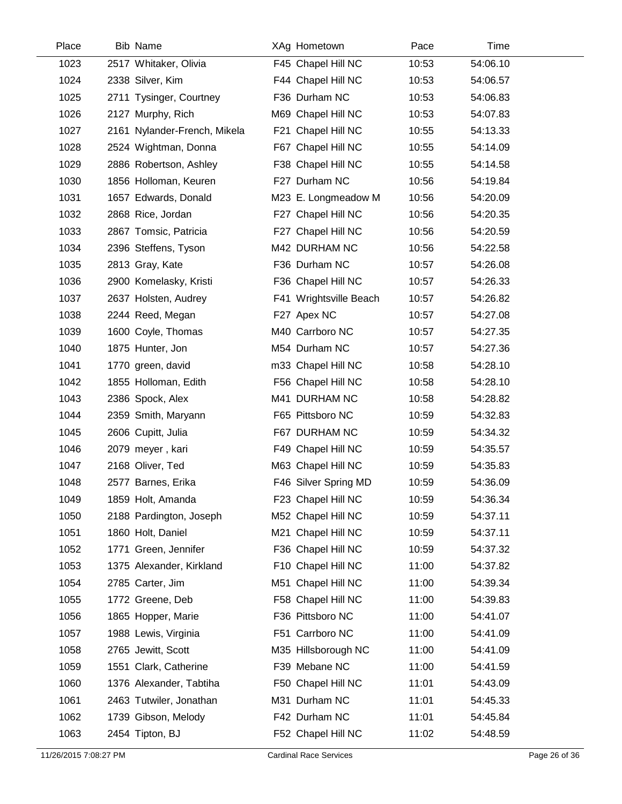| Place | <b>Bib Name</b>              | XAg Hometown           | Pace  | <b>Time</b> |  |
|-------|------------------------------|------------------------|-------|-------------|--|
| 1023  | 2517 Whitaker, Olivia        | F45 Chapel Hill NC     | 10:53 | 54:06.10    |  |
| 1024  | 2338 Silver, Kim             | F44 Chapel Hill NC     | 10:53 | 54:06.57    |  |
| 1025  | 2711 Tysinger, Courtney      | F36 Durham NC          | 10:53 | 54:06.83    |  |
| 1026  | 2127 Murphy, Rich            | M69 Chapel Hill NC     | 10:53 | 54:07.83    |  |
| 1027  | 2161 Nylander-French, Mikela | F21 Chapel Hill NC     | 10:55 | 54:13.33    |  |
| 1028  | 2524 Wightman, Donna         | F67 Chapel Hill NC     | 10:55 | 54:14.09    |  |
| 1029  | 2886 Robertson, Ashley       | F38 Chapel Hill NC     | 10:55 | 54:14.58    |  |
| 1030  | 1856 Holloman, Keuren        | F27 Durham NC          | 10:56 | 54:19.84    |  |
| 1031  | 1657 Edwards, Donald         | M23 E. Longmeadow M    | 10:56 | 54:20.09    |  |
| 1032  | 2868 Rice, Jordan            | F27 Chapel Hill NC     | 10:56 | 54:20.35    |  |
| 1033  | 2867 Tomsic, Patricia        | F27 Chapel Hill NC     | 10:56 | 54:20.59    |  |
| 1034  | 2396 Steffens, Tyson         | M42 DURHAM NC          | 10:56 | 54:22.58    |  |
| 1035  | 2813 Gray, Kate              | F36 Durham NC          | 10:57 | 54:26.08    |  |
| 1036  | 2900 Komelasky, Kristi       | F36 Chapel Hill NC     | 10:57 | 54:26.33    |  |
| 1037  | 2637 Holsten, Audrey         | F41 Wrightsville Beach | 10:57 | 54:26.82    |  |
| 1038  | 2244 Reed, Megan             | F27 Apex NC            | 10:57 | 54:27.08    |  |
| 1039  | 1600 Coyle, Thomas           | M40 Carrboro NC        | 10:57 | 54:27.35    |  |
| 1040  | 1875 Hunter, Jon             | M54 Durham NC          | 10:57 | 54:27.36    |  |
| 1041  | 1770 green, david            | m33 Chapel Hill NC     | 10:58 | 54:28.10    |  |
| 1042  | 1855 Holloman, Edith         | F56 Chapel Hill NC     | 10:58 | 54:28.10    |  |
| 1043  | 2386 Spock, Alex             | M41 DURHAM NC          | 10:58 | 54:28.82    |  |
| 1044  | 2359 Smith, Maryann          | F65 Pittsboro NC       | 10:59 | 54:32.83    |  |
| 1045  | 2606 Cupitt, Julia           | F67 DURHAM NC          | 10:59 | 54:34.32    |  |
| 1046  | 2079 meyer, kari             | F49 Chapel Hill NC     | 10:59 | 54:35.57    |  |
| 1047  | 2168 Oliver, Ted             | M63 Chapel Hill NC     | 10:59 | 54:35.83    |  |
| 1048  | 2577 Barnes, Erika           | F46 Silver Spring MD   | 10:59 | 54:36.09    |  |
| 1049  | 1859 Holt, Amanda            | F23 Chapel Hill NC     | 10:59 | 54:36.34    |  |
| 1050  | 2188 Pardington, Joseph      | M52 Chapel Hill NC     | 10:59 | 54:37.11    |  |
| 1051  | 1860 Holt, Daniel            | M21 Chapel Hill NC     | 10:59 | 54:37.11    |  |
| 1052  | 1771 Green, Jennifer         | F36 Chapel Hill NC     | 10:59 | 54:37.32    |  |
| 1053  | 1375 Alexander, Kirkland     | F10 Chapel Hill NC     | 11:00 | 54:37.82    |  |
| 1054  | 2785 Carter, Jim             | M51 Chapel Hill NC     | 11:00 | 54:39.34    |  |
| 1055  | 1772 Greene, Deb             | F58 Chapel Hill NC     | 11:00 | 54:39.83    |  |
| 1056  | 1865 Hopper, Marie           | F36 Pittsboro NC       | 11:00 | 54:41.07    |  |
| 1057  | 1988 Lewis, Virginia         | F51 Carrboro NC        | 11:00 | 54:41.09    |  |
| 1058  | 2765 Jewitt, Scott           | M35 Hillsborough NC    | 11:00 | 54:41.09    |  |
| 1059  | 1551 Clark, Catherine        | F39 Mebane NC          | 11:00 | 54:41.59    |  |
| 1060  | 1376 Alexander, Tabtiha      | F50 Chapel Hill NC     | 11:01 | 54:43.09    |  |
| 1061  | 2463 Tutwiler, Jonathan      | M31 Durham NC          | 11:01 | 54:45.33    |  |
| 1062  | 1739 Gibson, Melody          | F42 Durham NC          | 11:01 | 54:45.84    |  |
| 1063  | 2454 Tipton, BJ              | F52 Chapel Hill NC     | 11:02 | 54:48.59    |  |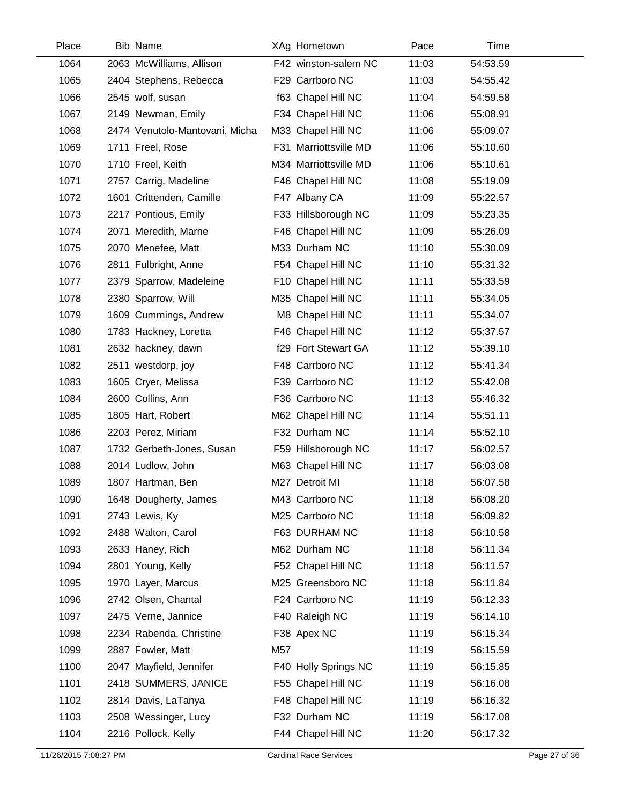| Place | <b>Bib Name</b>                |     | XAg Hometown          | Pace  | Time     |
|-------|--------------------------------|-----|-----------------------|-------|----------|
| 1064  | 2063 McWilliams, Allison       |     | F42 winston-salem NC  | 11:03 | 54:53.59 |
| 1065  | 2404 Stephens, Rebecca         |     | F29 Carrboro NC       | 11:03 | 54:55.42 |
| 1066  | 2545 wolf, susan               |     | f63 Chapel Hill NC    | 11:04 | 54:59.58 |
| 1067  | 2149 Newman, Emily             |     | F34 Chapel Hill NC    | 11:06 | 55:08.91 |
| 1068  | 2474 Venutolo-Mantovani, Micha |     | M33 Chapel Hill NC    | 11:06 | 55:09.07 |
| 1069  | 1711 Freel, Rose               |     | F31 Marriottsville MD | 11:06 | 55:10.60 |
| 1070  | 1710 Freel, Keith              |     | M34 Marriottsville MD | 11:06 | 55:10.61 |
| 1071  | 2757 Carrig, Madeline          |     | F46 Chapel Hill NC    | 11:08 | 55:19.09 |
| 1072  | 1601 Crittenden, Camille       |     | F47 Albany CA         | 11:09 | 55:22.57 |
| 1073  | 2217 Pontious, Emily           |     | F33 Hillsborough NC   | 11:09 | 55:23.35 |
| 1074  | 2071 Meredith, Marne           |     | F46 Chapel Hill NC    | 11:09 | 55:26.09 |
| 1075  | 2070 Menefee, Matt             |     | M33 Durham NC         | 11:10 | 55:30.09 |
| 1076  | 2811 Fulbright, Anne           |     | F54 Chapel Hill NC    | 11:10 | 55:31.32 |
| 1077  | 2379 Sparrow, Madeleine        |     | F10 Chapel Hill NC    | 11:11 | 55:33.59 |
| 1078  | 2380 Sparrow, Will             |     | M35 Chapel Hill NC    | 11:11 | 55:34.05 |
| 1079  | 1609 Cummings, Andrew          |     | M8 Chapel Hill NC     | 11:11 | 55:34.07 |
| 1080  | 1783 Hackney, Loretta          |     | F46 Chapel Hill NC    | 11:12 | 55:37.57 |
| 1081  | 2632 hackney, dawn             |     | f29 Fort Stewart GA   | 11:12 | 55:39.10 |
| 1082  | 2511 westdorp, joy             |     | F48 Carrboro NC       | 11:12 | 55:41.34 |
| 1083  | 1605 Cryer, Melissa            |     | F39 Carrboro NC       | 11:12 | 55:42.08 |
| 1084  | 2600 Collins, Ann              |     | F36 Carrboro NC       | 11:13 | 55:46.32 |
| 1085  | 1805 Hart, Robert              |     | M62 Chapel Hill NC    | 11:14 | 55:51.11 |
| 1086  | 2203 Perez, Miriam             |     | F32 Durham NC         | 11:14 | 55:52.10 |
| 1087  | 1732 Gerbeth-Jones, Susan      |     | F59 Hillsborough NC   | 11:17 | 56:02.57 |
| 1088  | 2014 Ludlow, John              |     | M63 Chapel Hill NC    | 11:17 | 56:03.08 |
| 1089  | 1807 Hartman, Ben              |     | M27 Detroit MI        | 11:18 | 56:07.58 |
| 1090  | 1648 Dougherty, James          |     | M43 Carrboro NC       | 11:18 | 56:08.20 |
| 1091  | 2743 Lewis, Ky                 |     | M25 Carrboro NC       | 11:18 | 56:09.82 |
| 1092  | 2488 Walton, Carol             |     | F63 DURHAM NC         | 11:18 | 56:10.58 |
| 1093  | 2633 Haney, Rich               |     | M62 Durham NC         | 11:18 | 56:11.34 |
| 1094  | 2801 Young, Kelly              |     | F52 Chapel Hill NC    | 11:18 | 56:11.57 |
| 1095  | 1970 Layer, Marcus             |     | M25 Greensboro NC     | 11:18 | 56:11.84 |
| 1096  | 2742 Olsen, Chantal            |     | F24 Carrboro NC       | 11:19 | 56:12.33 |
| 1097  | 2475 Verne, Jannice            |     | F40 Raleigh NC        | 11:19 | 56:14.10 |
| 1098  | 2234 Rabenda, Christine        |     | F38 Apex NC           | 11:19 | 56:15.34 |
| 1099  | 2887 Fowler, Matt              | M57 |                       | 11:19 | 56:15.59 |
| 1100  | 2047 Mayfield, Jennifer        |     | F40 Holly Springs NC  | 11:19 | 56:15.85 |
| 1101  | 2418 SUMMERS, JANICE           |     | F55 Chapel Hill NC    | 11:19 | 56:16.08 |
| 1102  | 2814 Davis, LaTanya            |     | F48 Chapel Hill NC    | 11:19 | 56:16.32 |
| 1103  | 2508 Wessinger, Lucy           |     | F32 Durham NC         | 11:19 | 56:17.08 |
| 1104  | 2216 Pollock, Kelly            |     | F44 Chapel Hill NC    | 11:20 | 56:17.32 |
|       |                                |     |                       |       |          |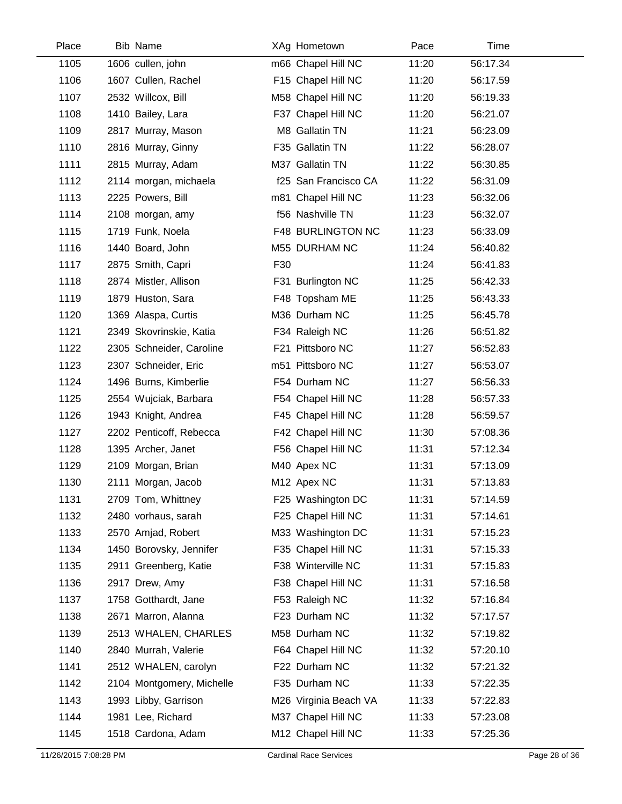| Place | <b>Bib Name</b>           |     | XAg Hometown          | Pace  | Time     |
|-------|---------------------------|-----|-----------------------|-------|----------|
| 1105  | 1606 cullen, john         |     | m66 Chapel Hill NC    | 11:20 | 56:17.34 |
| 1106  | 1607 Cullen, Rachel       |     | F15 Chapel Hill NC    | 11:20 | 56:17.59 |
| 1107  | 2532 Willcox, Bill        |     | M58 Chapel Hill NC    | 11:20 | 56:19.33 |
| 1108  | 1410 Bailey, Lara         |     | F37 Chapel Hill NC    | 11:20 | 56:21.07 |
| 1109  | 2817 Murray, Mason        |     | M8 Gallatin TN        | 11:21 | 56:23.09 |
| 1110  | 2816 Murray, Ginny        |     | F35 Gallatin TN       | 11:22 | 56:28.07 |
| 1111  | 2815 Murray, Adam         |     | M37 Gallatin TN       | 11:22 | 56:30.85 |
| 1112  | 2114 morgan, michaela     |     | f25 San Francisco CA  | 11:22 | 56:31.09 |
| 1113  | 2225 Powers, Bill         |     | m81 Chapel Hill NC    | 11:23 | 56:32.06 |
| 1114  | 2108 morgan, amy          |     | f56 Nashville TN      | 11:23 | 56:32.07 |
| 1115  | 1719 Funk, Noela          |     | F48 BURLINGTON NC     | 11:23 | 56:33.09 |
| 1116  | 1440 Board, John          |     | M55 DURHAM NC         | 11:24 | 56:40.82 |
| 1117  | 2875 Smith, Capri         | F30 |                       | 11:24 | 56:41.83 |
| 1118  | 2874 Mistler, Allison     |     | F31 Burlington NC     | 11:25 | 56:42.33 |
| 1119  | 1879 Huston, Sara         |     | F48 Topsham ME        | 11:25 | 56:43.33 |
| 1120  | 1369 Alaspa, Curtis       |     | M36 Durham NC         | 11:25 | 56:45.78 |
| 1121  | 2349 Skovrinskie, Katia   |     | F34 Raleigh NC        | 11:26 | 56:51.82 |
| 1122  | 2305 Schneider, Caroline  |     | F21 Pittsboro NC      | 11:27 | 56:52.83 |
| 1123  | 2307 Schneider, Eric      |     | m51 Pittsboro NC      | 11:27 | 56:53.07 |
| 1124  | 1496 Burns, Kimberlie     |     | F54 Durham NC         | 11:27 | 56:56.33 |
| 1125  | 2554 Wujciak, Barbara     |     | F54 Chapel Hill NC    | 11:28 | 56:57.33 |
| 1126  | 1943 Knight, Andrea       |     | F45 Chapel Hill NC    | 11:28 | 56:59.57 |
| 1127  | 2202 Penticoff, Rebecca   |     | F42 Chapel Hill NC    | 11:30 | 57:08.36 |
| 1128  | 1395 Archer, Janet        |     | F56 Chapel Hill NC    | 11:31 | 57:12.34 |
| 1129  | 2109 Morgan, Brian        |     | M40 Apex NC           | 11:31 | 57:13.09 |
| 1130  | 2111 Morgan, Jacob        |     | M12 Apex NC           | 11:31 | 57:13.83 |
| 1131  | 2709 Tom, Whittney        |     | F25 Washington DC     | 11:31 | 57:14.59 |
| 1132  | 2480 vorhaus, sarah       |     | F25 Chapel Hill NC    | 11:31 | 57:14.61 |
| 1133  | 2570 Amjad, Robert        |     | M33 Washington DC     | 11:31 | 57:15.23 |
| 1134  | 1450 Borovsky, Jennifer   |     | F35 Chapel Hill NC    | 11:31 | 57:15.33 |
| 1135  | 2911 Greenberg, Katie     |     | F38 Winterville NC    | 11:31 | 57:15.83 |
| 1136  | 2917 Drew, Amy            |     | F38 Chapel Hill NC    | 11:31 | 57:16.58 |
| 1137  | 1758 Gotthardt, Jane      |     | F53 Raleigh NC        | 11:32 | 57:16.84 |
| 1138  | 2671 Marron, Alanna       |     | F23 Durham NC         | 11:32 | 57:17.57 |
| 1139  | 2513 WHALEN, CHARLES      |     | M58 Durham NC         | 11:32 | 57:19.82 |
| 1140  | 2840 Murrah, Valerie      |     | F64 Chapel Hill NC    | 11:32 | 57:20.10 |
| 1141  | 2512 WHALEN, carolyn      |     | F22 Durham NC         | 11:32 | 57:21.32 |
| 1142  | 2104 Montgomery, Michelle |     | F35 Durham NC         | 11:33 | 57:22.35 |
| 1143  | 1993 Libby, Garrison      |     | M26 Virginia Beach VA | 11:33 | 57:22.83 |
| 1144  | 1981 Lee, Richard         |     | M37 Chapel Hill NC    | 11:33 | 57:23.08 |
| 1145  | 1518 Cardona, Adam        |     | M12 Chapel Hill NC    | 11:33 | 57:25.36 |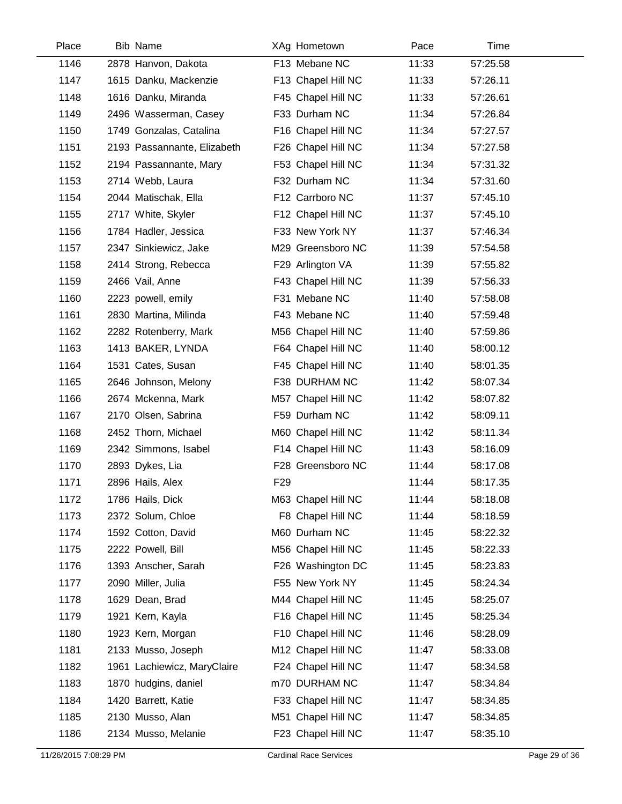| Place | <b>Bib Name</b>             |                 | XAg Hometown       | Pace  | Time     |  |
|-------|-----------------------------|-----------------|--------------------|-------|----------|--|
| 1146  | 2878 Hanvon, Dakota         |                 | F13 Mebane NC      | 11:33 | 57:25.58 |  |
| 1147  | 1615 Danku, Mackenzie       |                 | F13 Chapel Hill NC | 11:33 | 57:26.11 |  |
| 1148  | 1616 Danku, Miranda         |                 | F45 Chapel Hill NC | 11:33 | 57:26.61 |  |
| 1149  | 2496 Wasserman, Casey       |                 | F33 Durham NC      | 11:34 | 57:26.84 |  |
| 1150  | 1749 Gonzalas, Catalina     |                 | F16 Chapel Hill NC | 11:34 | 57:27.57 |  |
| 1151  | 2193 Passannante, Elizabeth |                 | F26 Chapel Hill NC | 11:34 | 57:27.58 |  |
| 1152  | 2194 Passannante, Mary      |                 | F53 Chapel Hill NC | 11:34 | 57:31.32 |  |
| 1153  | 2714 Webb, Laura            |                 | F32 Durham NC      | 11:34 | 57:31.60 |  |
| 1154  | 2044 Matischak, Ella        |                 | F12 Carrboro NC    | 11:37 | 57:45.10 |  |
| 1155  | 2717 White, Skyler          |                 | F12 Chapel Hill NC | 11:37 | 57:45.10 |  |
| 1156  | 1784 Hadler, Jessica        |                 | F33 New York NY    | 11:37 | 57:46.34 |  |
| 1157  | 2347 Sinkiewicz, Jake       |                 | M29 Greensboro NC  | 11:39 | 57:54.58 |  |
| 1158  | 2414 Strong, Rebecca        |                 | F29 Arlington VA   | 11:39 | 57:55.82 |  |
| 1159  | 2466 Vail, Anne             |                 | F43 Chapel Hill NC | 11:39 | 57:56.33 |  |
| 1160  | 2223 powell, emily          |                 | F31 Mebane NC      | 11:40 | 57:58.08 |  |
| 1161  | 2830 Martina, Milinda       |                 | F43 Mebane NC      | 11:40 | 57:59.48 |  |
| 1162  | 2282 Rotenberry, Mark       |                 | M56 Chapel Hill NC | 11:40 | 57:59.86 |  |
| 1163  | 1413 BAKER, LYNDA           |                 | F64 Chapel Hill NC | 11:40 | 58:00.12 |  |
| 1164  | 1531 Cates, Susan           |                 | F45 Chapel Hill NC | 11:40 | 58:01.35 |  |
| 1165  | 2646 Johnson, Melony        |                 | F38 DURHAM NC      | 11:42 | 58:07.34 |  |
| 1166  | 2674 Mckenna, Mark          |                 | M57 Chapel Hill NC | 11:42 | 58:07.82 |  |
| 1167  | 2170 Olsen, Sabrina         |                 | F59 Durham NC      | 11:42 | 58:09.11 |  |
| 1168  | 2452 Thorn, Michael         |                 | M60 Chapel Hill NC | 11:42 | 58:11.34 |  |
| 1169  | 2342 Simmons, Isabel        |                 | F14 Chapel Hill NC | 11:43 | 58:16.09 |  |
| 1170  | 2893 Dykes, Lia             |                 | F28 Greensboro NC  | 11:44 | 58:17.08 |  |
| 1171  | 2896 Hails, Alex            | F <sub>29</sub> |                    | 11:44 | 58:17.35 |  |
| 1172  | 1786 Hails, Dick            |                 | M63 Chapel Hill NC | 11:44 | 58:18.08 |  |
| 1173  | 2372 Solum, Chloe           |                 | F8 Chapel Hill NC  | 11:44 | 58:18.59 |  |
| 1174  | 1592 Cotton, David          |                 | M60 Durham NC      | 11:45 | 58:22.32 |  |
| 1175  | 2222 Powell, Bill           |                 | M56 Chapel Hill NC | 11:45 | 58:22.33 |  |
| 1176  | 1393 Anscher, Sarah         |                 | F26 Washington DC  | 11:45 | 58:23.83 |  |
| 1177  | 2090 Miller, Julia          |                 | F55 New York NY    | 11:45 | 58:24.34 |  |
| 1178  | 1629 Dean, Brad             |                 | M44 Chapel Hill NC | 11:45 | 58:25.07 |  |
| 1179  | 1921 Kern, Kayla            |                 | F16 Chapel Hill NC | 11:45 | 58:25.34 |  |
| 1180  | 1923 Kern, Morgan           |                 | F10 Chapel Hill NC | 11:46 | 58:28.09 |  |
| 1181  | 2133 Musso, Joseph          |                 | M12 Chapel Hill NC | 11:47 | 58:33.08 |  |
| 1182  | 1961 Lachiewicz, MaryClaire |                 | F24 Chapel Hill NC | 11:47 | 58:34.58 |  |
| 1183  | 1870 hudgins, daniel        |                 | m70 DURHAM NC      | 11:47 | 58:34.84 |  |
| 1184  | 1420 Barrett, Katie         |                 | F33 Chapel Hill NC | 11:47 | 58:34.85 |  |
| 1185  | 2130 Musso, Alan            |                 | M51 Chapel Hill NC | 11:47 | 58:34.85 |  |
| 1186  | 2134 Musso, Melanie         |                 | F23 Chapel Hill NC | 11:47 | 58:35.10 |  |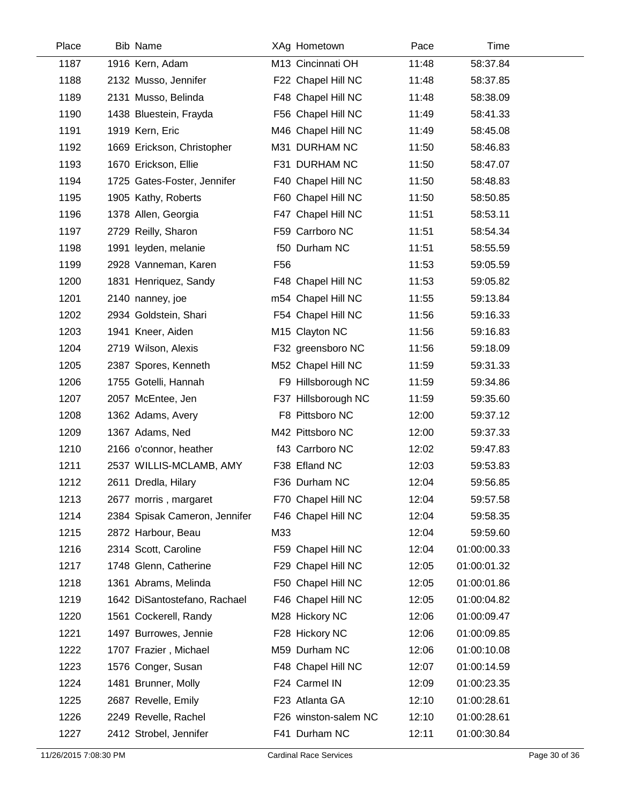| Place | <b>Bib Name</b>               | XAg Hometown         | Pace  | Time        |  |
|-------|-------------------------------|----------------------|-------|-------------|--|
| 1187  | 1916 Kern, Adam               | M13 Cincinnati OH    | 11:48 | 58:37.84    |  |
| 1188  | 2132 Musso, Jennifer          | F22 Chapel Hill NC   | 11:48 | 58:37.85    |  |
| 1189  | 2131 Musso, Belinda           | F48 Chapel Hill NC   | 11:48 | 58:38.09    |  |
| 1190  | 1438 Bluestein, Frayda        | F56 Chapel Hill NC   | 11:49 | 58:41.33    |  |
| 1191  | 1919 Kern, Eric               | M46 Chapel Hill NC   | 11:49 | 58:45.08    |  |
| 1192  | 1669 Erickson, Christopher    | M31 DURHAM NC        | 11:50 | 58:46.83    |  |
| 1193  | 1670 Erickson, Ellie          | F31 DURHAM NC        | 11:50 | 58:47.07    |  |
| 1194  | 1725 Gates-Foster, Jennifer   | F40 Chapel Hill NC   | 11:50 | 58:48.83    |  |
| 1195  | 1905 Kathy, Roberts           | F60 Chapel Hill NC   | 11:50 | 58:50.85    |  |
| 1196  | 1378 Allen, Georgia           | F47 Chapel Hill NC   | 11:51 | 58:53.11    |  |
| 1197  | 2729 Reilly, Sharon           | F59 Carrboro NC      | 11:51 | 58:54.34    |  |
| 1198  | 1991 leyden, melanie          | f50 Durham NC        | 11:51 | 58:55.59    |  |
| 1199  | 2928 Vanneman, Karen          | F <sub>56</sub>      | 11:53 | 59:05.59    |  |
| 1200  | 1831 Henriquez, Sandy         | F48 Chapel Hill NC   | 11:53 | 59:05.82    |  |
| 1201  | 2140 nanney, joe              | m54 Chapel Hill NC   | 11:55 | 59:13.84    |  |
| 1202  | 2934 Goldstein, Shari         | F54 Chapel Hill NC   | 11:56 | 59:16.33    |  |
| 1203  | 1941 Kneer, Aiden             | M15 Clayton NC       | 11:56 | 59:16.83    |  |
| 1204  | 2719 Wilson, Alexis           | F32 greensboro NC    | 11:56 | 59:18.09    |  |
| 1205  | 2387 Spores, Kenneth          | M52 Chapel Hill NC   | 11:59 | 59:31.33    |  |
| 1206  | 1755 Gotelli, Hannah          | F9 Hillsborough NC   | 11:59 | 59:34.86    |  |
| 1207  | 2057 McEntee, Jen             | F37 Hillsborough NC  | 11:59 | 59:35.60    |  |
| 1208  | 1362 Adams, Avery             | F8 Pittsboro NC      | 12:00 | 59:37.12    |  |
| 1209  | 1367 Adams, Ned               | M42 Pittsboro NC     | 12:00 | 59:37.33    |  |
| 1210  | 2166 o'connor, heather        | f43 Carrboro NC      | 12:02 | 59:47.83    |  |
| 1211  | 2537 WILLIS-MCLAMB, AMY       | F38 Efland NC        | 12:03 | 59:53.83    |  |
| 1212  | 2611 Dredla, Hilary           | F36 Durham NC        | 12:04 | 59:56.85    |  |
| 1213  | 2677 morris, margaret         | F70 Chapel Hill NC   | 12:04 | 59:57.58    |  |
| 1214  | 2384 Spisak Cameron, Jennifer | F46 Chapel Hill NC   | 12:04 | 59:58.35    |  |
| 1215  | 2872 Harbour, Beau            | M33                  | 12:04 | 59:59.60    |  |
| 1216  | 2314 Scott, Caroline          | F59 Chapel Hill NC   | 12:04 | 01:00:00.33 |  |
| 1217  | 1748 Glenn, Catherine         | F29 Chapel Hill NC   | 12:05 | 01:00:01.32 |  |
| 1218  | 1361 Abrams, Melinda          | F50 Chapel Hill NC   | 12:05 | 01:00:01.86 |  |
| 1219  | 1642 DiSantostefano, Rachael  | F46 Chapel Hill NC   | 12:05 | 01:00:04.82 |  |
| 1220  | 1561 Cockerell, Randy         | M28 Hickory NC       | 12:06 | 01:00:09.47 |  |
| 1221  | 1497 Burrowes, Jennie         | F28 Hickory NC       | 12:06 | 01:00:09.85 |  |
| 1222  | 1707 Frazier, Michael         | M59 Durham NC        | 12:06 | 01:00:10.08 |  |
| 1223  | 1576 Conger, Susan            | F48 Chapel Hill NC   | 12:07 | 01:00:14.59 |  |
| 1224  | 1481 Brunner, Molly           | F24 Carmel IN        | 12:09 | 01:00:23.35 |  |
| 1225  | 2687 Revelle, Emily           | F23 Atlanta GA       | 12:10 | 01:00:28.61 |  |
| 1226  | 2249 Revelle, Rachel          | F26 winston-salem NC | 12:10 | 01:00:28.61 |  |
| 1227  | 2412 Strobel, Jennifer        | F41 Durham NC        | 12:11 | 01:00:30.84 |  |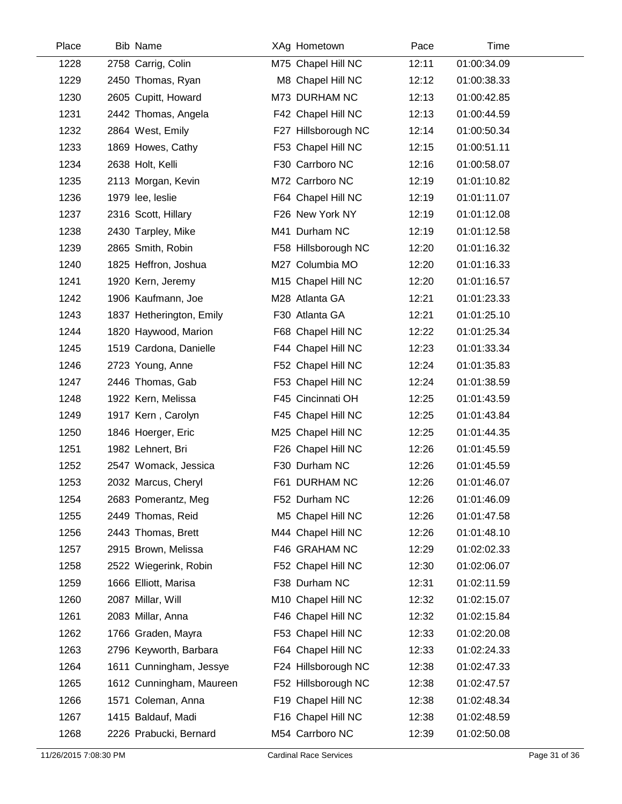| Place | <b>Bib Name</b>          | XAg Hometown        | Pace  | Time        |
|-------|--------------------------|---------------------|-------|-------------|
| 1228  | 2758 Carrig, Colin       | M75 Chapel Hill NC  | 12:11 | 01:00:34.09 |
| 1229  | 2450 Thomas, Ryan        | M8 Chapel Hill NC   | 12:12 | 01:00:38.33 |
| 1230  | 2605 Cupitt, Howard      | M73 DURHAM NC       | 12:13 | 01:00:42.85 |
| 1231  | 2442 Thomas, Angela      | F42 Chapel Hill NC  | 12:13 | 01:00:44.59 |
| 1232  | 2864 West, Emily         | F27 Hillsborough NC | 12:14 | 01:00:50.34 |
| 1233  | 1869 Howes, Cathy        | F53 Chapel Hill NC  | 12:15 | 01:00:51.11 |
| 1234  | 2638 Holt, Kelli         | F30 Carrboro NC     | 12:16 | 01:00:58.07 |
| 1235  | 2113 Morgan, Kevin       | M72 Carrboro NC     | 12:19 | 01:01:10.82 |
| 1236  | 1979 lee, leslie         | F64 Chapel Hill NC  | 12:19 | 01:01:11.07 |
| 1237  | 2316 Scott, Hillary      | F26 New York NY     | 12:19 | 01:01:12.08 |
| 1238  | 2430 Tarpley, Mike       | M41 Durham NC       | 12:19 | 01:01:12.58 |
| 1239  | 2865 Smith, Robin        | F58 Hillsborough NC | 12:20 | 01:01:16.32 |
| 1240  | 1825 Heffron, Joshua     | M27 Columbia MO     | 12:20 | 01:01:16.33 |
| 1241  | 1920 Kern, Jeremy        | M15 Chapel Hill NC  | 12:20 | 01:01:16.57 |
| 1242  | 1906 Kaufmann, Joe       | M28 Atlanta GA      | 12:21 | 01:01:23.33 |
| 1243  | 1837 Hetherington, Emily | F30 Atlanta GA      | 12:21 | 01:01:25.10 |
| 1244  | 1820 Haywood, Marion     | F68 Chapel Hill NC  | 12:22 | 01:01:25.34 |
| 1245  | 1519 Cardona, Danielle   | F44 Chapel Hill NC  | 12:23 | 01:01:33.34 |
| 1246  | 2723 Young, Anne         | F52 Chapel Hill NC  | 12:24 | 01:01:35.83 |
| 1247  | 2446 Thomas, Gab         | F53 Chapel Hill NC  | 12:24 | 01:01:38.59 |
| 1248  | 1922 Kern, Melissa       | F45 Cincinnati OH   | 12:25 | 01:01:43.59 |
| 1249  | 1917 Kern, Carolyn       | F45 Chapel Hill NC  | 12:25 | 01:01:43.84 |
| 1250  | 1846 Hoerger, Eric       | M25 Chapel Hill NC  | 12:25 | 01:01:44.35 |
| 1251  | 1982 Lehnert, Bri        | F26 Chapel Hill NC  | 12:26 | 01:01:45.59 |
| 1252  | 2547 Womack, Jessica     | F30 Durham NC       | 12:26 | 01:01:45.59 |
| 1253  | 2032 Marcus, Cheryl      | F61 DURHAM NC       | 12:26 | 01:01:46.07 |
| 1254  | 2683 Pomerantz, Meg      | F52 Durham NC       | 12:26 | 01:01:46.09 |
| 1255  | 2449 Thomas, Reid        | M5 Chapel Hill NC   | 12:26 | 01:01:47.58 |
| 1256  | 2443 Thomas, Brett       | M44 Chapel Hill NC  | 12:26 | 01:01:48.10 |
| 1257  | 2915 Brown, Melissa      | F46 GRAHAM NC       | 12:29 | 01:02:02.33 |
| 1258  | 2522 Wiegerink, Robin    | F52 Chapel Hill NC  | 12:30 | 01:02:06.07 |
| 1259  | 1666 Elliott, Marisa     | F38 Durham NC       | 12:31 | 01:02:11.59 |
| 1260  | 2087 Millar, Will        | M10 Chapel Hill NC  | 12:32 | 01:02:15.07 |
| 1261  | 2083 Millar, Anna        | F46 Chapel Hill NC  | 12:32 | 01:02:15.84 |
| 1262  | 1766 Graden, Mayra       | F53 Chapel Hill NC  | 12:33 | 01:02:20.08 |
| 1263  | 2796 Keyworth, Barbara   | F64 Chapel Hill NC  | 12:33 | 01:02:24.33 |
| 1264  | 1611 Cunningham, Jessye  | F24 Hillsborough NC | 12:38 | 01:02:47.33 |
| 1265  | 1612 Cunningham, Maureen | F52 Hillsborough NC | 12:38 | 01:02:47.57 |
| 1266  | 1571 Coleman, Anna       | F19 Chapel Hill NC  | 12:38 | 01:02:48.34 |
| 1267  | 1415 Baldauf, Madi       | F16 Chapel Hill NC  | 12:38 | 01:02:48.59 |
| 1268  | 2226 Prabucki, Bernard   | M54 Carrboro NC     | 12:39 | 01:02:50.08 |
|       |                          |                     |       |             |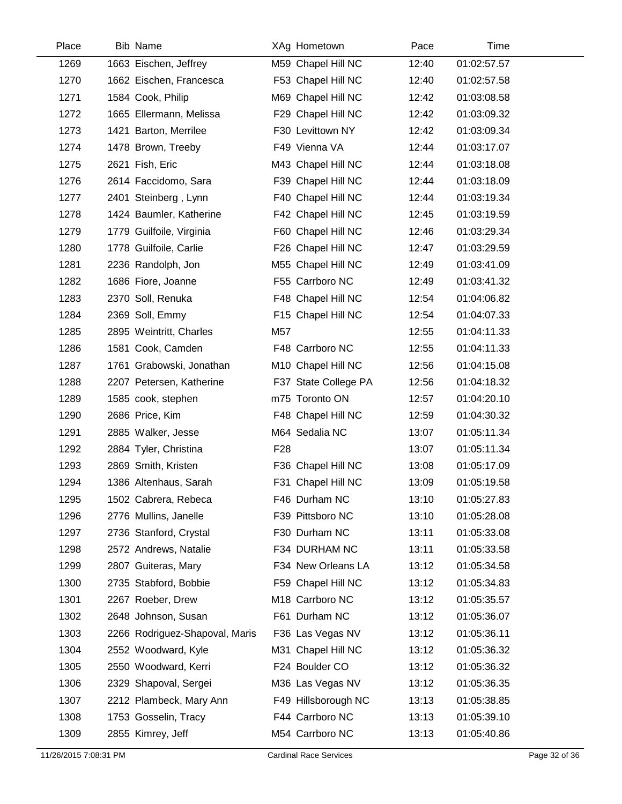| Place | <b>Bib Name</b>                |                 | XAg Hometown         | Pace  | Time        |
|-------|--------------------------------|-----------------|----------------------|-------|-------------|
| 1269  | 1663 Eischen, Jeffrey          |                 | M59 Chapel Hill NC   | 12:40 | 01:02:57.57 |
| 1270  | 1662 Eischen, Francesca        |                 | F53 Chapel Hill NC   | 12:40 | 01:02:57.58 |
| 1271  | 1584 Cook, Philip              |                 | M69 Chapel Hill NC   | 12:42 | 01:03:08.58 |
| 1272  | 1665 Ellermann, Melissa        |                 | F29 Chapel Hill NC   | 12:42 | 01:03:09.32 |
| 1273  | 1421 Barton, Merrilee          |                 | F30 Levittown NY     | 12:42 | 01:03:09.34 |
| 1274  | 1478 Brown, Treeby             |                 | F49 Vienna VA        | 12:44 | 01:03:17.07 |
| 1275  | 2621 Fish, Eric                |                 | M43 Chapel Hill NC   | 12:44 | 01:03:18.08 |
| 1276  | 2614 Faccidomo, Sara           |                 | F39 Chapel Hill NC   | 12:44 | 01:03:18.09 |
| 1277  | 2401 Steinberg, Lynn           |                 | F40 Chapel Hill NC   | 12:44 | 01:03:19.34 |
| 1278  | 1424 Baumler, Katherine        |                 | F42 Chapel Hill NC   | 12:45 | 01:03:19.59 |
| 1279  | 1779 Guilfoile, Virginia       |                 | F60 Chapel Hill NC   | 12:46 | 01:03:29.34 |
| 1280  | 1778 Guilfoile, Carlie         |                 | F26 Chapel Hill NC   | 12:47 | 01:03:29.59 |
| 1281  | 2236 Randolph, Jon             |                 | M55 Chapel Hill NC   | 12:49 | 01:03:41.09 |
| 1282  | 1686 Fiore, Joanne             |                 | F55 Carrboro NC      | 12:49 | 01:03:41.32 |
| 1283  | 2370 Soll, Renuka              |                 | F48 Chapel Hill NC   | 12:54 | 01:04:06.82 |
| 1284  | 2369 Soll, Emmy                |                 | F15 Chapel Hill NC   | 12:54 | 01:04:07.33 |
| 1285  | 2895 Weintritt, Charles        | M57             |                      | 12:55 | 01:04:11.33 |
| 1286  | 1581 Cook, Camden              |                 | F48 Carrboro NC      | 12:55 | 01:04:11.33 |
| 1287  | 1761 Grabowski, Jonathan       |                 | M10 Chapel Hill NC   | 12:56 | 01:04:15.08 |
| 1288  | 2207 Petersen, Katherine       |                 | F37 State College PA | 12:56 | 01:04:18.32 |
| 1289  | 1585 cook, stephen             |                 | m75 Toronto ON       | 12:57 | 01:04:20.10 |
| 1290  | 2686 Price, Kim                |                 | F48 Chapel Hill NC   | 12:59 | 01:04:30.32 |
| 1291  | 2885 Walker, Jesse             |                 | M64 Sedalia NC       | 13:07 | 01:05:11.34 |
| 1292  | 2884 Tyler, Christina          | F <sub>28</sub> |                      | 13:07 | 01:05:11.34 |
| 1293  | 2869 Smith, Kristen            |                 | F36 Chapel Hill NC   | 13:08 | 01:05:17.09 |
| 1294  | 1386 Altenhaus, Sarah          |                 | F31 Chapel Hill NC   | 13:09 | 01:05:19.58 |
| 1295  | 1502 Cabrera, Rebeca           |                 | F46 Durham NC        | 13:10 | 01:05:27.83 |
| 1296  | 2776 Mullins, Janelle          |                 | F39 Pittsboro NC     | 13:10 | 01:05:28.08 |
| 1297  | 2736 Stanford, Crystal         |                 | F30 Durham NC        | 13:11 | 01:05:33.08 |
| 1298  | 2572 Andrews, Natalie          |                 | F34 DURHAM NC        | 13:11 | 01:05:33.58 |
| 1299  | 2807 Guiteras, Mary            |                 | F34 New Orleans LA   | 13:12 | 01:05:34.58 |
| 1300  | 2735 Stabford, Bobbie          |                 | F59 Chapel Hill NC   | 13:12 | 01:05:34.83 |
| 1301  | 2267 Roeber, Drew              |                 | M18 Carrboro NC      | 13:12 | 01:05:35.57 |
| 1302  | 2648 Johnson, Susan            |                 | F61 Durham NC        | 13:12 | 01:05:36.07 |
| 1303  | 2266 Rodriguez-Shapoval, Maris |                 | F36 Las Vegas NV     | 13:12 | 01:05:36.11 |
| 1304  | 2552 Woodward, Kyle            |                 | M31 Chapel Hill NC   | 13:12 | 01:05:36.32 |
| 1305  | 2550 Woodward, Kerri           |                 | F24 Boulder CO       | 13:12 | 01:05:36.32 |
| 1306  | 2329 Shapoval, Sergei          |                 | M36 Las Vegas NV     | 13:12 | 01:05:36.35 |
| 1307  | 2212 Plambeck, Mary Ann        |                 | F49 Hillsborough NC  | 13:13 | 01:05:38.85 |
| 1308  | 1753 Gosselin, Tracy           |                 | F44 Carrboro NC      | 13:13 | 01:05:39.10 |
| 1309  | 2855 Kimrey, Jeff              |                 | M54 Carrboro NC      | 13:13 | 01:05:40.86 |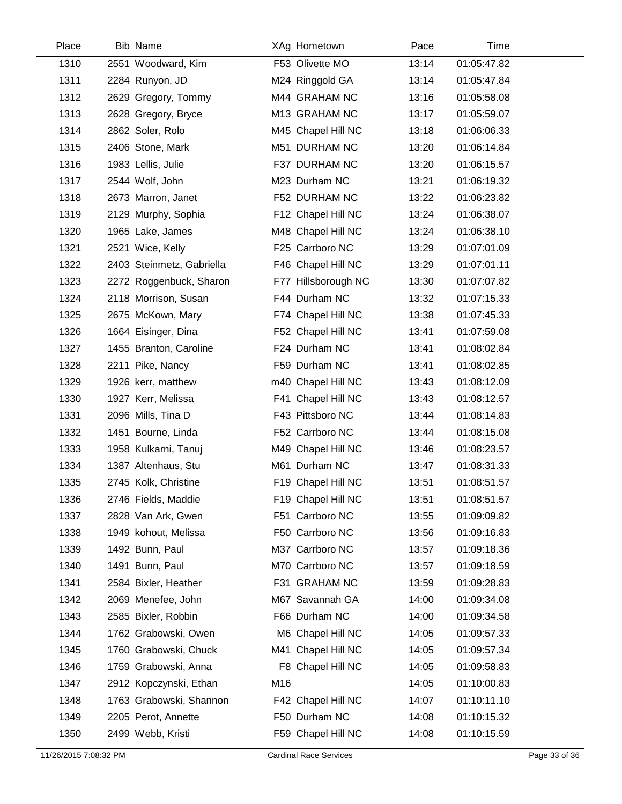| Place | <b>Bib Name</b>           |     | XAg Hometown        | Pace  | Time        |  |
|-------|---------------------------|-----|---------------------|-------|-------------|--|
| 1310  | 2551 Woodward, Kim        |     | F53 Olivette MO     | 13:14 | 01:05:47.82 |  |
| 1311  | 2284 Runyon, JD           |     | M24 Ringgold GA     | 13:14 | 01:05:47.84 |  |
| 1312  | 2629 Gregory, Tommy       |     | M44 GRAHAM NC       | 13:16 | 01:05:58.08 |  |
| 1313  | 2628 Gregory, Bryce       |     | M13 GRAHAM NC       | 13:17 | 01:05:59.07 |  |
| 1314  | 2862 Soler, Rolo          |     | M45 Chapel Hill NC  | 13:18 | 01:06:06.33 |  |
| 1315  | 2406 Stone, Mark          |     | M51 DURHAM NC       | 13:20 | 01:06:14.84 |  |
| 1316  | 1983 Lellis, Julie        |     | F37 DURHAM NC       | 13:20 | 01:06:15.57 |  |
| 1317  | 2544 Wolf, John           |     | M23 Durham NC       | 13:21 | 01:06:19.32 |  |
| 1318  | 2673 Marron, Janet        |     | F52 DURHAM NC       | 13:22 | 01:06:23.82 |  |
| 1319  | 2129 Murphy, Sophia       |     | F12 Chapel Hill NC  | 13:24 | 01:06:38.07 |  |
| 1320  | 1965 Lake, James          |     | M48 Chapel Hill NC  | 13:24 | 01:06:38.10 |  |
| 1321  | 2521 Wice, Kelly          |     | F25 Carrboro NC     | 13:29 | 01:07:01.09 |  |
| 1322  | 2403 Steinmetz, Gabriella |     | F46 Chapel Hill NC  | 13:29 | 01:07:01.11 |  |
| 1323  | 2272 Roggenbuck, Sharon   |     | F77 Hillsborough NC | 13:30 | 01:07:07.82 |  |
| 1324  | 2118 Morrison, Susan      |     | F44 Durham NC       | 13:32 | 01:07:15.33 |  |
| 1325  | 2675 McKown, Mary         |     | F74 Chapel Hill NC  | 13:38 | 01:07:45.33 |  |
| 1326  | 1664 Eisinger, Dina       |     | F52 Chapel Hill NC  | 13:41 | 01:07:59.08 |  |
| 1327  | 1455 Branton, Caroline    |     | F24 Durham NC       | 13:41 | 01:08:02.84 |  |
| 1328  | 2211 Pike, Nancy          |     | F59 Durham NC       | 13:41 | 01:08:02.85 |  |
| 1329  | 1926 kerr, matthew        |     | m40 Chapel Hill NC  | 13:43 | 01:08:12.09 |  |
| 1330  | 1927 Kerr, Melissa        |     | F41 Chapel Hill NC  | 13:43 | 01:08:12.57 |  |
| 1331  | 2096 Mills, Tina D        |     | F43 Pittsboro NC    | 13:44 | 01:08:14.83 |  |
| 1332  | 1451 Bourne, Linda        |     | F52 Carrboro NC     | 13:44 | 01:08:15.08 |  |
| 1333  | 1958 Kulkarni, Tanuj      |     | M49 Chapel Hill NC  | 13:46 | 01:08:23.57 |  |
| 1334  | 1387 Altenhaus, Stu       |     | M61 Durham NC       | 13:47 | 01:08:31.33 |  |
| 1335  | 2745 Kolk, Christine      |     | F19 Chapel Hill NC  | 13:51 | 01:08:51.57 |  |
| 1336  | 2746 Fields, Maddie       |     | F19 Chapel Hill NC  | 13:51 | 01:08:51.57 |  |
| 1337  | 2828 Van Ark, Gwen        |     | F51 Carrboro NC     | 13:55 | 01:09:09.82 |  |
| 1338  | 1949 kohout, Melissa      |     | F50 Carrboro NC     | 13:56 | 01:09:16.83 |  |
| 1339  | 1492 Bunn, Paul           |     | M37 Carrboro NC     | 13:57 | 01:09:18.36 |  |
| 1340  | 1491 Bunn, Paul           |     | M70 Carrboro NC     | 13:57 | 01:09:18.59 |  |
| 1341  | 2584 Bixler, Heather      |     | F31 GRAHAM NC       | 13:59 | 01:09:28.83 |  |
| 1342  | 2069 Menefee, John        |     | M67 Savannah GA     | 14:00 | 01:09:34.08 |  |
| 1343  | 2585 Bixler, Robbin       |     | F66 Durham NC       | 14:00 | 01:09:34.58 |  |
| 1344  | 1762 Grabowski, Owen      |     | M6 Chapel Hill NC   | 14:05 | 01:09:57.33 |  |
| 1345  | 1760 Grabowski, Chuck     |     | M41 Chapel Hill NC  | 14:05 | 01:09:57.34 |  |
| 1346  | 1759 Grabowski, Anna      |     | F8 Chapel Hill NC   | 14:05 | 01:09:58.83 |  |
| 1347  | 2912 Kopczynski, Ethan    | M16 |                     | 14:05 | 01:10:00.83 |  |
| 1348  | 1763 Grabowski, Shannon   |     | F42 Chapel Hill NC  | 14:07 | 01:10:11.10 |  |
| 1349  | 2205 Perot, Annette       |     | F50 Durham NC       | 14:08 | 01:10:15.32 |  |
| 1350  | 2499 Webb, Kristi         |     | F59 Chapel Hill NC  | 14:08 | 01:10:15.59 |  |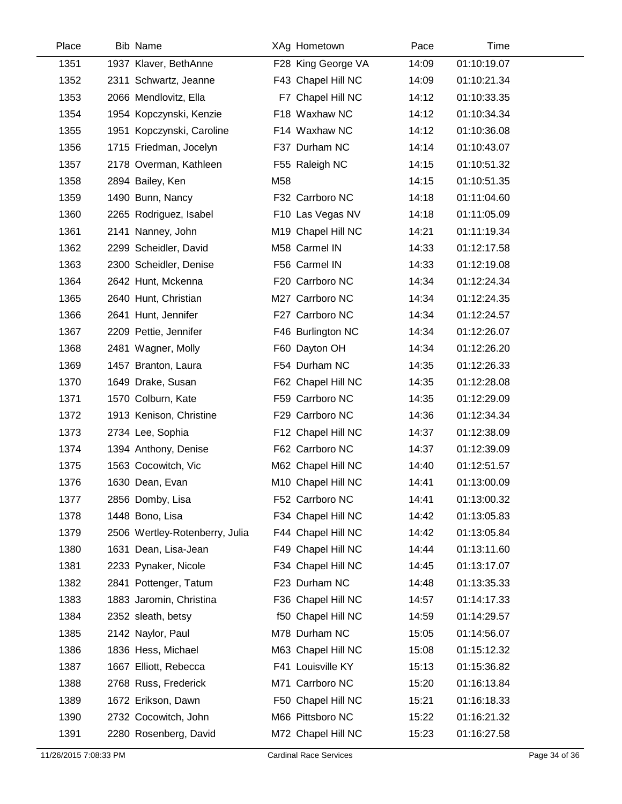| Place | <b>Bib Name</b>                | XAg Hometown       | Pace  | Time        |  |
|-------|--------------------------------|--------------------|-------|-------------|--|
| 1351  | 1937 Klaver, BethAnne          | F28 King George VA | 14:09 | 01:10:19.07 |  |
| 1352  | 2311 Schwartz, Jeanne          | F43 Chapel Hill NC | 14:09 | 01:10:21.34 |  |
| 1353  | 2066 Mendlovitz, Ella          | F7 Chapel Hill NC  | 14:12 | 01:10:33.35 |  |
| 1354  | 1954 Kopczynski, Kenzie        | F18 Waxhaw NC      | 14:12 | 01:10:34.34 |  |
| 1355  | 1951 Kopczynski, Caroline      | F14 Waxhaw NC      | 14:12 | 01:10:36.08 |  |
| 1356  | 1715 Friedman, Jocelyn         | F37 Durham NC      | 14:14 | 01:10:43.07 |  |
| 1357  | 2178 Overman, Kathleen         | F55 Raleigh NC     | 14:15 | 01:10:51.32 |  |
| 1358  | 2894 Bailey, Ken               | M58                | 14:15 | 01:10:51.35 |  |
| 1359  | 1490 Bunn, Nancy               | F32 Carrboro NC    | 14:18 | 01:11:04.60 |  |
| 1360  | 2265 Rodriguez, Isabel         | F10 Las Vegas NV   | 14:18 | 01:11:05.09 |  |
| 1361  | 2141 Nanney, John              | M19 Chapel Hill NC | 14:21 | 01:11:19.34 |  |
| 1362  | 2299 Scheidler, David          | M58 Carmel IN      | 14:33 | 01:12:17.58 |  |
| 1363  | 2300 Scheidler, Denise         | F56 Carmel IN      | 14:33 | 01:12:19.08 |  |
| 1364  | 2642 Hunt, Mckenna             | F20 Carrboro NC    | 14:34 | 01:12:24.34 |  |
| 1365  | 2640 Hunt, Christian           | M27 Carrboro NC    | 14:34 | 01:12:24.35 |  |
| 1366  | 2641 Hunt, Jennifer            | F27 Carrboro NC    | 14:34 | 01:12:24.57 |  |
| 1367  | 2209 Pettie, Jennifer          | F46 Burlington NC  | 14:34 | 01:12:26.07 |  |
| 1368  | 2481 Wagner, Molly             | F60 Dayton OH      | 14:34 | 01:12:26.20 |  |
| 1369  | 1457 Branton, Laura            | F54 Durham NC      | 14:35 | 01:12:26.33 |  |
| 1370  | 1649 Drake, Susan              | F62 Chapel Hill NC | 14:35 | 01:12:28.08 |  |
| 1371  | 1570 Colburn, Kate             | F59 Carrboro NC    | 14:35 | 01:12:29.09 |  |
| 1372  | 1913 Kenison, Christine        | F29 Carrboro NC    | 14:36 | 01:12:34.34 |  |
| 1373  | 2734 Lee, Sophia               | F12 Chapel Hill NC | 14:37 | 01:12:38.09 |  |
| 1374  | 1394 Anthony, Denise           | F62 Carrboro NC    | 14:37 | 01:12:39.09 |  |
| 1375  | 1563 Cocowitch, Vic            | M62 Chapel Hill NC | 14:40 | 01:12:51.57 |  |
| 1376  | 1630 Dean, Evan                | M10 Chapel Hill NC | 14:41 | 01:13:00.09 |  |
| 1377  | 2856 Domby, Lisa               | F52 Carrboro NC    | 14:41 | 01:13:00.32 |  |
| 1378  | 1448 Bono, Lisa                | F34 Chapel Hill NC | 14:42 | 01:13:05.83 |  |
| 1379  | 2506 Wertley-Rotenberry, Julia | F44 Chapel Hill NC | 14:42 | 01:13:05.84 |  |
| 1380  | 1631 Dean, Lisa-Jean           | F49 Chapel Hill NC | 14:44 | 01:13:11.60 |  |
| 1381  | 2233 Pynaker, Nicole           | F34 Chapel Hill NC | 14:45 | 01:13:17.07 |  |
| 1382  | 2841 Pottenger, Tatum          | F23 Durham NC      | 14:48 | 01:13:35.33 |  |
| 1383  | 1883 Jaromin, Christina        | F36 Chapel Hill NC | 14:57 | 01:14:17.33 |  |
| 1384  | 2352 sleath, betsy             | f50 Chapel Hill NC | 14:59 | 01:14:29.57 |  |
| 1385  | 2142 Naylor, Paul              | M78 Durham NC      | 15:05 | 01:14:56.07 |  |
| 1386  | 1836 Hess, Michael             | M63 Chapel Hill NC | 15:08 | 01:15:12.32 |  |
| 1387  | 1667 Elliott, Rebecca          | F41 Louisville KY  | 15:13 | 01:15:36.82 |  |
| 1388  | 2768 Russ, Frederick           | M71 Carrboro NC    | 15:20 | 01:16:13.84 |  |
| 1389  | 1672 Erikson, Dawn             | F50 Chapel Hill NC | 15:21 | 01:16:18.33 |  |
| 1390  | 2732 Cocowitch, John           | M66 Pittsboro NC   | 15:22 | 01:16:21.32 |  |
| 1391  | 2280 Rosenberg, David          | M72 Chapel Hill NC | 15:23 | 01:16:27.58 |  |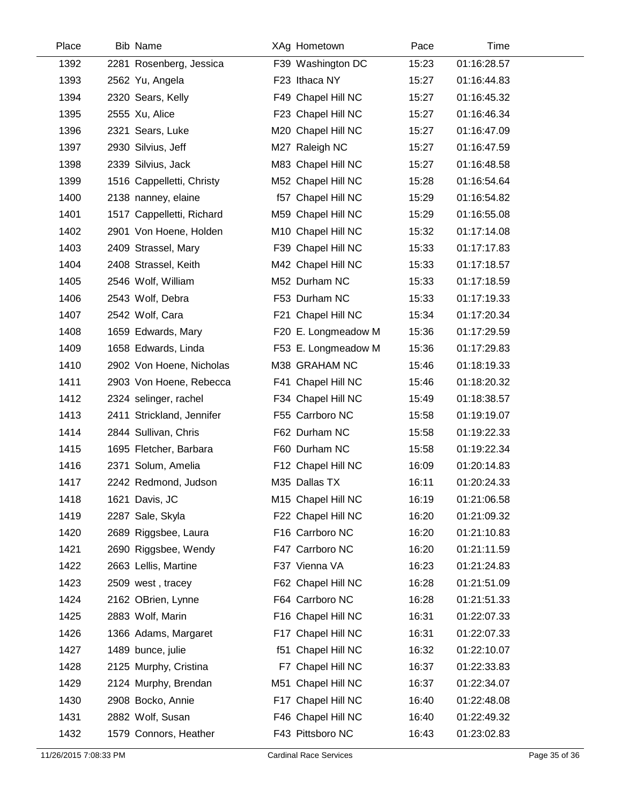| Place | <b>Bib Name</b>           | XAg Hometown        | Pace  | Time        |
|-------|---------------------------|---------------------|-------|-------------|
| 1392  | 2281 Rosenberg, Jessica   | F39 Washington DC   | 15:23 | 01:16:28.57 |
| 1393  | 2562 Yu, Angela           | F23 Ithaca NY       | 15:27 | 01:16:44.83 |
| 1394  | 2320 Sears, Kelly         | F49 Chapel Hill NC  | 15:27 | 01:16:45.32 |
| 1395  | 2555 Xu, Alice            | F23 Chapel Hill NC  | 15:27 | 01:16:46.34 |
| 1396  | 2321 Sears, Luke          | M20 Chapel Hill NC  | 15:27 | 01:16:47.09 |
| 1397  | 2930 Silvius, Jeff        | M27 Raleigh NC      | 15:27 | 01:16:47.59 |
| 1398  | 2339 Silvius, Jack        | M83 Chapel Hill NC  | 15:27 | 01:16:48.58 |
| 1399  | 1516 Cappelletti, Christy | M52 Chapel Hill NC  | 15:28 | 01:16:54.64 |
| 1400  | 2138 nanney, elaine       | f57 Chapel Hill NC  | 15:29 | 01:16:54.82 |
| 1401  | 1517 Cappelletti, Richard | M59 Chapel Hill NC  | 15:29 | 01:16:55.08 |
| 1402  | 2901 Von Hoene, Holden    | M10 Chapel Hill NC  | 15:32 | 01:17:14.08 |
| 1403  | 2409 Strassel, Mary       | F39 Chapel Hill NC  | 15:33 | 01:17:17.83 |
| 1404  | 2408 Strassel, Keith      | M42 Chapel Hill NC  | 15:33 | 01:17:18.57 |
| 1405  | 2546 Wolf, William        | M52 Durham NC       | 15:33 | 01:17:18.59 |
| 1406  | 2543 Wolf, Debra          | F53 Durham NC       | 15:33 | 01:17:19.33 |
| 1407  | 2542 Wolf, Cara           | F21 Chapel Hill NC  | 15:34 | 01:17:20.34 |
| 1408  | 1659 Edwards, Mary        | F20 E. Longmeadow M | 15:36 | 01:17:29.59 |
| 1409  | 1658 Edwards, Linda       | F53 E. Longmeadow M | 15:36 | 01:17:29.83 |
| 1410  | 2902 Von Hoene, Nicholas  | M38 GRAHAM NC       | 15:46 | 01:18:19.33 |
| 1411  | 2903 Von Hoene, Rebecca   | F41 Chapel Hill NC  | 15:46 | 01:18:20.32 |
| 1412  | 2324 selinger, rachel     | F34 Chapel Hill NC  | 15:49 | 01:18:38.57 |
| 1413  | 2411 Strickland, Jennifer | F55 Carrboro NC     | 15:58 | 01:19:19.07 |
| 1414  | 2844 Sullivan, Chris      | F62 Durham NC       | 15:58 | 01:19:22.33 |
| 1415  | 1695 Fletcher, Barbara    | F60 Durham NC       | 15:58 | 01:19:22.34 |
| 1416  | 2371 Solum, Amelia        | F12 Chapel Hill NC  | 16:09 | 01:20:14.83 |
| 1417  | 2242 Redmond, Judson      | M35 Dallas TX       | 16:11 | 01:20:24.33 |
| 1418  | 1621 Davis, JC            | M15 Chapel Hill NC  | 16:19 | 01:21:06.58 |
| 1419  | 2287 Sale, Skyla          | F22 Chapel Hill NC  | 16:20 | 01:21:09.32 |
| 1420  | 2689 Riggsbee, Laura      | F16 Carrboro NC     | 16:20 | 01:21:10.83 |
| 1421  | 2690 Riggsbee, Wendy      | F47 Carrboro NC     | 16:20 | 01:21:11.59 |
| 1422  | 2663 Lellis, Martine      | F37 Vienna VA       | 16:23 | 01:21:24.83 |
| 1423  | 2509 west, tracey         | F62 Chapel Hill NC  | 16:28 | 01:21:51.09 |
| 1424  | 2162 OBrien, Lynne        | F64 Carrboro NC     | 16:28 | 01:21:51.33 |
| 1425  | 2883 Wolf, Marin          | F16 Chapel Hill NC  | 16:31 | 01:22:07.33 |
| 1426  | 1366 Adams, Margaret      | F17 Chapel Hill NC  | 16:31 | 01:22:07.33 |
| 1427  | 1489 bunce, julie         | f51 Chapel Hill NC  | 16:32 | 01:22:10.07 |
| 1428  | 2125 Murphy, Cristina     | F7 Chapel Hill NC   | 16:37 | 01:22:33.83 |
| 1429  | 2124 Murphy, Brendan      | M51 Chapel Hill NC  | 16:37 | 01:22:34.07 |
| 1430  | 2908 Bocko, Annie         | F17 Chapel Hill NC  | 16:40 | 01:22:48.08 |
| 1431  | 2882 Wolf, Susan          | F46 Chapel Hill NC  | 16:40 | 01:22:49.32 |
| 1432  | 1579 Connors, Heather     | F43 Pittsboro NC    | 16:43 | 01:23:02.83 |